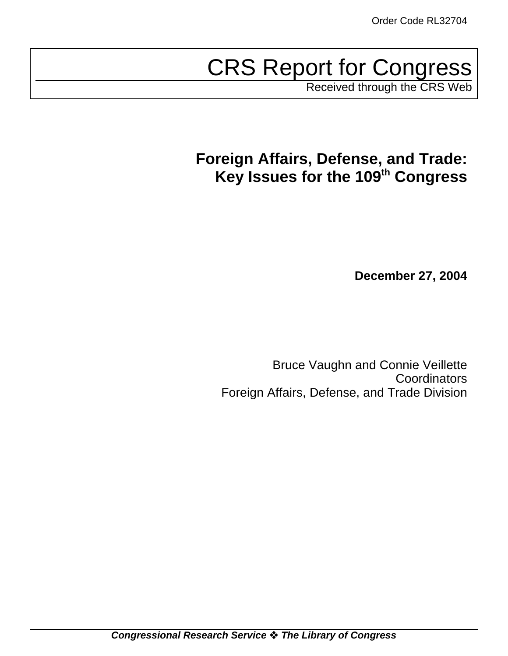# CRS Report for Congress

Received through the CRS Web

# **Foreign Affairs, Defense, and Trade: Key Issues for the 109th Congress**

**December 27, 2004**

Bruce Vaughn and Connie Veillette **Coordinators** Foreign Affairs, Defense, and Trade Division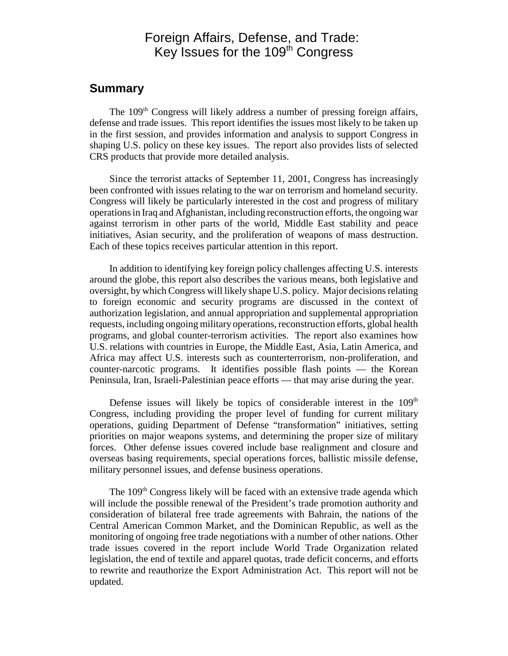### Foreign Affairs, Defense, and Trade: Key Issues for the 109<sup>th</sup> Congress

### **Summary**

The 109<sup>th</sup> Congress will likely address a number of pressing foreign affairs, defense and trade issues. This report identifies the issues most likely to be taken up in the first session, and provides information and analysis to support Congress in shaping U.S. policy on these key issues. The report also provides lists of selected CRS products that provide more detailed analysis.

Since the terrorist attacks of September 11, 2001, Congress has increasingly been confronted with issues relating to the war on terrorism and homeland security. Congress will likely be particularly interested in the cost and progress of military operations in Iraq and Afghanistan, including reconstruction efforts, the ongoing war against terrorism in other parts of the world, Middle East stability and peace initiatives, Asian security, and the proliferation of weapons of mass destruction. Each of these topics receives particular attention in this report.

In addition to identifying key foreign policy challenges affecting U.S. interests around the globe, this report also describes the various means, both legislative and oversight, by which Congress will likely shape U.S. policy. Major decisions relating to foreign economic and security programs are discussed in the context of authorization legislation, and annual appropriation and supplemental appropriation requests, including ongoing military operations, reconstruction efforts, global health programs, and global counter-terrorism activities. The report also examines how U.S. relations with countries in Europe, the Middle East, Asia, Latin America, and Africa may affect U.S. interests such as counterterrorism, non-proliferation, and counter-narcotic programs. It identifies possible flash points — the Korean Peninsula, Iran, Israeli-Palestinian peace efforts — that may arise during the year.

Defense issues will likely be topics of considerable interest in the  $109<sup>th</sup>$ Congress, including providing the proper level of funding for current military operations, guiding Department of Defense "transformation" initiatives, setting priorities on major weapons systems, and determining the proper size of military forces. Other defense issues covered include base realignment and closure and overseas basing requirements, special operations forces, ballistic missile defense, military personnel issues, and defense business operations.

The 109<sup>th</sup> Congress likely will be faced with an extensive trade agenda which will include the possible renewal of the President's trade promotion authority and consideration of bilateral free trade agreements with Bahrain, the nations of the Central American Common Market, and the Dominican Republic, as well as the monitoring of ongoing free trade negotiations with a number of other nations. Other trade issues covered in the report include World Trade Organization related legislation, the end of textile and apparel quotas, trade deficit concerns, and efforts to rewrite and reauthorize the Export Administration Act. This report will not be updated.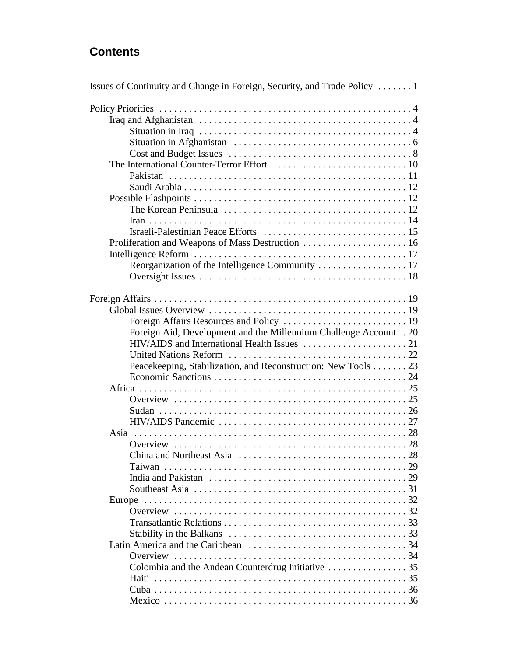### **Contents**

| Issues of Continuity and Change in Foreign, Security, and Trade Policy                                      |  |  |
|-------------------------------------------------------------------------------------------------------------|--|--|
|                                                                                                             |  |  |
|                                                                                                             |  |  |
|                                                                                                             |  |  |
|                                                                                                             |  |  |
|                                                                                                             |  |  |
|                                                                                                             |  |  |
|                                                                                                             |  |  |
|                                                                                                             |  |  |
|                                                                                                             |  |  |
|                                                                                                             |  |  |
|                                                                                                             |  |  |
|                                                                                                             |  |  |
| Proliferation and Weapons of Mass Destruction  16                                                           |  |  |
|                                                                                                             |  |  |
|                                                                                                             |  |  |
|                                                                                                             |  |  |
|                                                                                                             |  |  |
|                                                                                                             |  |  |
|                                                                                                             |  |  |
|                                                                                                             |  |  |
| Foreign Aid, Development and the Millennium Challenge Account . 20                                          |  |  |
|                                                                                                             |  |  |
|                                                                                                             |  |  |
| Peacekeeping, Stabilization, and Reconstruction: New Tools 23                                               |  |  |
|                                                                                                             |  |  |
|                                                                                                             |  |  |
|                                                                                                             |  |  |
|                                                                                                             |  |  |
|                                                                                                             |  |  |
|                                                                                                             |  |  |
|                                                                                                             |  |  |
|                                                                                                             |  |  |
|                                                                                                             |  |  |
| Taiwan                                                                                                      |  |  |
|                                                                                                             |  |  |
| Southeast Asia $\ldots \ldots \ldots \ldots \ldots \ldots \ldots \ldots \ldots \ldots \ldots \ldots \ldots$ |  |  |
| Europe                                                                                                      |  |  |
|                                                                                                             |  |  |
|                                                                                                             |  |  |
|                                                                                                             |  |  |
|                                                                                                             |  |  |
|                                                                                                             |  |  |
|                                                                                                             |  |  |
|                                                                                                             |  |  |
|                                                                                                             |  |  |
|                                                                                                             |  |  |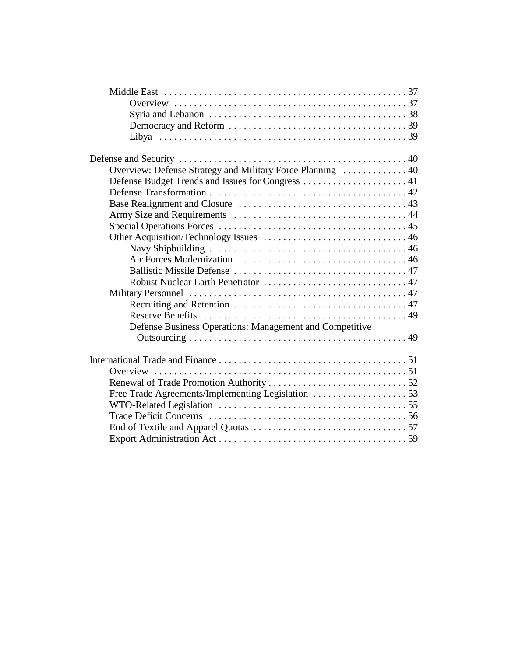| Overview: Defense Strategy and Military Force Planning  40 |
|------------------------------------------------------------|
| Defense Budget Trends and Issues for Congress  41          |
|                                                            |
|                                                            |
|                                                            |
|                                                            |
|                                                            |
|                                                            |
|                                                            |
|                                                            |
|                                                            |
|                                                            |
|                                                            |
|                                                            |
| Defense Business Operations: Management and Competitive    |
|                                                            |
|                                                            |
|                                                            |
|                                                            |
|                                                            |
|                                                            |
|                                                            |
|                                                            |
|                                                            |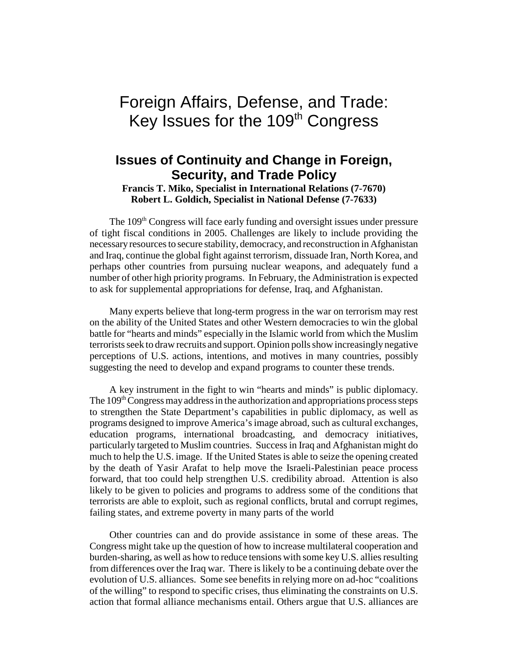# Foreign Affairs, Defense, and Trade: Key Issues for the 109<sup>th</sup> Congress

## **Issues of Continuity and Change in Foreign, Security, and Trade Policy**

**Francis T. Miko, Specialist in International Relations (7-7670) Robert L. Goldich, Specialist in National Defense (7-7633)**

The 109<sup>th</sup> Congress will face early funding and oversight issues under pressure of tight fiscal conditions in 2005. Challenges are likely to include providing the necessary resources to secure stability, democracy, and reconstruction in Afghanistan and Iraq, continue the global fight against terrorism, dissuade Iran, North Korea, and perhaps other countries from pursuing nuclear weapons, and adequately fund a number of other high priority programs. In February, the Administration is expected to ask for supplemental appropriations for defense, Iraq, and Afghanistan.

Many experts believe that long-term progress in the war on terrorism may rest on the ability of the United States and other Western democracies to win the global battle for "hearts and minds" especially in the Islamic world from which the Muslim terrorists seek to draw recruits and support. Opinion polls show increasingly negative perceptions of U.S. actions, intentions, and motives in many countries, possibly suggesting the need to develop and expand programs to counter these trends.

A key instrument in the fight to win "hearts and minds" is public diplomacy. The  $109<sup>th</sup>$  Congress may address in the authorization and appropriations process steps to strengthen the State Department's capabilities in public diplomacy, as well as programs designed to improve America's image abroad, such as cultural exchanges, education programs, international broadcasting, and democracy initiatives, particularly targeted to Muslim countries. Success in Iraq and Afghanistan might do much to help the U.S. image. If the United States is able to seize the opening created by the death of Yasir Arafat to help move the Israeli-Palestinian peace process forward, that too could help strengthen U.S. credibility abroad. Attention is also likely to be given to policies and programs to address some of the conditions that terrorists are able to exploit, such as regional conflicts, brutal and corrupt regimes, failing states, and extreme poverty in many parts of the world

Other countries can and do provide assistance in some of these areas. The Congress might take up the question of how to increase multilateral cooperation and burden-sharing, as well as how to reduce tensions with some key U.S. allies resulting from differences over the Iraq war. There is likely to be a continuing debate over the evolution of U.S. alliances. Some see benefits in relying more on ad-hoc "coalitions of the willing" to respond to specific crises, thus eliminating the constraints on U.S. action that formal alliance mechanisms entail. Others argue that U.S. alliances are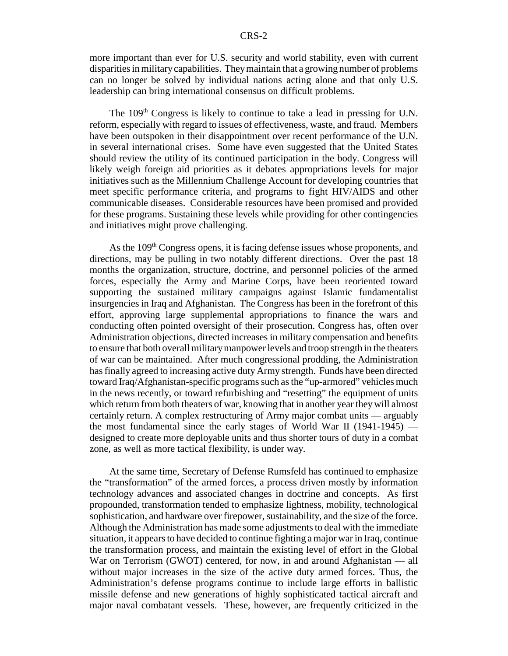more important than ever for U.S. security and world stability, even with current disparities in military capabilities. They maintain that a growing number of problems can no longer be solved by individual nations acting alone and that only U.S. leadership can bring international consensus on difficult problems.

The  $109<sup>th</sup>$  Congress is likely to continue to take a lead in pressing for U.N. reform, especially with regard to issues of effectiveness, waste, and fraud. Members have been outspoken in their disappointment over recent performance of the U.N. in several international crises. Some have even suggested that the United States should review the utility of its continued participation in the body. Congress will likely weigh foreign aid priorities as it debates appropriations levels for major initiatives such as the Millennium Challenge Account for developing countries that meet specific performance criteria, and programs to fight HIV/AIDS and other communicable diseases. Considerable resources have been promised and provided for these programs. Sustaining these levels while providing for other contingencies and initiatives might prove challenging.

As the 109<sup>th</sup> Congress opens, it is facing defense issues whose proponents, and directions, may be pulling in two notably different directions. Over the past 18 months the organization, structure, doctrine, and personnel policies of the armed forces, especially the Army and Marine Corps, have been reoriented toward supporting the sustained military campaigns against Islamic fundamentalist insurgencies in Iraq and Afghanistan. The Congress has been in the forefront of this effort, approving large supplemental appropriations to finance the wars and conducting often pointed oversight of their prosecution. Congress has, often over Administration objections, directed increases in military compensation and benefits to ensure that both overall military manpower levels and troop strength in the theaters of war can be maintained. After much congressional prodding, the Administration has finally agreed to increasing active duty Army strength. Funds have been directed toward Iraq/Afghanistan-specific programs such as the "up-armored" vehicles much in the news recently, or toward refurbishing and "resetting" the equipment of units which return from both theaters of war, knowing that in another year they will almost certainly return. A complex restructuring of Army major combat units — arguably the most fundamental since the early stages of World War II (1941-1945) designed to create more deployable units and thus shorter tours of duty in a combat zone, as well as more tactical flexibility, is under way.

At the same time, Secretary of Defense Rumsfeld has continued to emphasize the "transformation" of the armed forces, a process driven mostly by information technology advances and associated changes in doctrine and concepts. As first propounded, transformation tended to emphasize lightness, mobility, technological sophistication, and hardware over firepower, sustainability, and the size of the force. Although the Administration has made some adjustments to deal with the immediate situation, it appears to have decided to continue fighting a major war in Iraq, continue the transformation process, and maintain the existing level of effort in the Global War on Terrorism (GWOT) centered, for now, in and around Afghanistan — all without major increases in the size of the active duty armed forces. Thus, the Administration's defense programs continue to include large efforts in ballistic missile defense and new generations of highly sophisticated tactical aircraft and major naval combatant vessels. These, however, are frequently criticized in the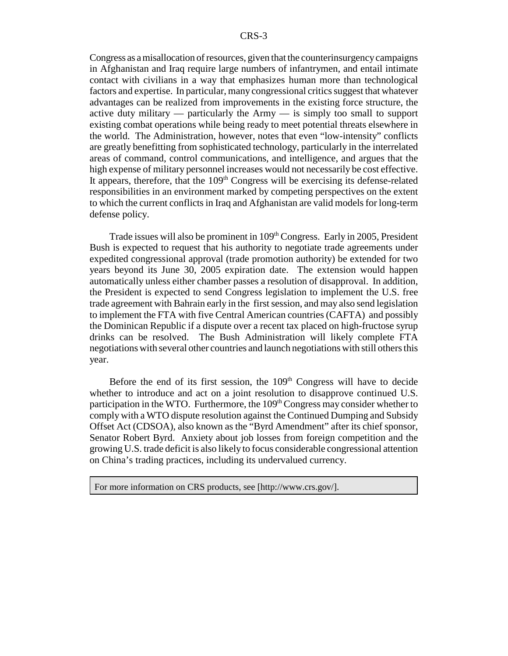Congress as a misallocation of resources, given that the counterinsurgency campaigns in Afghanistan and Iraq require large numbers of infantrymen, and entail intimate contact with civilians in a way that emphasizes human more than technological factors and expertise. In particular, many congressional critics suggest that whatever advantages can be realized from improvements in the existing force structure, the active duty military — particularly the Army — is simply too small to support existing combat operations while being ready to meet potential threats elsewhere in the world. The Administration, however, notes that even "low-intensity" conflicts are greatly benefitting from sophisticated technology, particularly in the interrelated areas of command, control communications, and intelligence, and argues that the high expense of military personnel increases would not necessarily be cost effective. It appears, therefore, that the  $109<sup>th</sup>$  Congress will be exercising its defense-related responsibilities in an environment marked by competing perspectives on the extent to which the current conflicts in Iraq and Afghanistan are valid models for long-term defense policy.

Trade issues will also be prominent in 109<sup>th</sup> Congress. Early in 2005, President Bush is expected to request that his authority to negotiate trade agreements under expedited congressional approval (trade promotion authority) be extended for two years beyond its June 30, 2005 expiration date. The extension would happen automatically unless either chamber passes a resolution of disapproval. In addition, the President is expected to send Congress legislation to implement the U.S. free trade agreement with Bahrain early in the first session, and may also send legislation to implement the FTA with five Central American countries (CAFTA) and possibly the Dominican Republic if a dispute over a recent tax placed on high-fructose syrup drinks can be resolved. The Bush Administration will likely complete FTA negotiations with several other countries and launch negotiations with still others this year.

Before the end of its first session, the  $109<sup>th</sup>$  Congress will have to decide whether to introduce and act on a joint resolution to disapprove continued U.S. participation in the WTO. Furthermore, the  $109<sup>th</sup>$  Congress may consider whether to comply with a WTO dispute resolution against the Continued Dumping and Subsidy Offset Act (CDSOA), also known as the "Byrd Amendment" after its chief sponsor, Senator Robert Byrd. Anxiety about job losses from foreign competition and the growing U.S. trade deficit is also likely to focus considerable congressional attention on China's trading practices, including its undervalued currency.

For more information on CRS products, see [http://www.crs.gov/].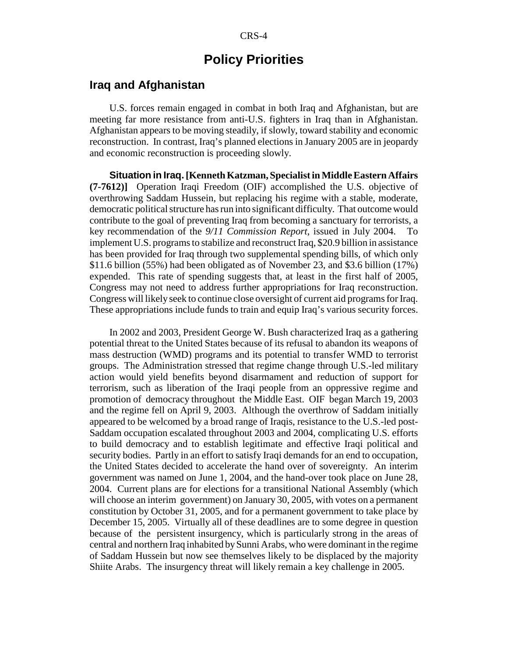### **Policy Priorities**

### **Iraq and Afghanistan**

U.S. forces remain engaged in combat in both Iraq and Afghanistan, but are meeting far more resistance from anti-U.S. fighters in Iraq than in Afghanistan. Afghanistan appears to be moving steadily, if slowly, toward stability and economic reconstruction. In contrast, Iraq's planned elections in January 2005 are in jeopardy and economic reconstruction is proceeding slowly.

**Situation in Iraq.[Kenneth Katzman, Specialist in Middle Eastern Affairs (7-7612)]** Operation Iraqi Freedom (OIF) accomplished the U.S. objective of overthrowing Saddam Hussein, but replacing his regime with a stable, moderate, democratic political structure has run into significant difficulty. That outcome would contribute to the goal of preventing Iraq from becoming a sanctuary for terrorists, a key recommendation of the *9/11 Commission Report*, issued in July 2004. To implement U.S. programs to stabilize and reconstruct Iraq, \$20.9 billion in assistance has been provided for Iraq through two supplemental spending bills, of which only \$11.6 billion (55%) had been obligated as of November 23, and \$3.6 billion (17%) expended. This rate of spending suggests that, at least in the first half of 2005, Congress may not need to address further appropriations for Iraq reconstruction. Congress will likely seek to continue close oversight of current aid programs for Iraq. These appropriations include funds to train and equip Iraq's various security forces.

In 2002 and 2003, President George W. Bush characterized Iraq as a gathering potential threat to the United States because of its refusal to abandon its weapons of mass destruction (WMD) programs and its potential to transfer WMD to terrorist groups. The Administration stressed that regime change through U.S.-led military action would yield benefits beyond disarmament and reduction of support for terrorism, such as liberation of the Iraqi people from an oppressive regime and promotion of democracy throughout the Middle East. OIF began March 19, 2003 and the regime fell on April 9, 2003. Although the overthrow of Saddam initially appeared to be welcomed by a broad range of Iraqis, resistance to the U.S.-led post-Saddam occupation escalated throughout 2003 and 2004, complicating U.S. efforts to build democracy and to establish legitimate and effective Iraqi political and security bodies. Partly in an effort to satisfy Iraqi demands for an end to occupation, the United States decided to accelerate the hand over of sovereignty. An interim government was named on June 1, 2004, and the hand-over took place on June 28, 2004. Current plans are for elections for a transitional National Assembly (which will choose an interim government) on January 30, 2005, with votes on a permanent constitution by October 31, 2005, and for a permanent government to take place by December 15, 2005. Virtually all of these deadlines are to some degree in question because of the persistent insurgency, which is particularly strong in the areas of central and northern Iraq inhabited by Sunni Arabs, who were dominant in the regime of Saddam Hussein but now see themselves likely to be displaced by the majority Shiite Arabs. The insurgency threat will likely remain a key challenge in 2005.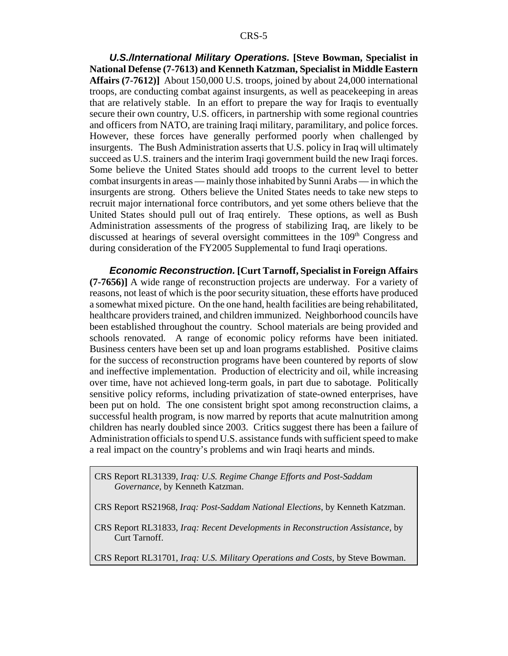*U.S./International Military Operations.* **[Steve Bowman, Specialist in National Defense (7-7613) and Kenneth Katzman, Specialist in Middle Eastern Affairs (7-7612)]** About 150,000 U.S. troops, joined by about 24,000 international troops, are conducting combat against insurgents, as well as peacekeeping in areas that are relatively stable. In an effort to prepare the way for Iraqis to eventually secure their own country, U.S. officers, in partnership with some regional countries and officers from NATO, are training Iraqi military, paramilitary, and police forces. However, these forces have generally performed poorly when challenged by insurgents. The Bush Administration asserts that U.S. policy in Iraq will ultimately succeed as U.S. trainers and the interim Iraqi government build the new Iraqi forces. Some believe the United States should add troops to the current level to better combat insurgents in areas — mainly those inhabited by Sunni Arabs — in which the insurgents are strong. Others believe the United States needs to take new steps to recruit major international force contributors, and yet some others believe that the United States should pull out of Iraq entirely. These options, as well as Bush Administration assessments of the progress of stabilizing Iraq, are likely to be discussed at hearings of several oversight committees in the 109<sup>th</sup> Congress and during consideration of the FY2005 Supplemental to fund Iraqi operations.

*Economic Reconstruction.* **[Curt Tarnoff, Specialist in Foreign Affairs (7-7656)]** A wide range of reconstruction projects are underway. For a variety of reasons, not least of which is the poor security situation, these efforts have produced a somewhat mixed picture. On the one hand, health facilities are being rehabilitated, healthcare providers trained, and children immunized. Neighborhood councils have been established throughout the country. School materials are being provided and schools renovated. A range of economic policy reforms have been initiated. Business centers have been set up and loan programs established. Positive claims for the success of reconstruction programs have been countered by reports of slow and ineffective implementation. Production of electricity and oil, while increasing over time, have not achieved long-term goals, in part due to sabotage. Politically sensitive policy reforms, including privatization of state-owned enterprises, have been put on hold. The one consistent bright spot among reconstruction claims, a successful health program, is now marred by reports that acute malnutrition among children has nearly doubled since 2003. Critics suggest there has been a failure of Administration officials to spend U.S. assistance funds with sufficient speed to make a real impact on the country's problems and win Iraqi hearts and minds.

CRS Report RL31339, *Iraq: U.S. Regime Change Efforts and Post-Saddam Governance*, by Kenneth Katzman.

CRS Report RS21968, *Iraq: Post-Saddam National Elections*, by Kenneth Katzman.

CRS Report RL31833, *Iraq: Recent Developments in Reconstruction Assistance*, by Curt Tarnoff.

CRS Report RL31701, *Iraq: U.S. Military Operations and Costs,* by Steve Bowman.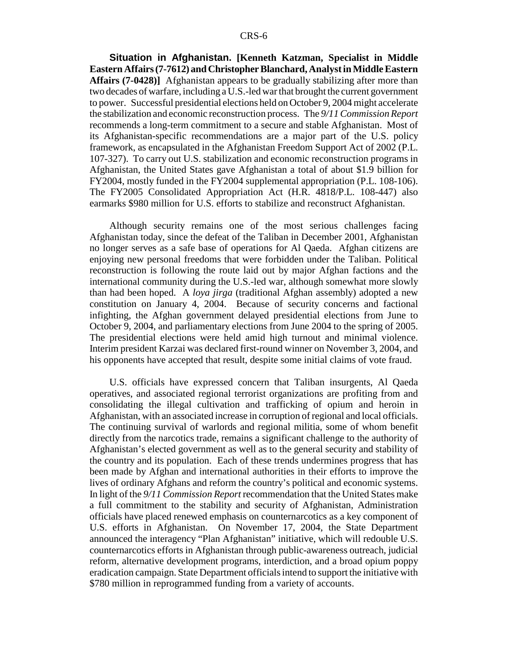**Situation in Afghanistan. [Kenneth Katzman, Specialist in Middle Eastern Affairs (7-7612) and Christopher Blanchard, Analyst in Middle Eastern Affairs (7-0428)]** Afghanistan appears to be gradually stabilizing after more than two decades of warfare, including a U.S.-led war that brought the current government to power. Successful presidential elections held on October 9, 2004 might accelerate the stabilization and economic reconstruction process. The *9/11 Commission Report* recommends a long-term commitment to a secure and stable Afghanistan. Most of its Afghanistan-specific recommendations are a major part of the U.S. policy framework, as encapsulated in the Afghanistan Freedom Support Act of 2002 (P.L. 107-327). To carry out U.S. stabilization and economic reconstruction programs in Afghanistan, the United States gave Afghanistan a total of about \$1.9 billion for FY2004, mostly funded in the FY2004 supplemental appropriation (P.L. 108-106). The FY2005 Consolidated Appropriation Act (H.R. 4818/P.L. 108-447) also earmarks \$980 million for U.S. efforts to stabilize and reconstruct Afghanistan.

Although security remains one of the most serious challenges facing Afghanistan today, since the defeat of the Taliban in December 2001, Afghanistan no longer serves as a safe base of operations for Al Qaeda. Afghan citizens are enjoying new personal freedoms that were forbidden under the Taliban. Political reconstruction is following the route laid out by major Afghan factions and the international community during the U.S.-led war, although somewhat more slowly than had been hoped. A *loya jirga* (traditional Afghan assembly) adopted a new constitution on January 4, 2004. Because of security concerns and factional infighting, the Afghan government delayed presidential elections from June to October 9, 2004, and parliamentary elections from June 2004 to the spring of 2005. The presidential elections were held amid high turnout and minimal violence. Interim president Karzai was declared first-round winner on November 3, 2004, and his opponents have accepted that result, despite some initial claims of vote fraud.

U.S. officials have expressed concern that Taliban insurgents, Al Qaeda operatives, and associated regional terrorist organizations are profiting from and consolidating the illegal cultivation and trafficking of opium and heroin in Afghanistan, with an associated increase in corruption of regional and local officials. The continuing survival of warlords and regional militia, some of whom benefit directly from the narcotics trade, remains a significant challenge to the authority of Afghanistan's elected government as well as to the general security and stability of the country and its population. Each of these trends undermines progress that has been made by Afghan and international authorities in their efforts to improve the lives of ordinary Afghans and reform the country's political and economic systems. In light of the *9/11 Commission Report* recommendation that the United States make a full commitment to the stability and security of Afghanistan, Administration officials have placed renewed emphasis on counternarcotics as a key component of U.S. efforts in Afghanistan. On November 17, 2004, the State Department announced the interagency "Plan Afghanistan" initiative, which will redouble U.S. counternarcotics efforts in Afghanistan through public-awareness outreach, judicial reform, alternative development programs, interdiction, and a broad opium poppy eradication campaign. State Department officials intend to support the initiative with \$780 million in reprogrammed funding from a variety of accounts.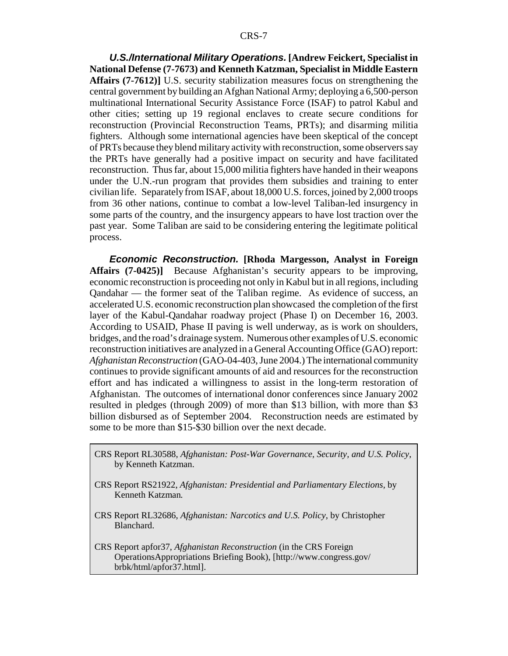*U.S./International Military Operations.* **[Andrew Feickert, Specialist in National Defense (7-7673) and Kenneth Katzman, Specialist in Middle Eastern Affairs (7-7612)]** U.S. security stabilization measures focus on strengthening the central government by building an Afghan National Army; deploying a 6,500-person multinational International Security Assistance Force (ISAF) to patrol Kabul and other cities; setting up 19 regional enclaves to create secure conditions for reconstruction (Provincial Reconstruction Teams, PRTs); and disarming militia fighters. Although some international agencies have been skeptical of the concept of PRTs because they blend military activity with reconstruction, some observers say the PRTs have generally had a positive impact on security and have facilitated reconstruction. Thus far, about 15,000 militia fighters have handed in their weapons under the U.N.-run program that provides them subsidies and training to enter civilian life. Separately from ISAF, about 18,000 U.S. forces, joined by 2,000 troops from 36 other nations, continue to combat a low-level Taliban-led insurgency in some parts of the country, and the insurgency appears to have lost traction over the past year. Some Taliban are said to be considering entering the legitimate political process.

*Economic Reconstruction.* **[Rhoda Margesson, Analyst in Foreign Affairs (7-0425)]** Because Afghanistan's security appears to be improving, economic reconstruction is proceeding not only in Kabul but in all regions, including Qandahar — the former seat of the Taliban regime. As evidence of success, an accelerated U.S. economic reconstruction plan showcased the completion of the first layer of the Kabul-Qandahar roadway project (Phase I) on December 16, 2003. According to USAID, Phase II paving is well underway, as is work on shoulders, bridges, and the road's drainage system. Numerous other examples of U.S. economic reconstruction initiatives are analyzed in a General Accounting Office (GAO) report: *Afghanistan Reconstruction* (GAO-04-403, June 2004.) The international community continues to provide significant amounts of aid and resources for the reconstruction effort and has indicated a willingness to assist in the long-term restoration of Afghanistan. The outcomes of international donor conferences since January 2002 resulted in pledges (through 2009) of more than \$13 billion, with more than \$3 billion disbursed as of September 2004. Reconstruction needs are estimated by some to be more than \$15-\$30 billion over the next decade.

- CRS Report RL30588, *Afghanistan: Post-War Governance, Security, and U.S. Policy*, by Kenneth Katzman.
- CRS Report RS21922, *Afghanistan: Presidential and Parliamentary Elections,* by Kenneth Katzman*.*
- CRS Report RL32686, *Afghanistan: Narcotics and U.S. Policy*, by Christopher Blanchard.
- CRS Report apfor37, *Afghanistan Reconstruction* (in the CRS Foreign OperationsAppropriations Briefing Book), [http://www.congress.gov/ brbk/html/apfor37.html].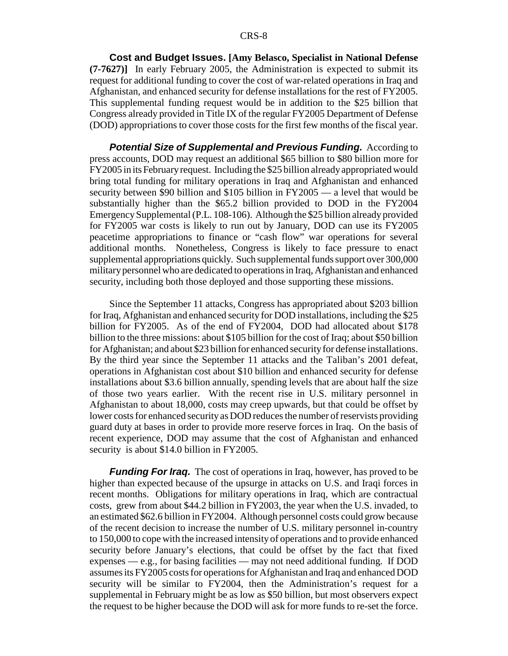**Cost and Budget Issues. [Amy Belasco, Specialist in National Defense (7-7627)]** In early February 2005, the Administration is expected to submit its request for additional funding to cover the cost of war-related operations in Iraq and Afghanistan, and enhanced security for defense installations for the rest of FY2005. This supplemental funding request would be in addition to the \$25 billion that Congress already provided in Title IX of the regular FY2005 Department of Defense (DOD) appropriations to cover those costs for the first few months of the fiscal year.

**Potential Size of Supplemental and Previous Funding.** According to press accounts, DOD may request an additional \$65 billion to \$80 billion more for FY2005 in its February request. Including the \$25 billion already appropriated would bring total funding for military operations in Iraq and Afghanistan and enhanced security between \$90 billion and \$105 billion in FY2005 — a level that would be substantially higher than the \$65.2 billion provided to DOD in the FY2004 Emergency Supplemental (P.L. 108-106). Although the \$25 billion already provided for FY2005 war costs is likely to run out by January, DOD can use its FY2005 peacetime appropriations to finance or "cash flow" war operations for several additional months. Nonetheless, Congress is likely to face pressure to enact supplemental appropriations quickly. Such supplemental funds support over 300,000 military personnel who are dedicated to operations in Iraq, Afghanistan and enhanced security, including both those deployed and those supporting these missions.

Since the September 11 attacks, Congress has appropriated about \$203 billion for Iraq, Afghanistan and enhanced security for DOD installations, including the \$25 billion for FY2005. As of the end of FY2004, DOD had allocated about \$178 billion to the three missions: about \$105 billion for the cost of Iraq; about \$50 billion for Afghanistan; and about \$23 billion for enhanced security for defense installations. By the third year since the September 11 attacks and the Taliban's 2001 defeat, operations in Afghanistan cost about \$10 billion and enhanced security for defense installations about \$3.6 billion annually, spending levels that are about half the size of those two years earlier. With the recent rise in U.S. military personnel in Afghanistan to about 18,000, costs may creep upwards, but that could be offset by lower costs for enhanced security as DOD reduces the number of reservists providing guard duty at bases in order to provide more reserve forces in Iraq. On the basis of recent experience, DOD may assume that the cost of Afghanistan and enhanced security is about \$14.0 billion in FY2005.

*Funding For Iraq.* The cost of operations in Iraq, however, has proved to be higher than expected because of the upsurge in attacks on U.S. and Iraqi forces in recent months. Obligations for military operations in Iraq, which are contractual costs, grew from about \$44.2 billion in FY2003, the year when the U.S. invaded, to an estimated \$62.6 billion in FY2004. Although personnel costs could grow because of the recent decision to increase the number of U.S. military personnel in-country to 150,000 to cope with the increased intensity of operations and to provide enhanced security before January's elections, that could be offset by the fact that fixed expenses — e.g., for basing facilities — may not need additional funding. If DOD assumes its FY2005 costs for operations for Afghanistan and Iraq and enhanced DOD security will be similar to FY2004, then the Administration's request for a supplemental in February might be as low as \$50 billion, but most observers expect the request to be higher because the DOD will ask for more funds to re-set the force.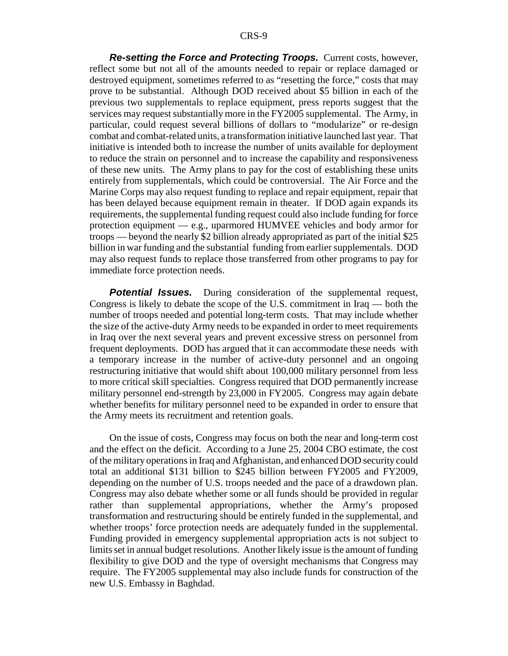*Re-setting the Force and Protecting Troops.* Current costs, however, reflect some but not all of the amounts needed to repair or replace damaged or destroyed equipment, sometimes referred to as "resetting the force," costs that may prove to be substantial. Although DOD received about \$5 billion in each of the previous two supplementals to replace equipment, press reports suggest that the services may request substantially more in the FY2005 supplemental. The Army, in particular, could request several billions of dollars to "modularize" or re-design combat and combat-related units, a transformation initiative launched last year. That initiative is intended both to increase the number of units available for deployment to reduce the strain on personnel and to increase the capability and responsiveness of these new units. The Army plans to pay for the cost of establishing these units entirely from supplementals, which could be controversial. The Air Force and the Marine Corps may also request funding to replace and repair equipment, repair that has been delayed because equipment remain in theater. If DOD again expands its requirements, the supplemental funding request could also include funding for force protection equipment — e.g., uparmored HUMVEE vehicles and body armor for troops — beyond the nearly \$2 billion already appropriated as part of the initial \$25 billion in war funding and the substantial funding from earlier supplementals. DOD may also request funds to replace those transferred from other programs to pay for immediate force protection needs.

**Potential Issues.** During consideration of the supplemental request, Congress is likely to debate the scope of the U.S. commitment in Iraq — both the number of troops needed and potential long-term costs. That may include whether the size of the active-duty Army needs to be expanded in order to meet requirements in Iraq over the next several years and prevent excessive stress on personnel from frequent deployments. DOD has argued that it can accommodate these needs with a temporary increase in the number of active-duty personnel and an ongoing restructuring initiative that would shift about 100,000 military personnel from less to more critical skill specialties. Congress required that DOD permanently increase military personnel end-strength by 23,000 in FY2005. Congress may again debate whether benefits for military personnel need to be expanded in order to ensure that the Army meets its recruitment and retention goals.

On the issue of costs, Congress may focus on both the near and long-term cost and the effect on the deficit. According to a June 25, 2004 CBO estimate, the cost of the military operations in Iraq and Afghanistan, and enhanced DOD security could total an additional \$131 billion to \$245 billion between FY2005 and FY2009, depending on the number of U.S. troops needed and the pace of a drawdown plan. Congress may also debate whether some or all funds should be provided in regular rather than supplemental appropriations, whether the Army's proposed transformation and restructuring should be entirely funded in the supplemental, and whether troops' force protection needs are adequately funded in the supplemental. Funding provided in emergency supplemental appropriation acts is not subject to limits set in annual budget resolutions. Another likely issue is the amount of funding flexibility to give DOD and the type of oversight mechanisms that Congress may require. The FY2005 supplemental may also include funds for construction of the new U.S. Embassy in Baghdad.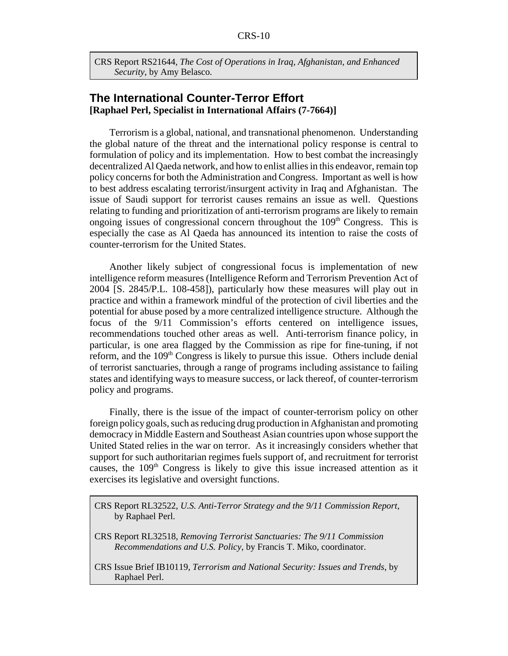CRS Report RS21644, *The Cost of Operations in Iraq, Afghanistan, and Enhanced Security*, by Amy Belasco.

### **The International Counter-Terror Effort [Raphael Perl, Specialist in International Affairs (7-7664)]**

Terrorism is a global, national, and transnational phenomenon. Understanding the global nature of the threat and the international policy response is central to formulation of policy and its implementation. How to best combat the increasingly decentralized Al Qaeda network, and how to enlist allies in this endeavor, remain top policy concerns for both the Administration and Congress. Important as well is how to best address escalating terrorist/insurgent activity in Iraq and Afghanistan. The issue of Saudi support for terrorist causes remains an issue as well. Questions relating to funding and prioritization of anti-terrorism programs are likely to remain ongoing issues of congressional concern throughout the  $109<sup>th</sup>$  Congress. This is especially the case as Al Qaeda has announced its intention to raise the costs of counter-terrorism for the United States.

Another likely subject of congressional focus is implementation of new intelligence reform measures (Intelligence Reform and Terrorism Prevention Act of 2004 [S. 2845/P.L. 108-458]), particularly how these measures will play out in practice and within a framework mindful of the protection of civil liberties and the potential for abuse posed by a more centralized intelligence structure. Although the focus of the 9/11 Commission's efforts centered on intelligence issues, recommendations touched other areas as well. Anti-terrorism finance policy, in particular, is one area flagged by the Commission as ripe for fine-tuning, if not reform, and the 109<sup>th</sup> Congress is likely to pursue this issue. Others include denial of terrorist sanctuaries, through a range of programs including assistance to failing states and identifying ways to measure success, or lack thereof, of counter-terrorism policy and programs.

Finally, there is the issue of the impact of counter-terrorism policy on other foreign policy goals, such as reducing drug production in Afghanistan and promoting democracy in Middle Eastern and Southeast Asian countries upon whose support the United Stated relies in the war on terror. As it increasingly considers whether that support for such authoritarian regimes fuels support of, and recruitment for terrorist causes, the 109<sup>th</sup> Congress is likely to give this issue increased attention as it exercises its legislative and oversight functions.

CRS Report RL32522, *U.S. Anti-Terror Strategy and the 9/11 Commission Report*, by Raphael Perl.

CRS Report RL32518, *Removing Terrorist Sanctuaries: The 9/11 Commission Recommendations and U.S. Policy*, by Francis T. Miko, coordinator.

CRS Issue Brief IB10119, *Terrorism and National Security: Issues and Trends*, by Raphael Perl.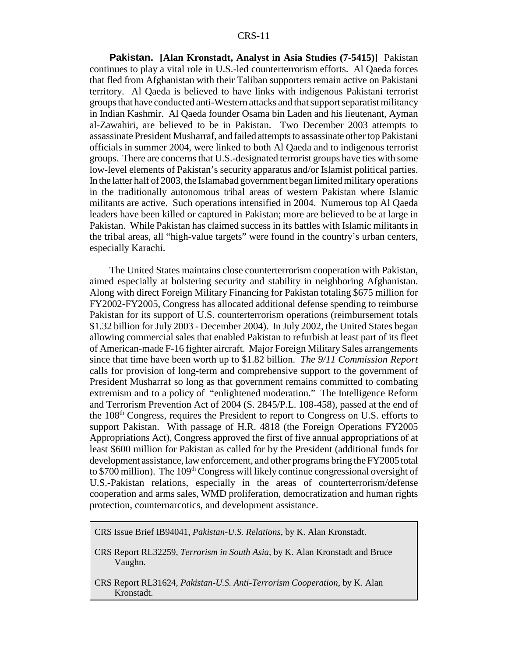**Pakistan. [Alan Kronstadt, Analyst in Asia Studies (7-5415)]** Pakistan continues to play a vital role in U.S.-led counterterrorism efforts. Al Qaeda forces that fled from Afghanistan with their Taliban supporters remain active on Pakistani territory. Al Qaeda is believed to have links with indigenous Pakistani terrorist groups that have conducted anti-Western attacks and that support separatist militancy in Indian Kashmir. Al Qaeda founder Osama bin Laden and his lieutenant, Ayman al-Zawahiri, are believed to be in Pakistan. Two December 2003 attempts to assassinate President Musharraf, and failed attempts to assassinate other top Pakistani officials in summer 2004, were linked to both Al Qaeda and to indigenous terrorist groups. There are concerns that U.S.-designated terrorist groups have ties with some low-level elements of Pakistan's security apparatus and/or Islamist political parties. In the latter half of 2003, the Islamabad government began limited military operations in the traditionally autonomous tribal areas of western Pakistan where Islamic militants are active. Such operations intensified in 2004. Numerous top Al Qaeda leaders have been killed or captured in Pakistan; more are believed to be at large in Pakistan. While Pakistan has claimed success in its battles with Islamic militants in the tribal areas, all "high-value targets" were found in the country's urban centers, especially Karachi.

The United States maintains close counterterrorism cooperation with Pakistan, aimed especially at bolstering security and stability in neighboring Afghanistan. Along with direct Foreign Military Financing for Pakistan totaling \$675 million for FY2002-FY2005, Congress has allocated additional defense spending to reimburse Pakistan for its support of U.S. counterterrorism operations (reimbursement totals \$1.32 billion for July 2003 - December 2004). In July 2002, the United States began allowing commercial sales that enabled Pakistan to refurbish at least part of its fleet of American-made F-16 fighter aircraft. Major Foreign Military Sales arrangements since that time have been worth up to \$1.82 billion. *The 9/11 Commission Report* calls for provision of long-term and comprehensive support to the government of President Musharraf so long as that government remains committed to combating extremism and to a policy of "enlightened moderation." The Intelligence Reform and Terrorism Prevention Act of 2004 (S. 2845/P.L. 108-458), passed at the end of the 108th Congress, requires the President to report to Congress on U.S. efforts to support Pakistan. With passage of H.R. 4818 (the Foreign Operations FY2005 Appropriations Act), Congress approved the first of five annual appropriations of at least \$600 million for Pakistan as called for by the President (additional funds for development assistance, law enforcement, and other programs bring the FY2005 total to \$700 million). The 109<sup>th</sup> Congress will likely continue congressional oversight of U.S.-Pakistan relations, especially in the areas of counterterrorism/defense cooperation and arms sales, WMD proliferation, democratization and human rights protection, counternarcotics, and development assistance.

CRS Issue Brief IB94041, *Pakistan-U.S. Relations*, by K. Alan Kronstadt.

- CRS Report RL32259, *Terrorism in South Asia*, by K. Alan Kronstadt and Bruce Vaughn.
- CRS Report RL31624, *Pakistan-U.S. Anti-Terrorism Cooperation*, by K. Alan Kronstadt.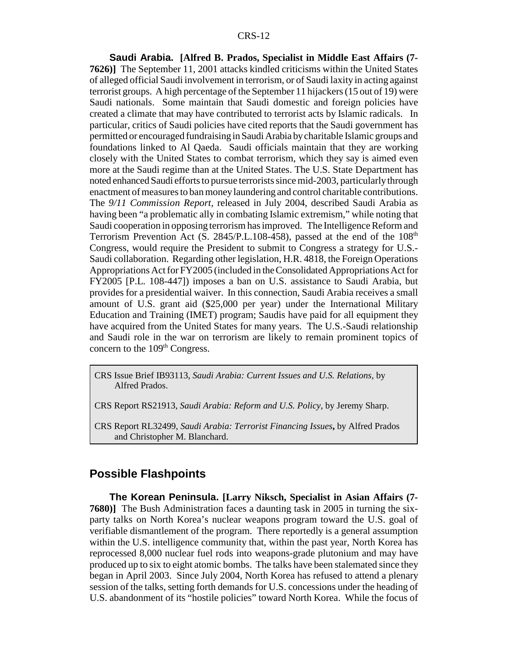**Saudi Arabia. [Alfred B. Prados, Specialist in Middle East Affairs (7- 7626)]** The September 11, 2001 attacks kindled criticisms within the United States of alleged official Saudi involvement in terrorism, or of Saudi laxity in acting against terrorist groups. A high percentage of the September 11 hijackers (15 out of 19) were Saudi nationals. Some maintain that Saudi domestic and foreign policies have created a climate that may have contributed to terrorist acts by Islamic radicals. In particular, critics of Saudi policies have cited reports that the Saudi government has permitted or encouraged fundraising in Saudi Arabia by charitable Islamic groups and foundations linked to Al Qaeda. Saudi officials maintain that they are working closely with the United States to combat terrorism, which they say is aimed even more at the Saudi regime than at the United States. The U.S. State Department has noted enhanced Saudi efforts to pursue terrorists since mid-2003, particularly through enactment of measures to ban money laundering and control charitable contributions. The *9/11 Commission Report*, released in July 2004, described Saudi Arabia as having been "a problematic ally in combating Islamic extremism," while noting that Saudi cooperation in opposing terrorism has improved. The Intelligence Reform and Terrorism Prevention Act (S. 2845/P.L.108-458), passed at the end of the  $108<sup>th</sup>$ Congress, would require the President to submit to Congress a strategy for U.S.- Saudi collaboration. Regarding other legislation, H.R. 4818, the Foreign Operations Appropriations Act for FY2005 (included in the Consolidated Appropriations Act for FY2005 [P.L. 108-447]) imposes a ban on U.S. assistance to Saudi Arabia, but provides for a presidential waiver. In this connection, Saudi Arabia receives a small amount of U.S. grant aid (\$25,000 per year) under the International Military Education and Training (IMET) program; Saudis have paid for all equipment they have acquired from the United States for many years. The U.S.-Saudi relationship and Saudi role in the war on terrorism are likely to remain prominent topics of concern to the 109<sup>th</sup> Congress.

CRS Issue Brief IB93113, *Saudi Arabia: Current Issues and U.S. Relations*, by Alfred Prados.

CRS Report RS21913, *Saudi Arabia: Reform and U.S. Policy*, by Jeremy Sharp.

CRS Report RL32499, *Saudi Arabia: Terrorist Financing Issues***,** by Alfred Prados and Christopher M. Blanchard.

### **Possible Flashpoints**

**The Korean Peninsula. [Larry Niksch, Specialist in Asian Affairs (7- 7680)]** The Bush Administration faces a daunting task in 2005 in turning the sixparty talks on North Korea's nuclear weapons program toward the U.S. goal of verifiable dismantlement of the program. There reportedly is a general assumption within the U.S. intelligence community that, within the past year, North Korea has reprocessed 8,000 nuclear fuel rods into weapons-grade plutonium and may have produced up to six to eight atomic bombs. The talks have been stalemated since they began in April 2003. Since July 2004, North Korea has refused to attend a plenary session of the talks, setting forth demands for U.S. concessions under the heading of U.S. abandonment of its "hostile policies" toward North Korea. While the focus of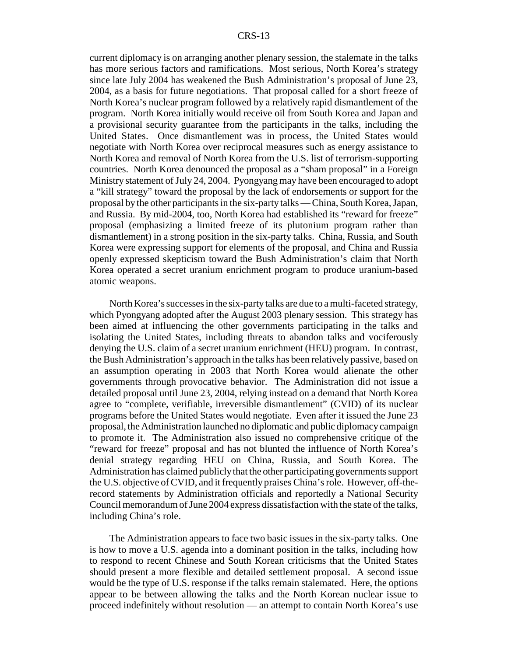current diplomacy is on arranging another plenary session, the stalemate in the talks has more serious factors and ramifications. Most serious, North Korea's strategy since late July 2004 has weakened the Bush Administration's proposal of June 23, 2004, as a basis for future negotiations. That proposal called for a short freeze of North Korea's nuclear program followed by a relatively rapid dismantlement of the program. North Korea initially would receive oil from South Korea and Japan and a provisional security guarantee from the participants in the talks, including the United States. Once dismantlement was in process, the United States would negotiate with North Korea over reciprocal measures such as energy assistance to North Korea and removal of North Korea from the U.S. list of terrorism-supporting countries. North Korea denounced the proposal as a "sham proposal" in a Foreign Ministry statement of July 24, 2004. Pyongyang may have been encouraged to adopt a "kill strategy" toward the proposal by the lack of endorsements or support for the proposal by the other participants in the six-party talks — China, South Korea, Japan, and Russia. By mid-2004, too, North Korea had established its "reward for freeze" proposal (emphasizing a limited freeze of its plutonium program rather than dismantlement) in a strong position in the six-party talks. China, Russia, and South Korea were expressing support for elements of the proposal, and China and Russia openly expressed skepticism toward the Bush Administration's claim that North Korea operated a secret uranium enrichment program to produce uranium-based atomic weapons.

North Korea's successes in the six-party talks are due to a multi-faceted strategy, which Pyongyang adopted after the August 2003 plenary session. This strategy has been aimed at influencing the other governments participating in the talks and isolating the United States, including threats to abandon talks and vociferously denying the U.S. claim of a secret uranium enrichment (HEU) program. In contrast, the Bush Administration's approach in the talks has been relatively passive, based on an assumption operating in 2003 that North Korea would alienate the other governments through provocative behavior. The Administration did not issue a detailed proposal until June 23, 2004, relying instead on a demand that North Korea agree to "complete, verifiable, irreversible dismantlement" (CVID) of its nuclear programs before the United States would negotiate. Even after it issued the June 23 proposal, the Administration launched no diplomatic and public diplomacy campaign to promote it. The Administration also issued no comprehensive critique of the "reward for freeze" proposal and has not blunted the influence of North Korea's denial strategy regarding HEU on China, Russia, and South Korea. The Administration has claimed publicly that the other participating governments support the U.S. objective of CVID, and it frequently praises China's role. However, off-therecord statements by Administration officials and reportedly a National Security Council memorandum of June 2004 express dissatisfaction with the state of the talks, including China's role.

The Administration appears to face two basic issues in the six-party talks. One is how to move a U.S. agenda into a dominant position in the talks, including how to respond to recent Chinese and South Korean criticisms that the United States should present a more flexible and detailed settlement proposal. A second issue would be the type of U.S. response if the talks remain stalemated. Here, the options appear to be between allowing the talks and the North Korean nuclear issue to proceed indefinitely without resolution — an attempt to contain North Korea's use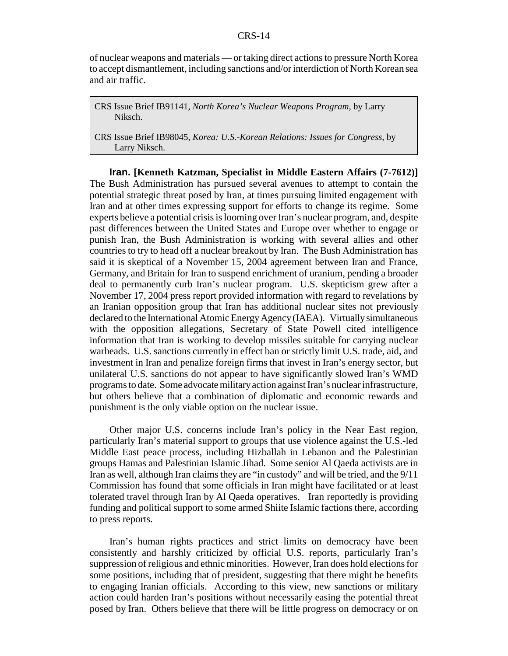of nuclear weapons and materials — or taking direct actions to pressure North Korea to accept dismantlement, including sanctions and/or interdiction of North Korean sea and air traffic.

CRS Issue Brief IB91141, *North Korea's Nuclear Weapons Program*, by Larry Niksch.

CRS Issue Brief IB98045, *Korea: U.S.-Korean Relations: Issues for Congress*, by Larry Niksch.

**Iran. [Kenneth Katzman, Specialist in Middle Eastern Affairs (7-7612)]** The Bush Administration has pursued several avenues to attempt to contain the potential strategic threat posed by Iran, at times pursuing limited engagement with Iran and at other times expressing support for efforts to change its regime. Some experts believe a potential crisis is looming over Iran's nuclear program, and, despite past differences between the United States and Europe over whether to engage or punish Iran, the Bush Administration is working with several allies and other countries to try to head off a nuclear breakout by Iran. The Bush Administration has said it is skeptical of a November 15, 2004 agreement between Iran and France, Germany, and Britain for Iran to suspend enrichment of uranium, pending a broader deal to permanently curb Iran's nuclear program. U.S. skepticism grew after a November 17, 2004 press report provided information with regard to revelations by an Iranian opposition group that Iran has additional nuclear sites not previously declared to the International Atomic Energy Agency (IAEA). Virtually simultaneous with the opposition allegations, Secretary of State Powell cited intelligence information that Iran is working to develop missiles suitable for carrying nuclear warheads. U.S. sanctions currently in effect ban or strictly limit U.S. trade, aid, and investment in Iran and penalize foreign firms that invest in Iran's energy sector, but unilateral U.S. sanctions do not appear to have significantly slowed Iran's WMD programs to date. Some advocate military action against Iran's nuclear infrastructure, but others believe that a combination of diplomatic and economic rewards and punishment is the only viable option on the nuclear issue.

Other major U.S. concerns include Iran's policy in the Near East region, particularly Iran's material support to groups that use violence against the U.S.-led Middle East peace process, including Hizballah in Lebanon and the Palestinian groups Hamas and Palestinian Islamic Jihad. Some senior Al Qaeda activists are in Iran as well, although Iran claims they are "in custody" and will be tried, and the 9/11 Commission has found that some officials in Iran might have facilitated or at least tolerated travel through Iran by Al Qaeda operatives. Iran reportedly is providing funding and political support to some armed Shiite Islamic factions there, according to press reports.

Iran's human rights practices and strict limits on democracy have been consistently and harshly criticized by official U.S. reports, particularly Iran's suppression of religious and ethnic minorities. However, Iran does hold elections for some positions, including that of president, suggesting that there might be benefits to engaging Iranian officials. According to this view, new sanctions or military action could harden Iran's positions without necessarily easing the potential threat posed by Iran. Others believe that there will be little progress on democracy or on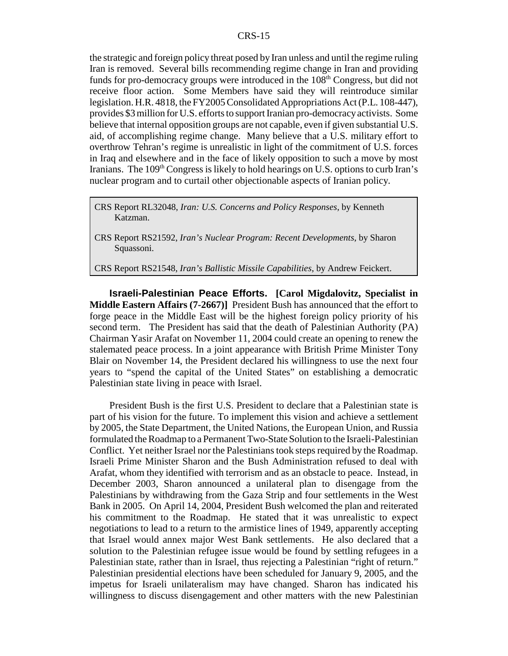the strategic and foreign policy threat posed by Iran unless and until the regime ruling Iran is removed. Several bills recommending regime change in Iran and providing funds for pro-democracy groups were introduced in the  $108<sup>th</sup>$  Congress, but did not receive floor action. Some Members have said they will reintroduce similar legislation. H.R. 4818, the FY2005 Consolidated Appropriations Act (P.L. 108-447), provides \$3 million for U.S. efforts to support Iranian pro-democracy activists. Some believe that internal opposition groups are not capable, even if given substantial U.S. aid, of accomplishing regime change. Many believe that a U.S. military effort to overthrow Tehran's regime is unrealistic in light of the commitment of U.S. forces in Iraq and elsewhere and in the face of likely opposition to such a move by most Iranians. The 109<sup>th</sup> Congress is likely to hold hearings on U.S. options to curb Iran's nuclear program and to curtail other objectionable aspects of Iranian policy.

CRS Report RL32048, *Iran: U.S. Concerns and Policy Responses*, by Kenneth Katzman.

CRS Report RS21548, *Iran's Ballistic Missile Capabilities*, by Andrew Feickert.

**Israeli-Palestinian Peace Efforts. [Carol Migdalovitz, Specialist in Middle Eastern Affairs (7-2667)]** President Bush has announced that the effort to forge peace in the Middle East will be the highest foreign policy priority of his second term. The President has said that the death of Palestinian Authority (PA) Chairman Yasir Arafat on November 11, 2004 could create an opening to renew the stalemated peace process. In a joint appearance with British Prime Minister Tony Blair on November 14, the President declared his willingness to use the next four years to "spend the capital of the United States" on establishing a democratic Palestinian state living in peace with Israel.

President Bush is the first U.S. President to declare that a Palestinian state is part of his vision for the future. To implement this vision and achieve a settlement by 2005, the State Department, the United Nations, the European Union, and Russia formulated the Roadmap to a Permanent Two-State Solution to the Israeli-Palestinian Conflict. Yet neither Israel nor the Palestinians took steps required by the Roadmap. Israeli Prime Minister Sharon and the Bush Administration refused to deal with Arafat, whom they identified with terrorism and as an obstacle to peace. Instead, in December 2003, Sharon announced a unilateral plan to disengage from the Palestinians by withdrawing from the Gaza Strip and four settlements in the West Bank in 2005. On April 14, 2004, President Bush welcomed the plan and reiterated his commitment to the Roadmap. He stated that it was unrealistic to expect negotiations to lead to a return to the armistice lines of 1949, apparently accepting that Israel would annex major West Bank settlements. He also declared that a solution to the Palestinian refugee issue would be found by settling refugees in a Palestinian state, rather than in Israel, thus rejecting a Palestinian "right of return." Palestinian presidential elections have been scheduled for January 9, 2005, and the impetus for Israeli unilateralism may have changed. Sharon has indicated his willingness to discuss disengagement and other matters with the new Palestinian

CRS Report RS21592, *Iran's Nuclear Program: Recent Developments*, by Sharon Squassoni.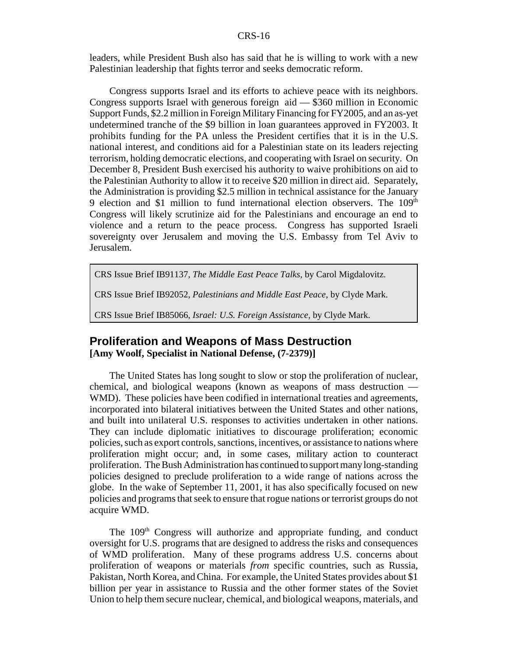leaders, while President Bush also has said that he is willing to work with a new Palestinian leadership that fights terror and seeks democratic reform.

Congress supports Israel and its efforts to achieve peace with its neighbors. Congress supports Israel with generous foreign aid — \$360 million in Economic Support Funds, \$2.2 million in Foreign Military Financing for FY2005, and an as-yet undetermined tranche of the \$9 billion in loan guarantees approved in FY2003. It prohibits funding for the PA unless the President certifies that it is in the U.S. national interest, and conditions aid for a Palestinian state on its leaders rejecting terrorism, holding democratic elections, and cooperating with Israel on security. On December 8, President Bush exercised his authority to waive prohibitions on aid to the Palestinian Authority to allow it to receive \$20 million in direct aid. Separately, the Administration is providing \$2.5 million in technical assistance for the January 9 election and \$1 million to fund international election observers. The  $109<sup>th</sup>$ Congress will likely scrutinize aid for the Palestinians and encourage an end to violence and a return to the peace process. Congress has supported Israeli sovereignty over Jerusalem and moving the U.S. Embassy from Tel Aviv to Jerusalem.

CRS Issue Brief IB91137, *The Middle East Peace Talks*, by Carol Migdalovitz.

CRS Issue Brief IB92052, *Palestinians and Middle East Peace*, by Clyde Mark.

CRS Issue Brief IB85066, *Israel: U.S. Foreign Assistance*, by Clyde Mark.

### **Proliferation and Weapons of Mass Destruction [Amy Woolf, Specialist in National Defense, (7-2379)]**

The United States has long sought to slow or stop the proliferation of nuclear, chemical, and biological weapons (known as weapons of mass destruction — WMD). These policies have been codified in international treaties and agreements, incorporated into bilateral initiatives between the United States and other nations, and built into unilateral U.S. responses to activities undertaken in other nations. They can include diplomatic initiatives to discourage proliferation; economic policies, such as export controls, sanctions, incentives, or assistance to nations where proliferation might occur; and, in some cases, military action to counteract proliferation. The Bush Administration has continued to support many long-standing policies designed to preclude proliferation to a wide range of nations across the globe. In the wake of September 11, 2001, it has also specifically focused on new policies and programs that seek to ensure that rogue nations or terrorist groups do not acquire WMD.

The 109<sup>th</sup> Congress will authorize and appropriate funding, and conduct oversight for U.S. programs that are designed to address the risks and consequences of WMD proliferation. Many of these programs address U.S. concerns about proliferation of weapons or materials *from* specific countries, such as Russia, Pakistan, North Korea, and China. For example, the United States provides about \$1 billion per year in assistance to Russia and the other former states of the Soviet Union to help them secure nuclear, chemical, and biological weapons, materials, and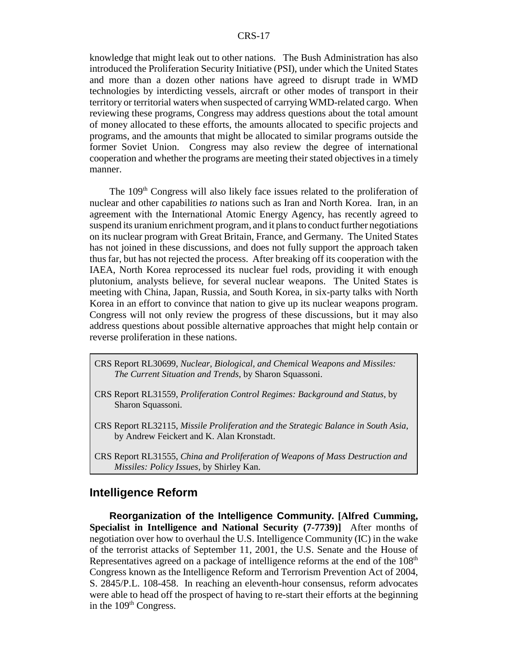knowledge that might leak out to other nations. The Bush Administration has also introduced the Proliferation Security Initiative (PSI), under which the United States and more than a dozen other nations have agreed to disrupt trade in WMD technologies by interdicting vessels, aircraft or other modes of transport in their territory or territorial waters when suspected of carrying WMD-related cargo. When reviewing these programs, Congress may address questions about the total amount of money allocated to these efforts, the amounts allocated to specific projects and programs, and the amounts that might be allocated to similar programs outside the former Soviet Union. Congress may also review the degree of international cooperation and whether the programs are meeting their stated objectives in a timely manner.

The 109<sup>th</sup> Congress will also likely face issues related to the proliferation of nuclear and other capabilities *to* nations such as Iran and North Korea. Iran, in an agreement with the International Atomic Energy Agency, has recently agreed to suspend its uranium enrichment program, and it plans to conduct further negotiations on its nuclear program with Great Britain, France, and Germany. The United States has not joined in these discussions, and does not fully support the approach taken thus far, but has not rejected the process. After breaking off its cooperation with the IAEA, North Korea reprocessed its nuclear fuel rods, providing it with enough plutonium, analysts believe, for several nuclear weapons. The United States is meeting with China, Japan, Russia, and South Korea, in six-party talks with North Korea in an effort to convince that nation to give up its nuclear weapons program. Congress will not only review the progress of these discussions, but it may also address questions about possible alternative approaches that might help contain or reverse proliferation in these nations.

- CRS Report RL30699, *Nuclear, Biological, and Chemical Weapons and Missiles: The Current Situation and Trends*, by Sharon Squassoni.
- CRS Report RL31559, *Proliferation Control Regimes: Background and Status*, by Sharon Squassoni.
- CRS Report RL32115, *Missile Proliferation and the Strategic Balance in South Asia*, by Andrew Feickert and K. Alan Kronstadt.
- CRS Report RL31555, *China and Proliferation of Weapons of Mass Destruction and Missiles: Policy Issues*, by Shirley Kan.

### **Intelligence Reform**

**Reorganization of the Intelligence Community. [Alfred Cumming, Specialist in Intelligence and National Security (7-7739)]** After months of negotiation over how to overhaul the U.S. Intelligence Community (IC) in the wake of the terrorist attacks of September 11, 2001, the U.S. Senate and the House of Representatives agreed on a package of intelligence reforms at the end of the  $108<sup>th</sup>$ Congress known as the Intelligence Reform and Terrorism Prevention Act of 2004, S. 2845/P.L. 108-458. In reaching an eleventh-hour consensus, reform advocates were able to head off the prospect of having to re-start their efforts at the beginning in the  $109<sup>th</sup> Congress.$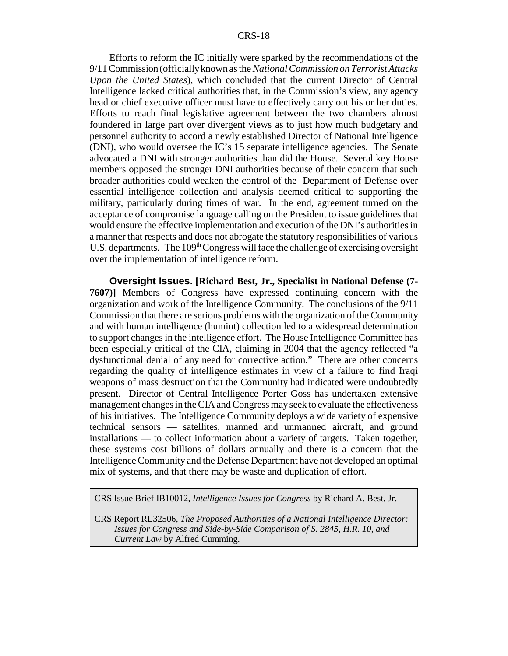Efforts to reform the IC initially were sparked by the recommendations of the 9/11 Commission (officially known as the *National Commission on Terrorist Attacks Upon the United States*), which concluded that the current Director of Central Intelligence lacked critical authorities that, in the Commission's view, any agency head or chief executive officer must have to effectively carry out his or her duties. Efforts to reach final legislative agreement between the two chambers almost foundered in large part over divergent views as to just how much budgetary and personnel authority to accord a newly established Director of National Intelligence (DNI), who would oversee the IC's 15 separate intelligence agencies. The Senate advocated a DNI with stronger authorities than did the House. Several key House members opposed the stronger DNI authorities because of their concern that such broader authorities could weaken the control of the Department of Defense over essential intelligence collection and analysis deemed critical to supporting the military, particularly during times of war. In the end, agreement turned on the acceptance of compromise language calling on the President to issue guidelines that would ensure the effective implementation and execution of the DNI's authorities in a manner that respects and does not abrogate the statutory responsibilities of various U.S. departments. The  $109<sup>th</sup> Congress$  will face the challenge of exercising oversight over the implementation of intelligence reform.

**Oversight Issues. [Richard Best, Jr., Specialist in National Defense (7- 7607)]** Members of Congress have expressed continuing concern with the organization and work of the Intelligence Community. The conclusions of the 9/11 Commission that there are serious problems with the organization of the Community and with human intelligence (humint) collection led to a widespread determination to support changes in the intelligence effort. The House Intelligence Committee has been especially critical of the CIA, claiming in 2004 that the agency reflected "a dysfunctional denial of any need for corrective action." There are other concerns regarding the quality of intelligence estimates in view of a failure to find Iraqi weapons of mass destruction that the Community had indicated were undoubtedly present. Director of Central Intelligence Porter Goss has undertaken extensive management changes in the CIA and Congress may seek to evaluate the effectiveness of his initiatives. The Intelligence Community deploys a wide variety of expensive technical sensors — satellites, manned and unmanned aircraft, and ground installations — to collect information about a variety of targets. Taken together, these systems cost billions of dollars annually and there is a concern that the Intelligence Community and the Defense Department have not developed an optimal mix of systems, and that there may be waste and duplication of effort.

CRS Issue Brief IB10012, *Intelligence Issues for Congress* by Richard A. Best, Jr.

CRS Report RL32506, *The Proposed Authorities of a National Intelligence Director: Issues for Congress and Side-by-Side Comparison of S. 2845, H.R. 10, and Current Law* by Alfred Cumming.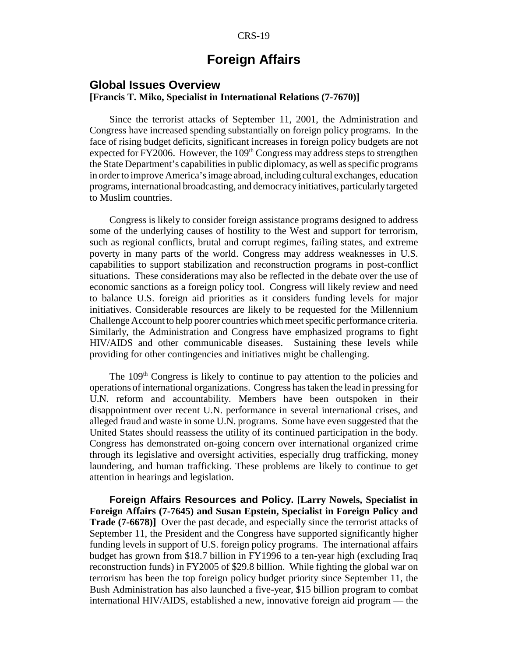### **Foreign Affairs**

### **Global Issues Overview [Francis T. Miko, Specialist in International Relations (7-7670)]**

Since the terrorist attacks of September 11, 2001, the Administration and Congress have increased spending substantially on foreign policy programs. In the face of rising budget deficits, significant increases in foreign policy budgets are not expected for FY2006. However, the  $109<sup>th</sup>$  Congress may address steps to strengthen the State Department's capabilities in public diplomacy, as well as specific programs in order to improve America's image abroad, including cultural exchanges, education programs, international broadcasting, and democracy initiatives, particularly targeted to Muslim countries.

Congress is likely to consider foreign assistance programs designed to address some of the underlying causes of hostility to the West and support for terrorism, such as regional conflicts, brutal and corrupt regimes, failing states, and extreme poverty in many parts of the world. Congress may address weaknesses in U.S. capabilities to support stabilization and reconstruction programs in post-conflict situations. These considerations may also be reflected in the debate over the use of economic sanctions as a foreign policy tool. Congress will likely review and need to balance U.S. foreign aid priorities as it considers funding levels for major initiatives. Considerable resources are likely to be requested for the Millennium Challenge Account to help poorer countries which meet specific performance criteria. Similarly, the Administration and Congress have emphasized programs to fight HIV/AIDS and other communicable diseases. Sustaining these levels while providing for other contingencies and initiatives might be challenging.

The 109<sup>th</sup> Congress is likely to continue to pay attention to the policies and operations of international organizations. Congress has taken the lead in pressing for U.N. reform and accountability. Members have been outspoken in their disappointment over recent U.N. performance in several international crises, and alleged fraud and waste in some U.N. programs. Some have even suggested that the United States should reassess the utility of its continued participation in the body. Congress has demonstrated on-going concern over international organized crime through its legislative and oversight activities, especially drug trafficking, money laundering, and human trafficking. These problems are likely to continue to get attention in hearings and legislation.

**Foreign Affairs Resources and Policy. [Larry Nowels, Specialist in Foreign Affairs (7-7645) and Susan Epstein, Specialist in Foreign Policy and Trade (7-6678)]** Over the past decade, and especially since the terrorist attacks of September 11, the President and the Congress have supported significantly higher funding levels in support of U.S. foreign policy programs. The international affairs budget has grown from \$18.7 billion in FY1996 to a ten-year high (excluding Iraq reconstruction funds) in FY2005 of \$29.8 billion. While fighting the global war on terrorism has been the top foreign policy budget priority since September 11, the Bush Administration has also launched a five-year, \$15 billion program to combat international HIV/AIDS, established a new, innovative foreign aid program — the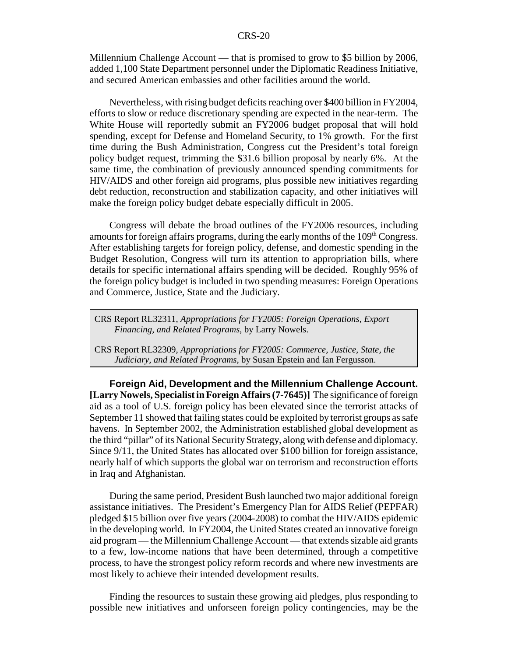Millennium Challenge Account — that is promised to grow to \$5 billion by 2006, added 1,100 State Department personnel under the Diplomatic Readiness Initiative, and secured American embassies and other facilities around the world.

Nevertheless, with rising budget deficits reaching over \$400 billion in FY2004, efforts to slow or reduce discretionary spending are expected in the near-term. The White House will reportedly submit an FY2006 budget proposal that will hold spending, except for Defense and Homeland Security, to 1% growth. For the first time during the Bush Administration, Congress cut the President's total foreign policy budget request, trimming the \$31.6 billion proposal by nearly 6%. At the same time, the combination of previously announced spending commitments for HIV/AIDS and other foreign aid programs, plus possible new initiatives regarding debt reduction, reconstruction and stabilization capacity, and other initiatives will make the foreign policy budget debate especially difficult in 2005.

Congress will debate the broad outlines of the FY2006 resources, including amounts for foreign affairs programs, during the early months of the  $109<sup>th</sup> Congress$ . After establishing targets for foreign policy, defense, and domestic spending in the Budget Resolution, Congress will turn its attention to appropriation bills, where details for specific international affairs spending will be decided. Roughly 95% of the foreign policy budget is included in two spending measures: Foreign Operations and Commerce, Justice, State and the Judiciary.

CRS Report RL32311, *Appropriations for FY2005: Foreign Operations, Export Financing, and Related Programs*, by Larry Nowels.

CRS Report RL32309, *Appropriations for FY2005: Commerce, Justice, State, the Judiciary, and Related Programs*, by Susan Epstein and Ian Fergusson.

**Foreign Aid, Development and the Millennium Challenge Account. [Larry Nowels, Specialist in Foreign Affairs (7-7645)]** The significance of foreign aid as a tool of U.S. foreign policy has been elevated since the terrorist attacks of September 11 showed that failing states could be exploited by terrorist groups as safe havens. In September 2002, the Administration established global development as the third "pillar" of its National Security Strategy, along with defense and diplomacy. Since 9/11, the United States has allocated over \$100 billion for foreign assistance, nearly half of which supports the global war on terrorism and reconstruction efforts in Iraq and Afghanistan.

During the same period, President Bush launched two major additional foreign assistance initiatives. The President's Emergency Plan for AIDS Relief (PEPFAR) pledged \$15 billion over five years (2004-2008) to combat the HIV/AIDS epidemic in the developing world. In FY2004, the United States created an innovative foreign aid program — the Millennium Challenge Account — that extends sizable aid grants to a few, low-income nations that have been determined, through a competitive process, to have the strongest policy reform records and where new investments are most likely to achieve their intended development results.

Finding the resources to sustain these growing aid pledges, plus responding to possible new initiatives and unforseen foreign policy contingencies, may be the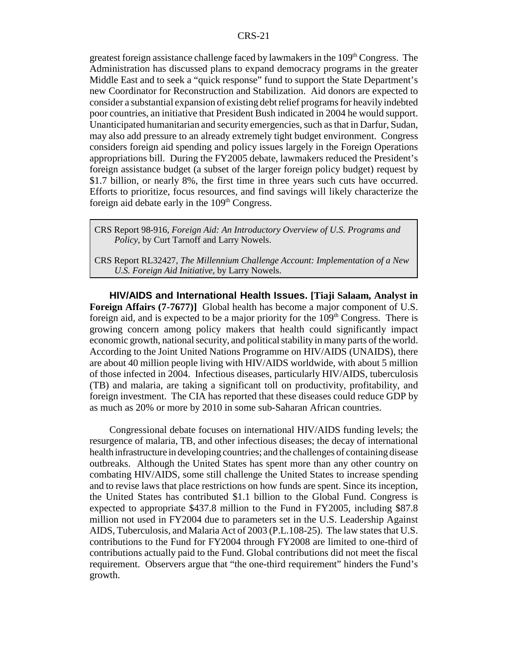greatest foreign assistance challenge faced by lawmakers in the  $109<sup>th</sup> Congress$ . The Administration has discussed plans to expand democracy programs in the greater Middle East and to seek a "quick response" fund to support the State Department's new Coordinator for Reconstruction and Stabilization. Aid donors are expected to consider a substantial expansion of existing debt relief programs for heavily indebted poor countries, an initiative that President Bush indicated in 2004 he would support. Unanticipated humanitarian and security emergencies, such as that in Darfur, Sudan, may also add pressure to an already extremely tight budget environment. Congress considers foreign aid spending and policy issues largely in the Foreign Operations appropriations bill. During the FY2005 debate, lawmakers reduced the President's foreign assistance budget (a subset of the larger foreign policy budget) request by \$1.7 billion, or nearly 8%, the first time in three years such cuts have occurred. Efforts to prioritize, focus resources, and find savings will likely characterize the foreign aid debate early in the  $109<sup>th</sup>$  Congress.

CRS Report 98-916, *Foreign Aid: An Introductory Overview of U.S. Programs and Policy,* by Curt Tarnoff and Larry Nowels.

CRS Report RL32427, *The Millennium Challenge Account: Implementation of a New U.S. Foreign Aid Initiative*, by Larry Nowels.

**HIV/AIDS and International Health Issues. [Tiaji Salaam, Analyst in Foreign Affairs (7-7677)]** Global health has become a major component of U.S. foreign aid, and is expected to be a major priority for the  $109<sup>th</sup>$  Congress. There is growing concern among policy makers that health could significantly impact economic growth, national security, and political stability in many parts of the world. According to the Joint United Nations Programme on HIV/AIDS (UNAIDS), there are about 40 million people living with HIV/AIDS worldwide, with about 5 million of those infected in 2004. Infectious diseases, particularly HIV/AIDS, tuberculosis (TB) and malaria, are taking a significant toll on productivity, profitability, and foreign investment. The CIA has reported that these diseases could reduce GDP by as much as 20% or more by 2010 in some sub-Saharan African countries.

Congressional debate focuses on international HIV/AIDS funding levels; the resurgence of malaria, TB, and other infectious diseases; the decay of international health infrastructure in developing countries; and the challenges of containing disease outbreaks. Although the United States has spent more than any other country on combating HIV/AIDS, some still challenge the United States to increase spending and to revise laws that place restrictions on how funds are spent. Since its inception, the United States has contributed \$1.1 billion to the Global Fund. Congress is expected to appropriate \$437.8 million to the Fund in FY2005, including \$87.8 million not used in FY2004 due to parameters set in the U.S. Leadership Against AIDS, Tuberculosis, and Malaria Act of 2003 (P.L.108-25). The law states that U.S. contributions to the Fund for FY2004 through FY2008 are limited to one-third of contributions actually paid to the Fund. Global contributions did not meet the fiscal requirement. Observers argue that "the one-third requirement" hinders the Fund's growth.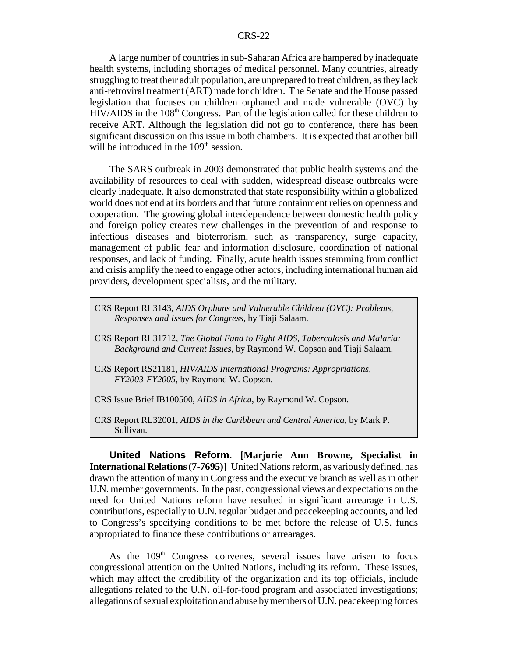A large number of countries in sub-Saharan Africa are hampered by inadequate health systems, including shortages of medical personnel. Many countries, already struggling to treat their adult population, are unprepared to treat children, as they lack anti-retroviral treatment (ART) made for children. The Senate and the House passed legislation that focuses on children orphaned and made vulnerable (OVC) by HIV/AIDS in the 108<sup>th</sup> Congress. Part of the legislation called for these children to receive ART. Although the legislation did not go to conference, there has been significant discussion on this issue in both chambers. It is expected that another bill will be introduced in the  $109<sup>th</sup>$  session.

The SARS outbreak in 2003 demonstrated that public health systems and the availability of resources to deal with sudden, widespread disease outbreaks were clearly inadequate. It also demonstrated that state responsibility within a globalized world does not end at its borders and that future containment relies on openness and cooperation. The growing global interdependence between domestic health policy and foreign policy creates new challenges in the prevention of and response to infectious diseases and bioterrorism, such as transparency, surge capacity, management of public fear and information disclosure, coordination of national responses, and lack of funding. Finally, acute health issues stemming from conflict and crisis amplify the need to engage other actors, including international human aid providers, development specialists, and the military.

CRS Report RL3143, *AIDS Orphans and Vulnerable Children (OVC): Problems, Responses and Issues for Congress*, by Tiaji Salaam.

- CRS Report RL31712, *The Global Fund to Fight AIDS, Tuberculosis and Malaria: Background and Current Issues*, by Raymond W. Copson and Tiaji Salaam.
- CRS Report RS21181, *HIV/AIDS International Programs: Appropriations, FY2003-FY2005*, by Raymond W. Copson.
- CRS Issue Brief IB100500, *AIDS in Africa*, by Raymond W. Copson.
- CRS Report RL32001, *AIDS in the Caribbean and Central America*, by Mark P. Sullivan.

**United Nations Reform. [Marjorie Ann Browne, Specialist in International Relations (7-7695)]** United Nations reform, as variously defined, has drawn the attention of many in Congress and the executive branch as well as in other U.N. member governments. In the past, congressional views and expectations on the need for United Nations reform have resulted in significant arrearage in U.S. contributions, especially to U.N. regular budget and peacekeeping accounts, and led to Congress's specifying conditions to be met before the release of U.S. funds appropriated to finance these contributions or arrearages.

As the  $109<sup>th</sup>$  Congress convenes, several issues have arisen to focus congressional attention on the United Nations, including its reform. These issues, which may affect the credibility of the organization and its top officials, include allegations related to the U.N. oil-for-food program and associated investigations; allegations of sexual exploitation and abuse by members of U.N. peacekeeping forces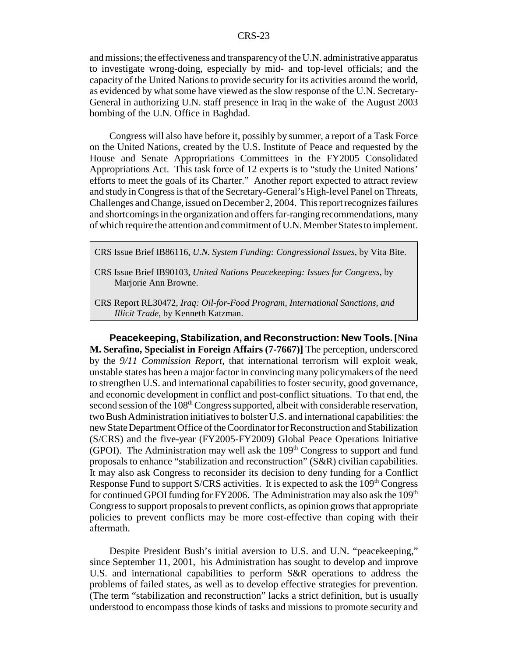and missions; the effectiveness and transparency of the U.N. administrative apparatus to investigate wrong-doing, especially by mid- and top-level officials; and the capacity of the United Nations to provide security for its activities around the world, as evidenced by what some have viewed as the slow response of the U.N. Secretary-General in authorizing U.N. staff presence in Iraq in the wake of the August 2003 bombing of the U.N. Office in Baghdad.

Congress will also have before it, possibly by summer, a report of a Task Force on the United Nations, created by the U.S. Institute of Peace and requested by the House and Senate Appropriations Committees in the FY2005 Consolidated Appropriations Act. This task force of 12 experts is to "study the United Nations' efforts to meet the goals of its Charter." Another report expected to attract review and study in Congress is that of the Secretary-General's High-level Panel on Threats, Challenges and Change, issued on December 2, 2004. This report recognizes failures and shortcomings in the organization and offers far-ranging recommendations, many of which require the attention and commitment of U.N. Member States to implement.

CRS Issue Brief IB86116, *U.N. System Funding: Congressional Issues*, by Vita Bite.

CRS Issue Brief IB90103, *United Nations Peacekeeping: Issues for Congress*, by Marjorie Ann Browne.

CRS Report RL30472, *Iraq: Oil-for-Food Program, International Sanctions, and Illicit Trade*, by Kenneth Katzman.

**Peacekeeping, Stabilization, and Reconstruction: New Tools.[Nina M. Serafino, Specialist in Foreign Affairs (7-7667)]** The perception, underscored by the *9/11 Commission Report*, that international terrorism will exploit weak, unstable states has been a major factor in convincing many policymakers of the need to strengthen U.S. and international capabilities to foster security, good governance, and economic development in conflict and post-conflict situations. To that end, the second session of the 108<sup>th</sup> Congress supported, albeit with considerable reservation, two Bush Administration initiatives to bolster U.S. and international capabilities: the new State Department Office of the Coordinator for Reconstruction and Stabilization (S/CRS) and the five-year (FY2005-FY2009) Global Peace Operations Initiative (GPOI). The Administration may well ask the  $109<sup>th</sup>$  Congress to support and fund proposals to enhance "stabilization and reconstruction" (S&R) civilian capabilities. It may also ask Congress to reconsider its decision to deny funding for a Conflict Response Fund to support  $S/CRS$  activities. It is expected to ask the  $109<sup>th</sup> Congress$ for continued GPOI funding for FY2006. The Administration may also ask the  $109<sup>th</sup>$ Congress to support proposals to prevent conflicts, as opinion grows that appropriate policies to prevent conflicts may be more cost-effective than coping with their aftermath.

Despite President Bush's initial aversion to U.S. and U.N. "peacekeeping," since September 11, 2001, his Administration has sought to develop and improve U.S. and international capabilities to perform S&R operations to address the problems of failed states, as well as to develop effective strategies for prevention. (The term "stabilization and reconstruction" lacks a strict definition, but is usually understood to encompass those kinds of tasks and missions to promote security and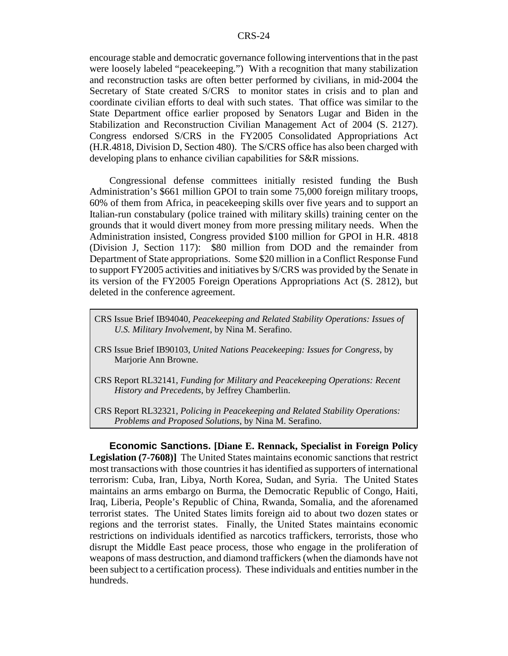encourage stable and democratic governance following interventions that in the past were loosely labeled "peacekeeping.") With a recognition that many stabilization and reconstruction tasks are often better performed by civilians, in mid-2004 the Secretary of State created S/CRS to monitor states in crisis and to plan and coordinate civilian efforts to deal with such states. That office was similar to the State Department office earlier proposed by Senators Lugar and Biden in the Stabilization and Reconstruction Civilian Management Act of 2004 (S. 2127). Congress endorsed S/CRS in the FY2005 Consolidated Appropriations Act (H.R.4818, Division D, Section 480). The S/CRS office has also been charged with developing plans to enhance civilian capabilities for S&R missions.

Congressional defense committees initially resisted funding the Bush Administration's \$661 million GPOI to train some 75,000 foreign military troops, 60% of them from Africa, in peacekeeping skills over five years and to support an Italian-run constabulary (police trained with military skills) training center on the grounds that it would divert money from more pressing military needs. When the Administration insisted, Congress provided \$100 million for GPOI in H.R. 4818 (Division J, Section 117): \$80 million from DOD and the remainder from Department of State appropriations. Some \$20 million in a Conflict Response Fund to support FY2005 activities and initiatives by S/CRS was provided by the Senate in its version of the FY2005 Foreign Operations Appropriations Act (S. 2812), but deleted in the conference agreement.

- CRS Issue Brief IB94040, *Peacekeeping and Related Stability Operations: Issues of U.S. Military Involvement*, by Nina M. Serafino.
- CRS Issue Brief IB90103, *United Nations Peacekeeping: Issues for Congress*, by Marjorie Ann Browne.
- CRS Report RL32141, *Funding for Military and Peacekeeping Operations: Recent History and Precedents*, by Jeffrey Chamberlin.
- CRS Report RL32321, *Policing in Peacekeeping and Related Stability Operations: Problems and Proposed Solutions*, by Nina M. Serafino.

**Economic Sanctions. [Diane E. Rennack, Specialist in Foreign Policy Legislation (7-7608)]** The United States maintains economic sanctions that restrict most transactions with those countries it has identified as supporters of international terrorism: Cuba, Iran, Libya, North Korea, Sudan, and Syria. The United States maintains an arms embargo on Burma, the Democratic Republic of Congo, Haiti, Iraq, Liberia, People's Republic of China, Rwanda, Somalia, and the aforenamed terrorist states. The United States limits foreign aid to about two dozen states or regions and the terrorist states. Finally, the United States maintains economic restrictions on individuals identified as narcotics traffickers, terrorists, those who disrupt the Middle East peace process, those who engage in the proliferation of weapons of mass destruction, and diamond traffickers (when the diamonds have not been subject to a certification process). These individuals and entities number in the hundreds.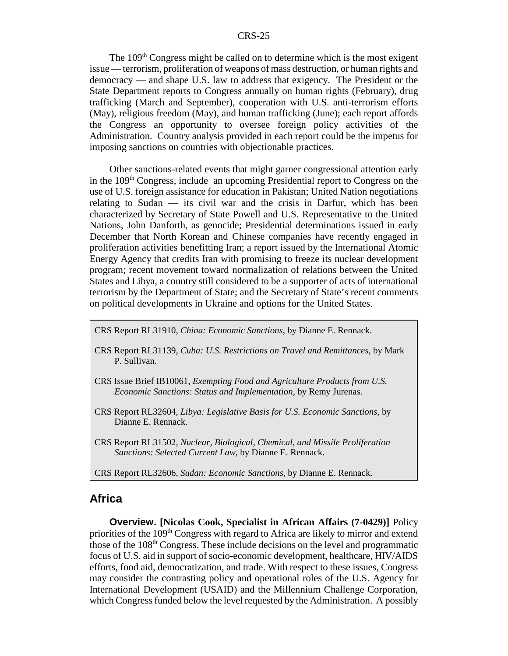The  $109<sup>th</sup>$  Congress might be called on to determine which is the most exigent issue — terrorism, proliferation of weapons of mass destruction, or human rights and democracy — and shape U.S. law to address that exigency. The President or the State Department reports to Congress annually on human rights (February), drug trafficking (March and September), cooperation with U.S. anti-terrorism efforts (May), religious freedom (May), and human trafficking (June); each report affords the Congress an opportunity to oversee foreign policy activities of the Administration. Country analysis provided in each report could be the impetus for imposing sanctions on countries with objectionable practices.

Other sanctions-related events that might garner congressional attention early in the 109<sup>th</sup> Congress, include an upcoming Presidential report to Congress on the use of U.S. foreign assistance for education in Pakistan; United Nation negotiations relating to Sudan — its civil war and the crisis in Darfur, which has been characterized by Secretary of State Powell and U.S. Representative to the United Nations, John Danforth, as genocide; Presidential determinations issued in early December that North Korean and Chinese companies have recently engaged in proliferation activities benefitting Iran; a report issued by the International Atomic Energy Agency that credits Iran with promising to freeze its nuclear development program; recent movement toward normalization of relations between the United States and Libya, a country still considered to be a supporter of acts of international terrorism by the Department of State; and the Secretary of State's recent comments on political developments in Ukraine and options for the United States.

CRS Report RL31910, *China: Economic Sanctions*, by Dianne E. Rennack.

- CRS Report RL31139, *Cuba: U.S. Restrictions on Travel and Remittances*, by Mark P. Sullivan.
- CRS Issue Brief IB10061, *Exempting Food and Agriculture Products from U.S. Economic Sanctions: Status and Implementation*, by Remy Jurenas.
- CRS Report RL32604, *Libya: Legislative Basis for U.S. Economic Sanctions*, by Dianne E. Rennack.
- CRS Report RL31502, *Nuclear, Biological, Chemical, and Missile Proliferation Sanctions: Selected Current Law*, by Dianne E. Rennack.
- CRS Report RL32606, *Sudan: Economic Sanctions*, by Dianne E. Rennack.

### **Africa**

**Overview. [Nicolas Cook, Specialist in African Affairs (7-0429)]** Policy priorities of the 109<sup>th</sup> Congress with regard to Africa are likely to mirror and extend those of the 108<sup>th</sup> Congress. These include decisions on the level and programmatic focus of U.S. aid in support of socio-economic development, healthcare, HIV/AIDS efforts, food aid, democratization, and trade. With respect to these issues, Congress may consider the contrasting policy and operational roles of the U.S. Agency for International Development (USAID) and the Millennium Challenge Corporation, which Congress funded below the level requested by the Administration. A possibly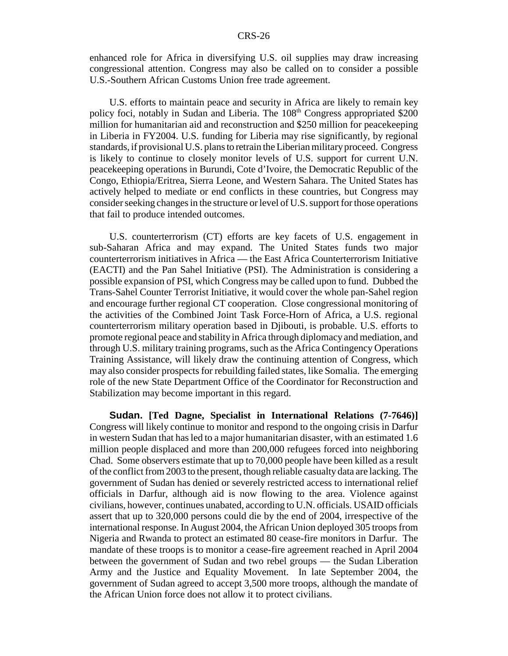enhanced role for Africa in diversifying U.S. oil supplies may draw increasing congressional attention. Congress may also be called on to consider a possible U.S.-Southern African Customs Union free trade agreement.

U.S. efforts to maintain peace and security in Africa are likely to remain key policy foci, notably in Sudan and Liberia. The 108<sup>th</sup> Congress appropriated \$200 million for humanitarian aid and reconstruction and \$250 million for peacekeeping in Liberia in FY2004. U.S. funding for Liberia may rise significantly, by regional standards, if provisional U.S. plans to retrain the Liberian military proceed. Congress is likely to continue to closely monitor levels of U.S. support for current U.N. peacekeeping operations in Burundi, Cote d'Ivoire, the Democratic Republic of the Congo, Ethiopia/Eritrea, Sierra Leone, and Western Sahara. The United States has actively helped to mediate or end conflicts in these countries, but Congress may consider seeking changes in the structure or level of U.S. support for those operations that fail to produce intended outcomes.

U.S. counterterrorism (CT) efforts are key facets of U.S. engagement in sub-Saharan Africa and may expand. The United States funds two major counterterrorism initiatives in Africa — the East Africa Counterterrorism Initiative (EACTI) and the Pan Sahel Initiative (PSI). The Administration is considering a possible expansion of PSI, which Congress may be called upon to fund. Dubbed the Trans-Sahel Counter Terrorist Initiative, it would cover the whole pan-Sahel region and encourage further regional CT cooperation. Close congressional monitoring of the activities of the Combined Joint Task Force-Horn of Africa, a U.S. regional counterterrorism military operation based in Djibouti, is probable. U.S. efforts to promote regional peace and stability in Africa through diplomacy and mediation, and through U.S. military training programs, such as the Africa Contingency Operations Training Assistance, will likely draw the continuing attention of Congress, which may also consider prospects for rebuilding failed states, like Somalia. The emerging role of the new State Department Office of the Coordinator for Reconstruction and Stabilization may become important in this regard.

**Sudan. [Ted Dagne, Specialist in International Relations (7-7646)]** Congress will likely continue to monitor and respond to the ongoing crisis in Darfur in western Sudan that has led to a major humanitarian disaster, with an estimated 1.6 million people displaced and more than 200,000 refugees forced into neighboring Chad. Some observers estimate that up to 70,000 people have been killed as a result of the conflict from 2003 to the present, though reliable casualty data are lacking. The government of Sudan has denied or severely restricted access to international relief officials in Darfur, although aid is now flowing to the area. Violence against civilians, however, continues unabated, according to U.N. officials. USAID officials assert that up to 320,000 persons could die by the end of 2004, irrespective of the international response. In August 2004, the African Union deployed 305 troops from Nigeria and Rwanda to protect an estimated 80 cease-fire monitors in Darfur. The mandate of these troops is to monitor a cease-fire agreement reached in April 2004 between the government of Sudan and two rebel groups — the Sudan Liberation Army and the Justice and Equality Movement. In late September 2004, the government of Sudan agreed to accept 3,500 more troops, although the mandate of the African Union force does not allow it to protect civilians.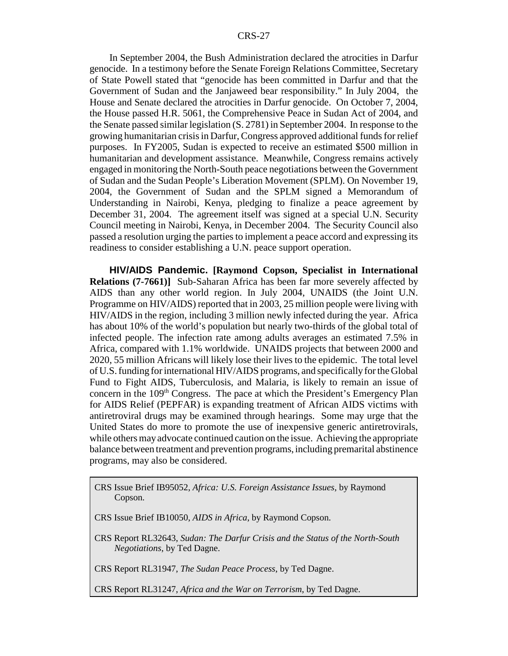In September 2004, the Bush Administration declared the atrocities in Darfur genocide. In a testimony before the Senate Foreign Relations Committee, Secretary of State Powell stated that "genocide has been committed in Darfur and that the Government of Sudan and the Janjaweed bear responsibility." In July 2004, the House and Senate declared the atrocities in Darfur genocide. On October 7, 2004, the House passed H.R. 5061, the Comprehensive Peace in Sudan Act of 2004, and the Senate passed similar legislation (S. 2781) in September 2004. In response to the growing humanitarian crisis in Darfur, Congress approved additional funds for relief purposes. In FY2005, Sudan is expected to receive an estimated \$500 million in humanitarian and development assistance. Meanwhile, Congress remains actively engaged in monitoring the North-South peace negotiations between the Government of Sudan and the Sudan People's Liberation Movement (SPLM). On November 19, 2004, the Government of Sudan and the SPLM signed a Memorandum of Understanding in Nairobi, Kenya, pledging to finalize a peace agreement by December 31, 2004. The agreement itself was signed at a special U.N. Security Council meeting in Nairobi, Kenya, in December 2004. The Security Council also passed a resolution urging the parties to implement a peace accord and expressing its readiness to consider establishing a U.N. peace support operation.

**HIV/AIDS Pandemic. [Raymond Copson, Specialist in International Relations (7-7661)]** Sub-Saharan Africa has been far more severely affected by AIDS than any other world region. In July 2004, UNAIDS (the Joint U.N. Programme on HIV/AIDS) reported that in 2003, 25 million people were living with HIV/AIDS in the region, including 3 million newly infected during the year. Africa has about 10% of the world's population but nearly two-thirds of the global total of infected people. The infection rate among adults averages an estimated 7.5% in Africa, compared with 1.1% worldwide. UNAIDS projects that between 2000 and 2020, 55 million Africans will likely lose their lives to the epidemic. The total level of U.S. funding for international HIV/AIDS programs, and specifically for the Global Fund to Fight AIDS, Tuberculosis, and Malaria, is likely to remain an issue of concern in the 109<sup>th</sup> Congress. The pace at which the President's Emergency Plan for AIDS Relief (PEPFAR) is expanding treatment of African AIDS victims with antiretroviral drugs may be examined through hearings. Some may urge that the United States do more to promote the use of inexpensive generic antiretrovirals, while others may advocate continued caution on the issue. Achieving the appropriate balance between treatment and prevention programs, including premarital abstinence programs, may also be considered.

CRS Issue Brief IB95052, *Africa: U.S. Foreign Assistance Issues*, by Raymond Copson.

CRS Issue Brief IB10050, *AIDS in Africa*, by Raymond Copson.

CRS Report RL32643, *Sudan: The Darfur Crisis and the Status of the North-South Negotiations*, by Ted Dagne.

CRS Report RL31947, *The Sudan Peace Process*, by Ted Dagne.

CRS Report RL31247, *Africa and the War on Terrorism*, by Ted Dagne.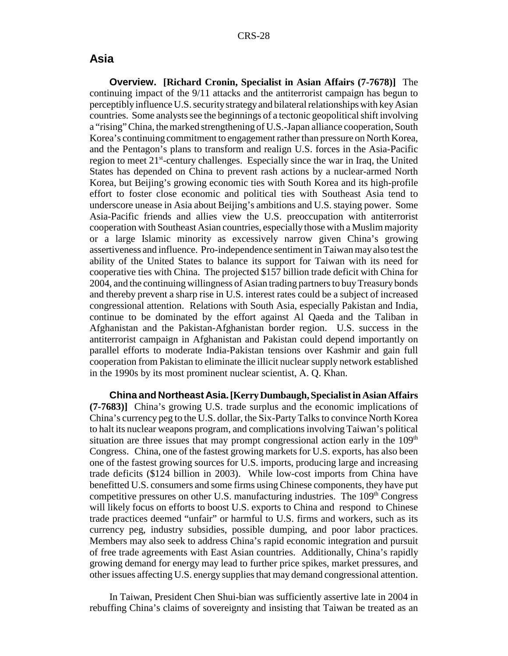### **Asia**

**Overview. [Richard Cronin, Specialist in Asian Affairs (7-7678)]** The continuing impact of the 9/11 attacks and the antiterrorist campaign has begun to perceptibly influence U.S. security strategy and bilateral relationships with key Asian countries. Some analysts see the beginnings of a tectonic geopolitical shift involving a "rising" China, the marked strengthening of U.S.-Japan alliance cooperation, South Korea's continuing commitment to engagement rather than pressure on North Korea, and the Pentagon's plans to transform and realign U.S. forces in the Asia-Pacific region to meet  $21<sup>st</sup>$ -century challenges. Especially since the war in Iraq, the United States has depended on China to prevent rash actions by a nuclear-armed North Korea, but Beijing's growing economic ties with South Korea and its high-profile effort to foster close economic and political ties with Southeast Asia tend to underscore unease in Asia about Beijing's ambitions and U.S. staying power. Some Asia-Pacific friends and allies view the U.S. preoccupation with antiterrorist cooperation with Southeast Asian countries, especially those with a Muslim majority or a large Islamic minority as excessively narrow given China's growing assertiveness and influence. Pro-independence sentiment in Taiwan may also test the ability of the United States to balance its support for Taiwan with its need for cooperative ties with China. The projected \$157 billion trade deficit with China for 2004, and the continuing willingness of Asian trading partners to buy Treasury bonds and thereby prevent a sharp rise in U.S. interest rates could be a subject of increased congressional attention. Relations with South Asia, especially Pakistan and India, continue to be dominated by the effort against Al Qaeda and the Taliban in Afghanistan and the Pakistan-Afghanistan border region. U.S. success in the antiterrorist campaign in Afghanistan and Pakistan could depend importantly on parallel efforts to moderate India-Pakistan tensions over Kashmir and gain full cooperation from Pakistan to eliminate the illicit nuclear supply network established in the 1990s by its most prominent nuclear scientist, A. Q. Khan.

**China and Northeast Asia.[Kerry Dumbaugh, Specialist in Asian Affairs (7-7683)]** China's growing U.S. trade surplus and the economic implications of China's currency peg to the U.S. dollar, the Six-Party Talks to convince North Korea to halt its nuclear weapons program, and complications involving Taiwan's political situation are three issues that may prompt congressional action early in the 109<sup>th</sup> Congress. China, one of the fastest growing markets for U.S. exports, has also been one of the fastest growing sources for U.S. imports, producing large and increasing trade deficits (\$124 billion in 2003). While low-cost imports from China have benefitted U.S. consumers and some firms using Chinese components, they have put competitive pressures on other U.S. manufacturing industries. The  $109<sup>th</sup>$  Congress will likely focus on efforts to boost U.S. exports to China and respond to Chinese trade practices deemed "unfair" or harmful to U.S. firms and workers, such as its currency peg, industry subsidies, possible dumping, and poor labor practices. Members may also seek to address China's rapid economic integration and pursuit of free trade agreements with East Asian countries. Additionally, China's rapidly growing demand for energy may lead to further price spikes, market pressures, and other issues affecting U.S. energy supplies that may demand congressional attention.

In Taiwan, President Chen Shui-bian was sufficiently assertive late in 2004 in rebuffing China's claims of sovereignty and insisting that Taiwan be treated as an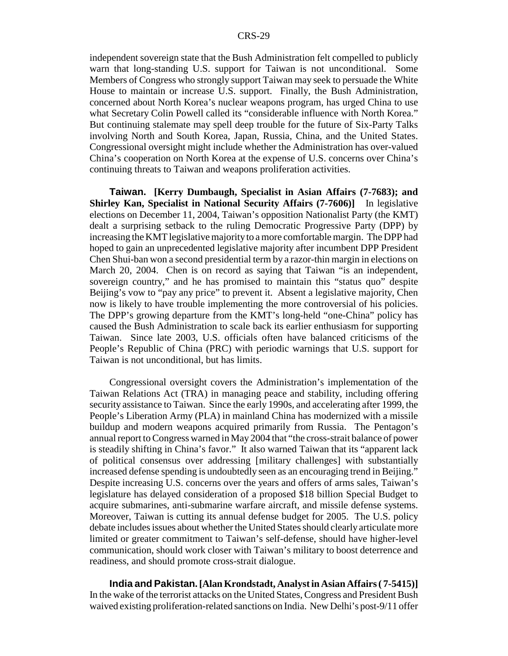independent sovereign state that the Bush Administration felt compelled to publicly warn that long-standing U.S. support for Taiwan is not unconditional. Some Members of Congress who strongly support Taiwan may seek to persuade the White House to maintain or increase U.S. support. Finally, the Bush Administration, concerned about North Korea's nuclear weapons program, has urged China to use what Secretary Colin Powell called its "considerable influence with North Korea." But continuing stalemate may spell deep trouble for the future of Six-Party Talks involving North and South Korea, Japan, Russia, China, and the United States. Congressional oversight might include whether the Administration has over-valued China's cooperation on North Korea at the expense of U.S. concerns over China's continuing threats to Taiwan and weapons proliferation activities.

**Taiwan. [Kerry Dumbaugh, Specialist in Asian Affairs (7-7683); and Shirley Kan, Specialist in National Security Affairs (7-7606)]** In legislative elections on December 11, 2004, Taiwan's opposition Nationalist Party (the KMT) dealt a surprising setback to the ruling Democratic Progressive Party (DPP) by increasing the KMT legislative majority to a more comfortable margin. The DPP had hoped to gain an unprecedented legislative majority after incumbent DPP President Chen Shui-ban won a second presidential term by a razor-thin margin in elections on March 20, 2004. Chen is on record as saying that Taiwan "is an independent, sovereign country," and he has promised to maintain this "status quo" despite Beijing's vow to "pay any price" to prevent it. Absent a legislative majority, Chen now is likely to have trouble implementing the more controversial of his policies. The DPP's growing departure from the KMT's long-held "one-China" policy has caused the Bush Administration to scale back its earlier enthusiasm for supporting Taiwan. Since late 2003, U.S. officials often have balanced criticisms of the People's Republic of China (PRC) with periodic warnings that U.S. support for Taiwan is not unconditional, but has limits.

Congressional oversight covers the Administration's implementation of the Taiwan Relations Act (TRA) in managing peace and stability, including offering security assistance to Taiwan. Since the early 1990s, and accelerating after 1999, the People's Liberation Army (PLA) in mainland China has modernized with a missile buildup and modern weapons acquired primarily from Russia. The Pentagon's annual report to Congress warned in May 2004 that "the cross-strait balance of power is steadily shifting in China's favor." It also warned Taiwan that its "apparent lack of political consensus over addressing [military challenges] with substantially increased defense spending is undoubtedly seen as an encouraging trend in Beijing." Despite increasing U.S. concerns over the years and offers of arms sales, Taiwan's legislature has delayed consideration of a proposed \$18 billion Special Budget to acquire submarines, anti-submarine warfare aircraft, and missile defense systems. Moreover, Taiwan is cutting its annual defense budget for 2005. The U.S. policy debate includes issues about whether the United States should clearly articulate more limited or greater commitment to Taiwan's self-defense, should have higher-level communication, should work closer with Taiwan's military to boost deterrence and readiness, and should promote cross-strait dialogue.

**India and Pakistan.[Alan Krondstadt, Analyst in Asian Affairs ( 7-5415)]** In the wake of the terrorist attacks on the United States, Congress and President Bush waived existing proliferation-related sanctions on India. New Delhi's post-9/11 offer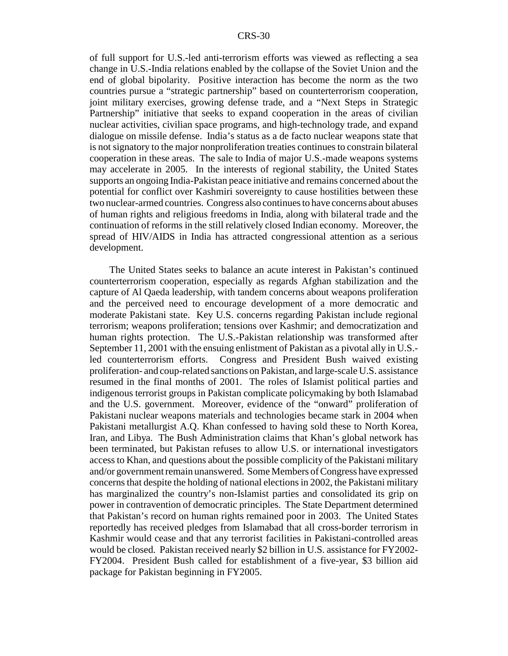of full support for U.S.-led anti-terrorism efforts was viewed as reflecting a sea change in U.S.-India relations enabled by the collapse of the Soviet Union and the end of global bipolarity. Positive interaction has become the norm as the two countries pursue a "strategic partnership" based on counterterrorism cooperation, joint military exercises, growing defense trade, and a "Next Steps in Strategic Partnership" initiative that seeks to expand cooperation in the areas of civilian nuclear activities, civilian space programs, and high-technology trade, and expand dialogue on missile defense. India's status as a de facto nuclear weapons state that is not signatory to the major nonproliferation treaties continues to constrain bilateral cooperation in these areas. The sale to India of major U.S.-made weapons systems may accelerate in 2005. In the interests of regional stability, the United States supports an ongoing India-Pakistan peace initiative and remains concerned about the potential for conflict over Kashmiri sovereignty to cause hostilities between these two nuclear-armed countries. Congress also continues to have concerns about abuses of human rights and religious freedoms in India, along with bilateral trade and the continuation of reforms in the still relatively closed Indian economy. Moreover, the spread of HIV/AIDS in India has attracted congressional attention as a serious development.

The United States seeks to balance an acute interest in Pakistan's continued counterterrorism cooperation, especially as regards Afghan stabilization and the capture of Al Qaeda leadership, with tandem concerns about weapons proliferation and the perceived need to encourage development of a more democratic and moderate Pakistani state. Key U.S. concerns regarding Pakistan include regional terrorism; weapons proliferation; tensions over Kashmir; and democratization and human rights protection. The U.S.-Pakistan relationship was transformed after September 11, 2001 with the ensuing enlistment of Pakistan as a pivotal ally in U.S. led counterterrorism efforts. Congress and President Bush waived existing proliferation- and coup-related sanctions on Pakistan, and large-scale U.S. assistance resumed in the final months of 2001. The roles of Islamist political parties and indigenous terrorist groups in Pakistan complicate policymaking by both Islamabad and the U.S. government. Moreover, evidence of the "onward" proliferation of Pakistani nuclear weapons materials and technologies became stark in 2004 when Pakistani metallurgist A.Q. Khan confessed to having sold these to North Korea, Iran, and Libya. The Bush Administration claims that Khan's global network has been terminated, but Pakistan refuses to allow U.S. or international investigators access to Khan, and questions about the possible complicity of the Pakistani military and/or government remain unanswered. Some Members of Congress have expressed concerns that despite the holding of national elections in 2002, the Pakistani military has marginalized the country's non-Islamist parties and consolidated its grip on power in contravention of democratic principles. The State Department determined that Pakistan's record on human rights remained poor in 2003. The United States reportedly has received pledges from Islamabad that all cross-border terrorism in Kashmir would cease and that any terrorist facilities in Pakistani-controlled areas would be closed. Pakistan received nearly \$2 billion in U.S. assistance for FY2002- FY2004. President Bush called for establishment of a five-year, \$3 billion aid package for Pakistan beginning in FY2005.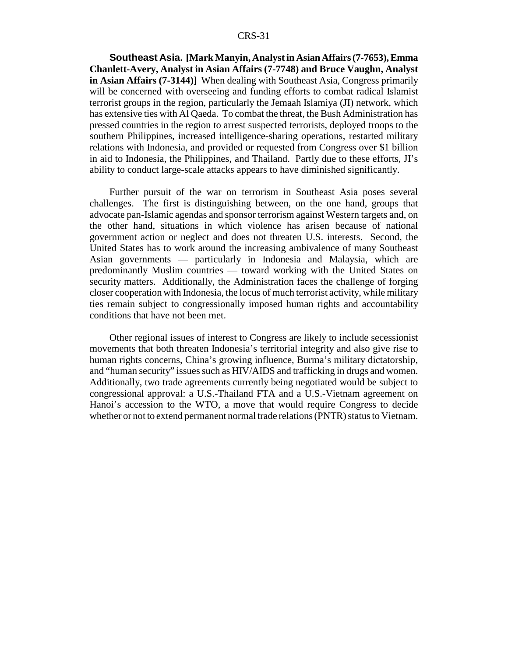**Southeast Asia. [Mark Manyin, Analyst in Asian Affairs (7-7653), Emma Chanlett-Avery, Analyst in Asian Affairs (7-7748) and Bruce Vaughn, Analyst in Asian Affairs (7-3144)]** When dealing with Southeast Asia, Congress primarily will be concerned with overseeing and funding efforts to combat radical Islamist terrorist groups in the region, particularly the Jemaah Islamiya (JI) network, which has extensive ties with Al Qaeda. To combat the threat, the Bush Administration has pressed countries in the region to arrest suspected terrorists, deployed troops to the southern Philippines, increased intelligence-sharing operations, restarted military relations with Indonesia, and provided or requested from Congress over \$1 billion in aid to Indonesia, the Philippines, and Thailand. Partly due to these efforts, JI's ability to conduct large-scale attacks appears to have diminished significantly.

Further pursuit of the war on terrorism in Southeast Asia poses several challenges. The first is distinguishing between, on the one hand, groups that advocate pan-Islamic agendas and sponsor terrorism against Western targets and, on the other hand, situations in which violence has arisen because of national government action or neglect and does not threaten U.S. interests. Second, the United States has to work around the increasing ambivalence of many Southeast Asian governments — particularly in Indonesia and Malaysia, which are predominantly Muslim countries — toward working with the United States on security matters. Additionally, the Administration faces the challenge of forging closer cooperation with Indonesia, the locus of much terrorist activity, while military ties remain subject to congressionally imposed human rights and accountability conditions that have not been met.

Other regional issues of interest to Congress are likely to include secessionist movements that both threaten Indonesia's territorial integrity and also give rise to human rights concerns, China's growing influence, Burma's military dictatorship, and "human security" issues such as HIV/AIDS and trafficking in drugs and women. Additionally, two trade agreements currently being negotiated would be subject to congressional approval: a U.S.-Thailand FTA and a U.S.-Vietnam agreement on Hanoi's accession to the WTO, a move that would require Congress to decide whether or not to extend permanent normal trade relations (PNTR) status to Vietnam.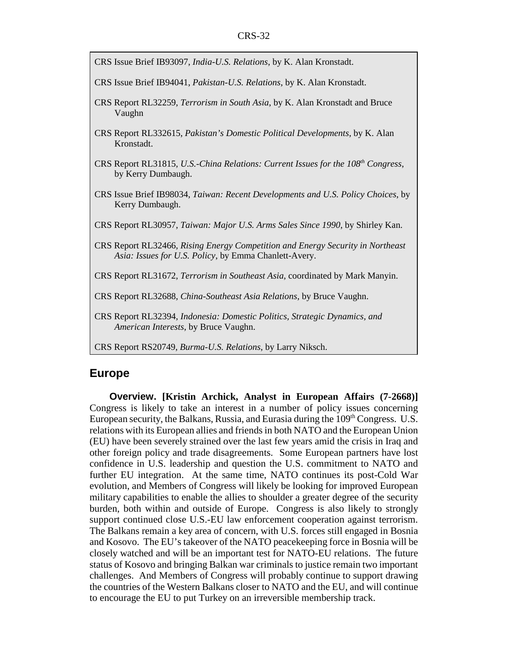- CRS Issue Brief IB93097, *India-U.S. Relations*, by K. Alan Kronstadt.
- CRS Issue Brief IB94041, *Pakistan-U.S. Relations*, by K. Alan Kronstadt.
- CRS Report RL32259, *Terrorism in South Asia*, by K. Alan Kronstadt and Bruce Vaughn
- CRS Report RL332615, *Pakistan's Domestic Political Developments*, by K. Alan Kronstadt.
- CRS Report RL31815, *U.S.-China Relations: Current Issues for the 108<sup>th</sup> Congress*, by Kerry Dumbaugh.
- CRS Issue Brief IB98034, *Taiwan: Recent Developments and U.S. Policy Choices*, by Kerry Dumbaugh.
- CRS Report RL30957, *Taiwan: Major U.S. Arms Sales Since 1990*, by Shirley Kan.
- CRS Report RL32466, *Rising Energy Competition and Energy Security in Northeast Asia: Issues for U.S. Policy*, by Emma Chanlett-Avery.
- CRS Report RL31672, *Terrorism in Southeast Asia*, coordinated by Mark Manyin.
- CRS Report RL32688, *China-Southeast Asia Relations*, by Bruce Vaughn.
- CRS Report RL32394, *Indonesia: Domestic Politics, Strategic Dynamics, and American Interests*, by Bruce Vaughn.
- CRS Report RS20749, *Burma-U.S. Relations*, by Larry Niksch.

### **Europe**

**Overview. [Kristin Archick, Analyst in European Affairs (7-2668)]** Congress is likely to take an interest in a number of policy issues concerning European security, the Balkans, Russia, and Eurasia during the 109<sup>th</sup> Congress. U.S. relations with its European allies and friends in both NATO and the European Union (EU) have been severely strained over the last few years amid the crisis in Iraq and other foreign policy and trade disagreements. Some European partners have lost confidence in U.S. leadership and question the U.S. commitment to NATO and further EU integration. At the same time, NATO continues its post-Cold War evolution, and Members of Congress will likely be looking for improved European military capabilities to enable the allies to shoulder a greater degree of the security burden, both within and outside of Europe. Congress is also likely to strongly support continued close U.S.-EU law enforcement cooperation against terrorism. The Balkans remain a key area of concern, with U.S. forces still engaged in Bosnia and Kosovo. The EU's takeover of the NATO peacekeeping force in Bosnia will be closely watched and will be an important test for NATO-EU relations. The future status of Kosovo and bringing Balkan war criminals to justice remain two important challenges. And Members of Congress will probably continue to support drawing the countries of the Western Balkans closer to NATO and the EU, and will continue to encourage the EU to put Turkey on an irreversible membership track.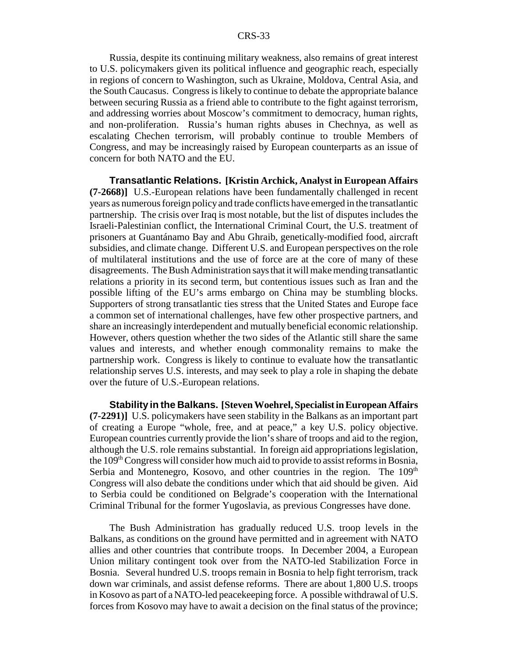Russia, despite its continuing military weakness, also remains of great interest to U.S. policymakers given its political influence and geographic reach, especially in regions of concern to Washington, such as Ukraine, Moldova, Central Asia, and the South Caucasus. Congress is likely to continue to debate the appropriate balance between securing Russia as a friend able to contribute to the fight against terrorism, and addressing worries about Moscow's commitment to democracy, human rights, and non-proliferation. Russia's human rights abuses in Chechnya, as well as escalating Chechen terrorism, will probably continue to trouble Members of Congress, and may be increasingly raised by European counterparts as an issue of concern for both NATO and the EU.

**Transatlantic Relations. [Kristin Archick, Analyst in European Affairs (7-2668)]** U.S.-European relations have been fundamentally challenged in recent years as numerous foreign policy and trade conflicts have emerged in the transatlantic partnership. The crisis over Iraq is most notable, but the list of disputes includes the Israeli-Palestinian conflict, the International Criminal Court, the U.S. treatment of prisoners at Guantánamo Bay and Abu Ghraib, genetically-modified food, aircraft subsidies, and climate change. Different U.S. and European perspectives on the role of multilateral institutions and the use of force are at the core of many of these disagreements. The Bush Administration says that it will make mending transatlantic relations a priority in its second term, but contentious issues such as Iran and the possible lifting of the EU's arms embargo on China may be stumbling blocks. Supporters of strong transatlantic ties stress that the United States and Europe face a common set of international challenges, have few other prospective partners, and share an increasingly interdependent and mutually beneficial economic relationship. However, others question whether the two sides of the Atlantic still share the same values and interests, and whether enough commonality remains to make the partnership work. Congress is likely to continue to evaluate how the transatlantic relationship serves U.S. interests, and may seek to play a role in shaping the debate over the future of U.S.-European relations.

**Stability in the Balkans. [Steven Woehrel, Specialist in European Affairs (7-2291)]** U.S. policymakers have seen stability in the Balkans as an important part of creating a Europe "whole, free, and at peace," a key U.S. policy objective. European countries currently provide the lion's share of troops and aid to the region, although the U.S. role remains substantial. In foreign aid appropriations legislation, the 109<sup>th</sup> Congress will consider how much aid to provide to assist reforms in Bosnia, Serbia and Montenegro, Kosovo, and other countries in the region. The  $109<sup>th</sup>$ Congress will also debate the conditions under which that aid should be given. Aid to Serbia could be conditioned on Belgrade's cooperation with the International Criminal Tribunal for the former Yugoslavia, as previous Congresses have done.

The Bush Administration has gradually reduced U.S. troop levels in the Balkans, as conditions on the ground have permitted and in agreement with NATO allies and other countries that contribute troops. In December 2004, a European Union military contingent took over from the NATO-led Stabilization Force in Bosnia. Several hundred U.S. troops remain in Bosnia to help fight terrorism, track down war criminals, and assist defense reforms. There are about 1,800 U.S. troops in Kosovo as part of a NATO-led peacekeeping force. A possible withdrawal of U.S. forces from Kosovo may have to await a decision on the final status of the province;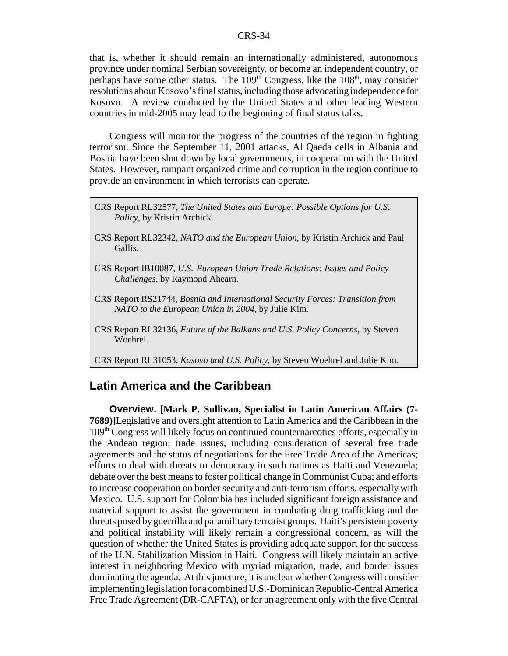that is, whether it should remain an internationally administered, autonomous province under nominal Serbian sovereignty, or become an independent country, or perhaps have some other status. The  $109<sup>th</sup>$  Congress, like the  $108<sup>th</sup>$ , may consider resolutions about Kosovo's final status, including those advocating independence for Kosovo. A review conducted by the United States and other leading Western countries in mid-2005 may lead to the beginning of final status talks.

Congress will monitor the progress of the countries of the region in fighting terrorism. Since the September 11, 2001 attacks, Al Qaeda cells in Albania and Bosnia have been shut down by local governments, in cooperation with the United States. However, rampant organized crime and corruption in the region continue to provide an environment in which terrorists can operate.

- CRS Report RL32577, *The United States and Europe: Possible Options for U.S. Policy*, by Kristin Archick.
- CRS Report RL32342, *NATO and the European Union*, by Kristin Archick and Paul Gallis.
- CRS Report IB10087, *U.S.-European Union Trade Relations: Issues and Policy Challenges*, by Raymond Ahearn.
- CRS Report RS21744, *Bosnia and International Security Forces: Transition from NATO to the European Union in 2004*, by Julie Kim.
- CRS Report RL32136, *Future of the Balkans and U.S. Policy Concerns*, by Steven Woehrel.

CRS Report RL31053, *Kosovo and U.S. Policy*, by Steven Woehrel and Julie Kim.

### **Latin America and the Caribbean**

**Overview. [Mark P. Sullivan, Specialist in Latin American Affairs (7- 7689)]**Legislative and oversight attention to Latin America and the Caribbean in the 109th Congress will likely focus on continued counternarcotics efforts, especially in the Andean region; trade issues, including consideration of several free trade agreements and the status of negotiations for the Free Trade Area of the Americas; efforts to deal with threats to democracy in such nations as Haiti and Venezuela; debate over the best means to foster political change in Communist Cuba; and efforts to increase cooperation on border security and anti-terrorism efforts, especially with Mexico. U.S. support for Colombia has included significant foreign assistance and material support to assist the government in combating drug trafficking and the threats posed by guerrilla and paramilitary terrorist groups. Haiti's persistent poverty and political instability will likely remain a congressional concern, as will the question of whether the United States is providing adequate support for the success of the U.N. Stabilization Mission in Haiti. Congress will likely maintain an active interest in neighboring Mexico with myriad migration, trade, and border issues dominating the agenda. At this juncture, it is unclear whether Congress will consider implementing legislation for a combined U.S.-Dominican Republic-Central America Free Trade Agreement (DR-CAFTA), or for an agreement only with the five Central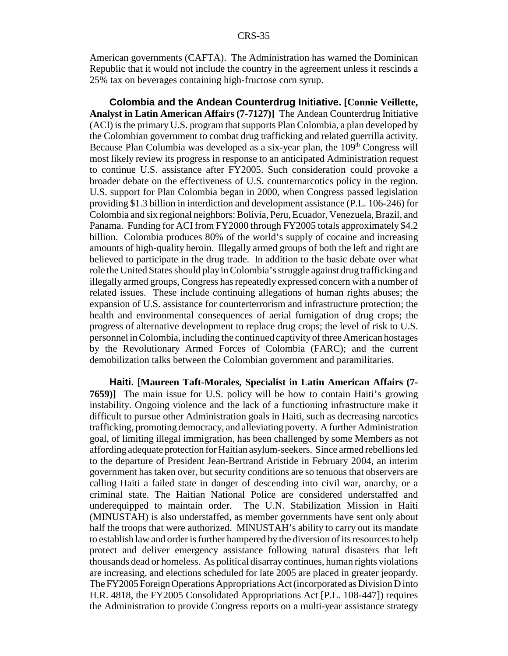American governments (CAFTA). The Administration has warned the Dominican Republic that it would not include the country in the agreement unless it rescinds a 25% tax on beverages containing high-fructose corn syrup.

**Colombia and the Andean Counterdrug Initiative. [Connie Veillette, Analyst in Latin American Affairs (7-7127)]** The Andean Counterdrug Initiative (ACI) is the primary U.S. program that supports Plan Colombia, a plan developed by the Colombian government to combat drug trafficking and related guerrilla activity. Because Plan Columbia was developed as a six-year plan, the  $109<sup>th</sup>$  Congress will most likely review its progress in response to an anticipated Administration request to continue U.S. assistance after FY2005. Such consideration could provoke a broader debate on the effectiveness of U.S. counternarcotics policy in the region. U.S. support for Plan Colombia began in 2000, when Congress passed legislation providing \$1.3 billion in interdiction and development assistance (P.L. 106-246) for Colombia and six regional neighbors: Bolivia, Peru, Ecuador, Venezuela, Brazil, and Panama. Funding for ACI from FY2000 through FY2005 totals approximately \$4.2 billion. Colombia produces 80% of the world's supply of cocaine and increasing amounts of high-quality heroin. Illegally armed groups of both the left and right are believed to participate in the drug trade. In addition to the basic debate over what role the United States should play in Colombia's struggle against drug trafficking and illegally armed groups, Congress has repeatedly expressed concern with a number of related issues. These include continuing allegations of human rights abuses; the expansion of U.S. assistance for counterterrorism and infrastructure protection; the health and environmental consequences of aerial fumigation of drug crops; the progress of alternative development to replace drug crops; the level of risk to U.S. personnel in Colombia, including the continued captivity of three American hostages by the Revolutionary Armed Forces of Colombia (FARC); and the current demobilization talks between the Colombian government and paramilitaries.

**Haiti. [Maureen Taft-Morales, Specialist in Latin American Affairs (7- 7659)]** The main issue for U.S. policy will be how to contain Haiti's growing instability. Ongoing violence and the lack of a functioning infrastructure make it difficult to pursue other Administration goals in Haiti, such as decreasing narcotics trafficking, promoting democracy, and alleviating poverty. A further Administration goal, of limiting illegal immigration, has been challenged by some Members as not affording adequate protection for Haitian asylum-seekers. Since armed rebellions led to the departure of President Jean-Bertrand Aristide in February 2004, an interim government has taken over, but security conditions are so tenuous that observers are calling Haiti a failed state in danger of descending into civil war, anarchy, or a criminal state. The Haitian National Police are considered understaffed and underequipped to maintain order. The U.N. Stabilization Mission in Haiti (MINUSTAH) is also understaffed, as member governments have sent only about half the troops that were authorized. MINUSTAH's ability to carry out its mandate to establish law and order is further hampered by the diversion of its resources to help protect and deliver emergency assistance following natural disasters that left thousands dead or homeless. As political disarray continues, human rights violations are increasing, and elections scheduled for late 2005 are placed in greater jeopardy. The FY2005 Foreign Operations Appropriations Act (incorporated as Division D into H.R. 4818, the FY2005 Consolidated Appropriations Act [P.L. 108-447]) requires the Administration to provide Congress reports on a multi-year assistance strategy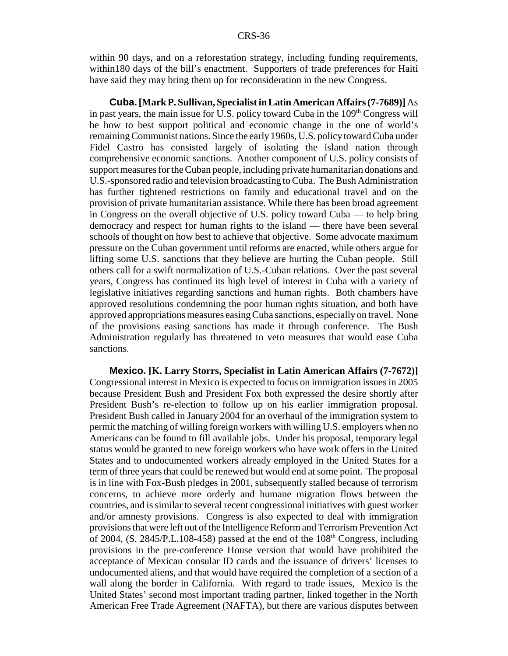within 90 days, and on a reforestation strategy, including funding requirements, within180 days of the bill's enactment. Supporters of trade preferences for Haiti have said they may bring them up for reconsideration in the new Congress.

**Cuba.[Mark P. Sullivan, Specialist in Latin American Affairs (7-7689)]** As in past years, the main issue for U.S. policy toward Cuba in the 109<sup>th</sup> Congress will be how to best support political and economic change in the one of world's remaining Communist nations. Since the early 1960s, U.S. policy toward Cuba under Fidel Castro has consisted largely of isolating the island nation through comprehensive economic sanctions. Another component of U.S. policy consists of support measures for the Cuban people, including private humanitarian donations and U.S.-sponsored radio and television broadcasting to Cuba. The Bush Administration has further tightened restrictions on family and educational travel and on the provision of private humanitarian assistance. While there has been broad agreement in Congress on the overall objective of U.S. policy toward Cuba — to help bring democracy and respect for human rights to the island — there have been several schools of thought on how best to achieve that objective. Some advocate maximum pressure on the Cuban government until reforms are enacted, while others argue for lifting some U.S. sanctions that they believe are hurting the Cuban people. Still others call for a swift normalization of U.S.-Cuban relations. Over the past several years, Congress has continued its high level of interest in Cuba with a variety of legislative initiatives regarding sanctions and human rights. Both chambers have approved resolutions condemning the poor human rights situation, and both have approved appropriations measures easing Cuba sanctions, especially on travel. None of the provisions easing sanctions has made it through conference. The Bush Administration regularly has threatened to veto measures that would ease Cuba sanctions.

**Mexico. [K. Larry Storrs, Specialist in Latin American Affairs (7-7672)]** Congressional interest in Mexico is expected to focus on immigration issues in 2005 because President Bush and President Fox both expressed the desire shortly after President Bush's re-election to follow up on his earlier immigration proposal. President Bush called in January 2004 for an overhaul of the immigration system to permit the matching of willing foreign workers with willing U.S. employers when no Americans can be found to fill available jobs. Under his proposal, temporary legal status would be granted to new foreign workers who have work offers in the United States and to undocumented workers already employed in the United States for a term of three years that could be renewed but would end at some point. The proposal is in line with Fox-Bush pledges in 2001, subsequently stalled because of terrorism concerns, to achieve more orderly and humane migration flows between the countries, and is similar to several recent congressional initiatives with guest worker and/or amnesty provisions. Congress is also expected to deal with immigration provisions that were left out of the Intelligence Reform and Terrorism Prevention Act of 2004, (S. 2845/P.L.108-458) passed at the end of the  $108<sup>th</sup>$  Congress, including provisions in the pre-conference House version that would have prohibited the acceptance of Mexican consular ID cards and the issuance of drivers' licenses to undocumented aliens, and that would have required the completion of a section of a wall along the border in California. With regard to trade issues, Mexico is the United States' second most important trading partner, linked together in the North American Free Trade Agreement (NAFTA), but there are various disputes between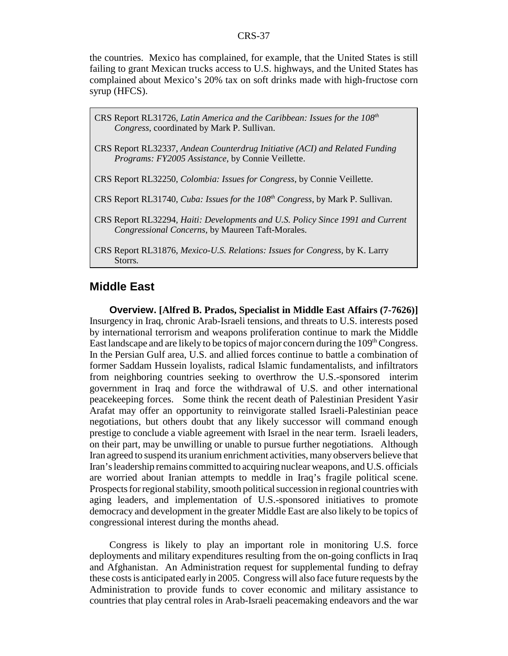the countries. Mexico has complained, for example, that the United States is still failing to grant Mexican trucks access to U.S. highways, and the United States has complained about Mexico's 20% tax on soft drinks made with high-fructose corn syrup (HFCS).

- CRS Report RL31726, *Latin America and the Caribbean: Issues for the 108th Congress*, coordinated by Mark P. Sullivan.
- CRS Report RL32337, *Andean Counterdrug Initiative (ACI) and Related Funding Programs: FY2005 Assistance,* by Connie Veillette.
- CRS Report RL32250, *Colombia: Issues for Congress*, by Connie Veillette.
- CRS Report RL31740, *Cuba: Issues for the 108th Congress,* by Mark P. Sullivan.
- CRS Report RL32294*, Haiti: Developments and U.S. Policy Since 1991 and Current Congressional Concerns,* by Maureen Taft-Morales.
- CRS Report RL31876, *Mexico-U.S. Relations: Issues for Congress,* by K. Larry Storrs*.*

### **Middle East**

**Overview. [Alfred B. Prados, Specialist in Middle East Affairs (7-7626)]** Insurgency in Iraq, chronic Arab-Israeli tensions, and threats to U.S. interests posed by international terrorism and weapons proliferation continue to mark the Middle East landscape and are likely to be topics of major concern during the  $109<sup>th</sup>$  Congress. In the Persian Gulf area, U.S. and allied forces continue to battle a combination of former Saddam Hussein loyalists, radical Islamic fundamentalists, and infiltrators from neighboring countries seeking to overthrow the U.S.-sponsored interim government in Iraq and force the withdrawal of U.S. and other international peacekeeping forces. Some think the recent death of Palestinian President Yasir Arafat may offer an opportunity to reinvigorate stalled Israeli-Palestinian peace negotiations, but others doubt that any likely successor will command enough prestige to conclude a viable agreement with Israel in the near term. Israeli leaders, on their part, may be unwilling or unable to pursue further negotiations. Although Iran agreed to suspend its uranium enrichment activities, many observers believe that Iran's leadership remains committed to acquiring nuclear weapons, and U.S. officials are worried about Iranian attempts to meddle in Iraq's fragile political scene. Prospects for regional stability, smooth political succession in regional countries with aging leaders, and implementation of U.S.-sponsored initiatives to promote democracy and development in the greater Middle East are also likely to be topics of congressional interest during the months ahead.

Congress is likely to play an important role in monitoring U.S. force deployments and military expenditures resulting from the on-going conflicts in Iraq and Afghanistan. An Administration request for supplemental funding to defray these costs is anticipated early in 2005. Congress will also face future requests by the Administration to provide funds to cover economic and military assistance to countries that play central roles in Arab-Israeli peacemaking endeavors and the war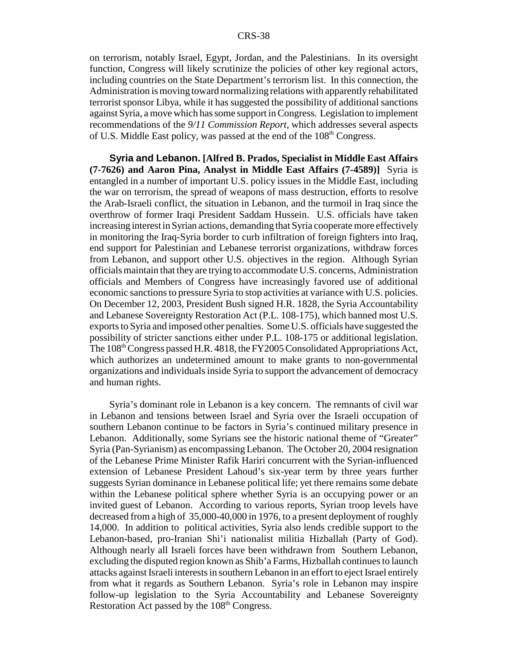on terrorism, notably Israel, Egypt, Jordan, and the Palestinians. In its oversight function, Congress will likely scrutinize the policies of other key regional actors, including countries on the State Department's terrorism list. In this connection, the Administration is moving toward normalizing relations with apparently rehabilitated terrorist sponsor Libya, while it has suggested the possibility of additional sanctions against Syria, a move which has some support in Congress. Legislation to implement recommendations of the *9/11 Commission Report*, which addresses several aspects of U.S. Middle East policy, was passed at the end of the 108<sup>th</sup> Congress.

**Syria and Lebanon. [Alfred B. Prados, Specialist in Middle East Affairs (7-7626) and Aaron Pina, Analyst in Middle East Affairs (7-4589)]** Syria is entangled in a number of important U.S. policy issues in the Middle East, including the war on terrorism, the spread of weapons of mass destruction, efforts to resolve the Arab-Israeli conflict, the situation in Lebanon, and the turmoil in Iraq since the overthrow of former Iraqi President Saddam Hussein. U.S. officials have taken increasing interest in Syrian actions, demanding that Syria cooperate more effectively in monitoring the Iraq-Syria border to curb infiltration of foreign fighters into Iraq, end support for Palestinian and Lebanese terrorist organizations, withdraw forces from Lebanon, and support other U.S. objectives in the region. Although Syrian officials maintain that they are trying to accommodate U.S. concerns, Administration officials and Members of Congress have increasingly favored use of additional economic sanctions to pressure Syria to stop activities at variance with U.S. policies. On December 12, 2003, President Bush signed H.R. 1828, the Syria Accountability and Lebanese Sovereignty Restoration Act (P.L. 108-175), which banned most U.S. exports to Syria and imposed other penalties. Some U.S. officials have suggested the possibility of stricter sanctions either under P.L. 108-175 or additional legislation. The 108<sup>th</sup> Congress passed H.R. 4818, the FY2005 Consolidated Appropriations Act, which authorizes an undetermined amount to make grants to non-governmental organizations and individuals inside Syria to support the advancement of democracy and human rights.

Syria's dominant role in Lebanon is a key concern. The remnants of civil war in Lebanon and tensions between Israel and Syria over the Israeli occupation of southern Lebanon continue to be factors in Syria's continued military presence in Lebanon. Additionally, some Syrians see the historic national theme of "Greater" Syria (Pan-Syrianism) as encompassing Lebanon. The October 20, 2004 resignation of the Lebanese Prime Minister Rafik Hariri concurrent with the Syrian-influenced extension of Lebanese President Lahoud's six-year term by three years further suggests Syrian dominance in Lebanese political life; yet there remains some debate within the Lebanese political sphere whether Syria is an occupying power or an invited guest of Lebanon. According to various reports, Syrian troop levels have decreased from a high of 35,000-40,000 in 1976, to a present deployment of roughly 14,000. In addition to political activities, Syria also lends credible support to the Lebanon-based, pro-Iranian Shi'i nationalist militia Hizballah (Party of God). Although nearly all Israeli forces have been withdrawn from Southern Lebanon, excluding the disputed region known as Shib'a Farms, Hizballah continues to launch attacks against Israeli interests in southern Lebanon in an effort to eject Israel entirely from what it regards as Southern Lebanon. Syria's role in Lebanon may inspire follow-up legislation to the Syria Accountability and Lebanese Sovereignty Restoration Act passed by the 108<sup>th</sup> Congress.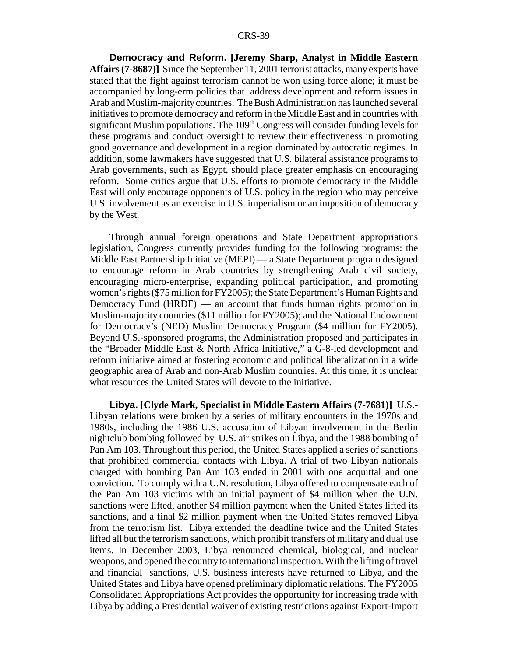**Democracy and Reform. [Jeremy Sharp, Analyst in Middle Eastern Affairs (7-8687)]** Since the September 11, 2001 terrorist attacks, many experts have stated that the fight against terrorism cannot be won using force alone; it must be accompanied by long-erm policies that address development and reform issues in Arab and Muslim-majority countries. The Bush Administration has launched several initiatives to promote democracy and reform in the Middle East and in countries with significant Muslim populations. The  $109<sup>th</sup>$  Congress will consider funding levels for these programs and conduct oversight to review their effectiveness in promoting good governance and development in a region dominated by autocratic regimes. In addition, some lawmakers have suggested that U.S. bilateral assistance programs to Arab governments, such as Egypt, should place greater emphasis on encouraging reform. Some critics argue that U.S. efforts to promote democracy in the Middle East will only encourage opponents of U.S. policy in the region who may perceive U.S. involvement as an exercise in U.S. imperialism or an imposition of democracy by the West.

Through annual foreign operations and State Department appropriations legislation, Congress currently provides funding for the following programs: the Middle East Partnership Initiative (MEPI) — a State Department program designed to encourage reform in Arab countries by strengthening Arab civil society, encouraging micro-enterprise, expanding political participation, and promoting women's rights (\$75 million for FY2005); the State Department's Human Rights and Democracy Fund (HRDF) — an account that funds human rights promotion in Muslim-majority countries (\$11 million for FY2005); and the National Endowment for Democracy's (NED) Muslim Democracy Program (\$4 million for FY2005). Beyond U.S.-sponsored programs, the Administration proposed and participates in the "Broader Middle East & North Africa Initiative," a G-8-led development and reform initiative aimed at fostering economic and political liberalization in a wide geographic area of Arab and non-Arab Muslim countries. At this time, it is unclear what resources the United States will devote to the initiative.

**Libya. [Clyde Mark, Specialist in Middle Eastern Affairs (7-7681)]** U.S.- Libyan relations were broken by a series of military encounters in the 1970s and 1980s, including the 1986 U.S. accusation of Libyan involvement in the Berlin nightclub bombing followed by U.S. air strikes on Libya, and the 1988 bombing of Pan Am 103. Throughout this period, the United States applied a series of sanctions that prohibited commercial contacts with Libya. A trial of two Libyan nationals charged with bombing Pan Am 103 ended in 2001 with one acquittal and one conviction. To comply with a U.N. resolution, Libya offered to compensate each of the Pan Am 103 victims with an initial payment of \$4 million when the U.N. sanctions were lifted, another \$4 million payment when the United States lifted its sanctions, and a final \$2 million payment when the United States removed Libya from the terrorism list. Libya extended the deadline twice and the United States lifted all but the terrorism sanctions, which prohibit transfers of military and dual use items. In December 2003, Libya renounced chemical, biological, and nuclear weapons, and opened the country to international inspection. With the lifting of travel and financial sanctions, U.S. business interests have returned to Libya, and the United States and Libya have opened preliminary diplomatic relations. The FY2005 Consolidated Appropriations Act provides the opportunity for increasing trade with Libya by adding a Presidential waiver of existing restrictions against Export-Import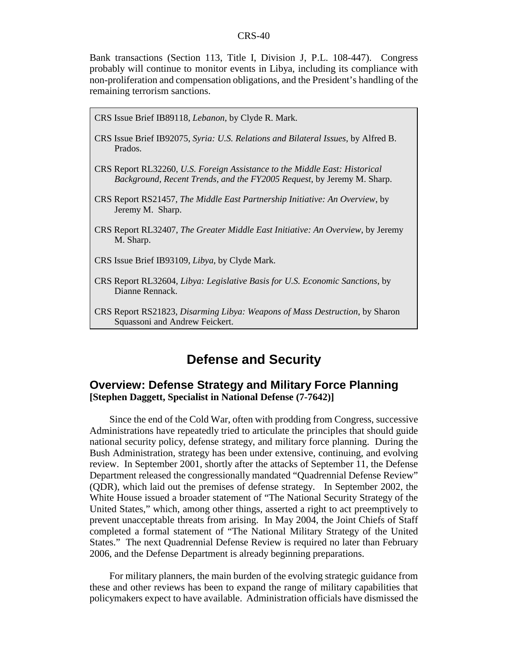Bank transactions (Section 113, Title I, Division J, P.L. 108-447). Congress probably will continue to monitor events in Libya, including its compliance with non-proliferation and compensation obligations, and the President's handling of the remaining terrorism sanctions.

CRS Issue Brief IB89118, *Lebanon*, by Clyde R. Mark.

- CRS Issue Brief IB92075, *Syria: U.S. Relations and Bilateral Issues*, by Alfred B. Prados.
- CRS Report RL32260, *U.S. Foreign Assistance to the Middle East: Historical Background, Recent Trends, and the FY2005 Request*, by Jeremy M. Sharp.
- CRS Report RS21457, *The Middle East Partnership Initiative: An Overview*, by Jeremy M. Sharp.
- CRS Report RL32407, *The Greater Middle East Initiative: An Overview*, by Jeremy M. Sharp.
- CRS Issue Brief IB93109, *Libya*, by Clyde Mark.
- CRS Report RL32604, *Libya: Legislative Basis for U.S. Economic Sanctions*, by Dianne Rennack.
- CRS Report RS21823, *Disarming Libya: Weapons of Mass Destruction*, by Sharon Squassoni and Andrew Feickert.

### **Defense and Security**

### **Overview: Defense Strategy and Military Force Planning [Stephen Daggett, Specialist in National Defense (7-7642)]**

Since the end of the Cold War, often with prodding from Congress, successive Administrations have repeatedly tried to articulate the principles that should guide national security policy, defense strategy, and military force planning. During the Bush Administration, strategy has been under extensive, continuing, and evolving review. In September 2001, shortly after the attacks of September 11, the Defense Department released the congressionally mandated "Quadrennial Defense Review" (QDR), which laid out the premises of defense strategy. In September 2002, the White House issued a broader statement of "The National Security Strategy of the United States," which, among other things, asserted a right to act preemptively to prevent unacceptable threats from arising. In May 2004, the Joint Chiefs of Staff completed a formal statement of "The National Military Strategy of the United States." The next Quadrennial Defense Review is required no later than February 2006, and the Defense Department is already beginning preparations.

For military planners, the main burden of the evolving strategic guidance from these and other reviews has been to expand the range of military capabilities that policymakers expect to have available. Administration officials have dismissed the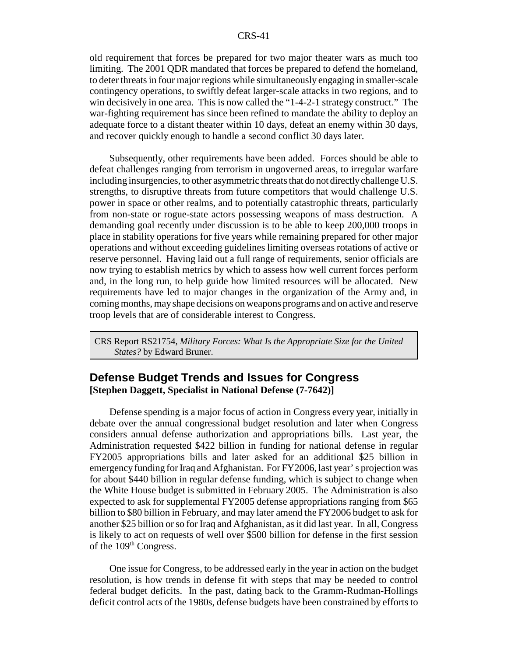old requirement that forces be prepared for two major theater wars as much too limiting. The 2001 QDR mandated that forces be prepared to defend the homeland, to deter threats in four major regions while simultaneously engaging in smaller-scale contingency operations, to swiftly defeat larger-scale attacks in two regions, and to win decisively in one area. This is now called the "1-4-2-1 strategy construct." The war-fighting requirement has since been refined to mandate the ability to deploy an adequate force to a distant theater within 10 days, defeat an enemy within 30 days, and recover quickly enough to handle a second conflict 30 days later.

Subsequently, other requirements have been added. Forces should be able to defeat challenges ranging from terrorism in ungoverned areas, to irregular warfare including insurgencies, to other asymmetric threats that do not directly challenge U.S. strengths, to disruptive threats from future competitors that would challenge U.S. power in space or other realms, and to potentially catastrophic threats, particularly from non-state or rogue-state actors possessing weapons of mass destruction. A demanding goal recently under discussion is to be able to keep 200,000 troops in place in stability operations for five years while remaining prepared for other major operations and without exceeding guidelines limiting overseas rotations of active or reserve personnel. Having laid out a full range of requirements, senior officials are now trying to establish metrics by which to assess how well current forces perform and, in the long run, to help guide how limited resources will be allocated. New requirements have led to major changes in the organization of the Army and, in coming months, may shape decisions on weapons programs and on active and reserve troop levels that are of considerable interest to Congress.

CRS Report RS21754, *Military Forces: What Is the Appropriate Size for the United States?* by Edward Bruner.

### **Defense Budget Trends and Issues for Congress [Stephen Daggett, Specialist in National Defense (7-7642)]**

Defense spending is a major focus of action in Congress every year, initially in debate over the annual congressional budget resolution and later when Congress considers annual defense authorization and appropriations bills. Last year, the Administration requested \$422 billion in funding for national defense in regular FY2005 appropriations bills and later asked for an additional \$25 billion in emergency funding for Iraq and Afghanistan. For FY2006, last year' s projection was for about \$440 billion in regular defense funding, which is subject to change when the White House budget is submitted in February 2005. The Administration is also expected to ask for supplemental FY2005 defense appropriations ranging from \$65 billion to \$80 billion in February, and may later amend the FY2006 budget to ask for another \$25 billion or so for Iraq and Afghanistan, as it did last year. In all, Congress is likely to act on requests of well over \$500 billion for defense in the first session of the 109<sup>th</sup> Congress.

One issue for Congress, to be addressed early in the year in action on the budget resolution, is how trends in defense fit with steps that may be needed to control federal budget deficits. In the past, dating back to the Gramm-Rudman-Hollings deficit control acts of the 1980s, defense budgets have been constrained by efforts to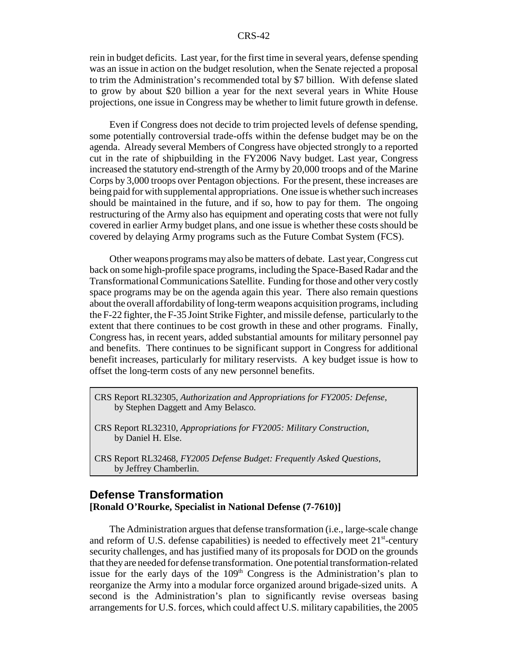rein in budget deficits. Last year, for the first time in several years, defense spending was an issue in action on the budget resolution, when the Senate rejected a proposal to trim the Administration's recommended total by \$7 billion. With defense slated to grow by about \$20 billion a year for the next several years in White House projections, one issue in Congress may be whether to limit future growth in defense.

Even if Congress does not decide to trim projected levels of defense spending, some potentially controversial trade-offs within the defense budget may be on the agenda. Already several Members of Congress have objected strongly to a reported cut in the rate of shipbuilding in the FY2006 Navy budget. Last year, Congress increased the statutory end-strength of the Army by 20,000 troops and of the Marine Corps by 3,000 troops over Pentagon objections. For the present, these increases are being paid for with supplemental appropriations. One issue is whether such increases should be maintained in the future, and if so, how to pay for them. The ongoing restructuring of the Army also has equipment and operating costs that were not fully covered in earlier Army budget plans, and one issue is whether these costs should be covered by delaying Army programs such as the Future Combat System (FCS).

Other weapons programs may also be matters of debate. Last year, Congress cut back on some high-profile space programs, including the Space-Based Radar and the Transformational Communications Satellite. Funding for those and other very costly space programs may be on the agenda again this year. There also remain questions about the overall affordability of long-term weapons acquisition programs, including the F-22 fighter, the F-35 Joint Strike Fighter, and missile defense, particularly to the extent that there continues to be cost growth in these and other programs. Finally, Congress has, in recent years, added substantial amounts for military personnel pay and benefits. There continues to be significant support in Congress for additional benefit increases, particularly for military reservists. A key budget issue is how to offset the long-term costs of any new personnel benefits.

- CRS Report RL32305, *Authorization and Appropriations for FY2005: Defense*, by Stephen Daggett and Amy Belasco.
- CRS Report RL32310, *Appropriations for FY2005: Military Construction*, by Daniel H. Else.
- CRS Report RL32468, *FY2005 Defense Budget: Frequently Asked Questions*, by Jeffrey Chamberlin.

### **Defense Transformation [Ronald O'Rourke, Specialist in National Defense (7-7610)]**

The Administration argues that defense transformation (i.e., large-scale change and reform of U.S. defense capabilities) is needed to effectively meet  $21<sup>st</sup>$ -century security challenges, and has justified many of its proposals for DOD on the grounds that they are needed for defense transformation. One potential transformation-related issue for the early days of the  $109<sup>th</sup>$  Congress is the Administration's plan to reorganize the Army into a modular force organized around brigade-sized units. A second is the Administration's plan to significantly revise overseas basing arrangements for U.S. forces, which could affect U.S. military capabilities, the 2005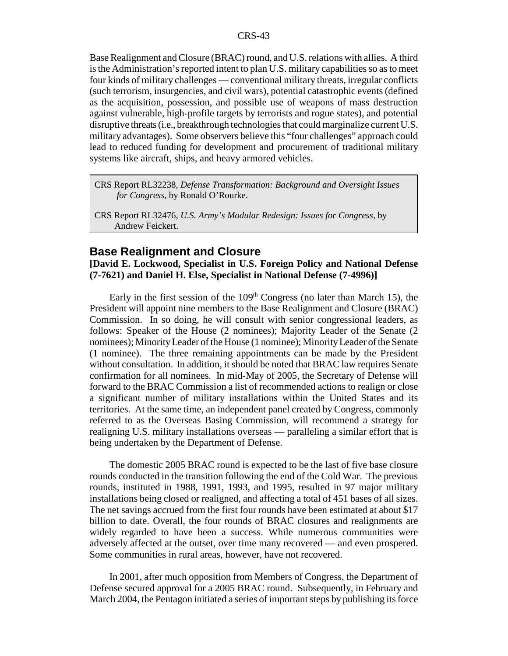Base Realignment and Closure (BRAC) round, and U.S. relations with allies. A third is the Administration's reported intent to plan U.S. military capabilities so as to meet four kinds of military challenges — conventional military threats, irregular conflicts (such terrorism, insurgencies, and civil wars), potential catastrophic events (defined as the acquisition, possession, and possible use of weapons of mass destruction against vulnerable, high-profile targets by terrorists and rogue states), and potential disruptive threats (i.e., breakthrough technologies that could marginalize current U.S. military advantages). Some observers believe this "four challenges" approach could lead to reduced funding for development and procurement of traditional military systems like aircraft, ships, and heavy armored vehicles.

CRS Report RL32238, *Defense Transformation: Background and Oversight Issues for Congress,* by Ronald O'Rourke.

CRS Report RL32476, *U.S. Army's Modular Redesign: Issues for Congress*, by Andrew Feickert.

### **Base Realignment and Closure**

**[David E. Lockwood, Specialist in U.S. Foreign Policy and National Defense (7-7621) and Daniel H. Else, Specialist in National Defense (7-4996)]**

Early in the first session of the  $109<sup>th</sup>$  Congress (no later than March 15), the President will appoint nine members to the Base Realignment and Closure (BRAC) Commission. In so doing, he will consult with senior congressional leaders, as follows: Speaker of the House (2 nominees); Majority Leader of the Senate (2 nominees); Minority Leader of the House (1 nominee); Minority Leader of the Senate (1 nominee). The three remaining appointments can be made by the President without consultation. In addition, it should be noted that BRAC law requires Senate confirmation for all nominees. In mid-May of 2005, the Secretary of Defense will forward to the BRAC Commission a list of recommended actions to realign or close a significant number of military installations within the United States and its territories. At the same time, an independent panel created by Congress, commonly referred to as the Overseas Basing Commission, will recommend a strategy for realigning U.S. military installations overseas — paralleling a similar effort that is being undertaken by the Department of Defense.

The domestic 2005 BRAC round is expected to be the last of five base closure rounds conducted in the transition following the end of the Cold War. The previous rounds, instituted in 1988, 1991, 1993, and 1995, resulted in 97 major military installations being closed or realigned, and affecting a total of 451 bases of all sizes. The net savings accrued from the first four rounds have been estimated at about \$17 billion to date. Overall, the four rounds of BRAC closures and realignments are widely regarded to have been a success. While numerous communities were adversely affected at the outset, over time many recovered — and even prospered. Some communities in rural areas, however, have not recovered.

In 2001, after much opposition from Members of Congress, the Department of Defense secured approval for a 2005 BRAC round. Subsequently, in February and March 2004, the Pentagon initiated a series of important steps by publishing its force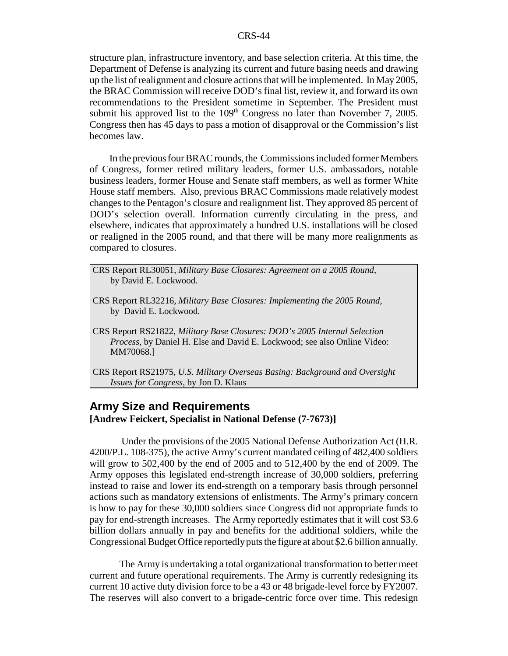structure plan, infrastructure inventory, and base selection criteria. At this time, the Department of Defense is analyzing its current and future basing needs and drawing up the list of realignment and closure actions that will be implemented. In May 2005, the BRAC Commission will receive DOD's final list, review it, and forward its own recommendations to the President sometime in September. The President must submit his approved list to the  $109<sup>th</sup>$  Congress no later than November 7, 2005. Congress then has 45 days to pass a motion of disapproval or the Commission's list becomes law.

In the previous four BRAC rounds, the Commissions included former Members of Congress, former retired military leaders, former U.S. ambassadors, notable business leaders, former House and Senate staff members, as well as former White House staff members. Also, previous BRAC Commissions made relatively modest changes to the Pentagon's closure and realignment list. They approved 85 percent of DOD's selection overall. Information currently circulating in the press, and elsewhere, indicates that approximately a hundred U.S. installations will be closed or realigned in the 2005 round, and that there will be many more realignments as compared to closures.

 CRS Report RL30051, *Military Base Closures: Agreement on a 2005 Round*, by David E. Lockwood.

- CRS Report RL32216, *Military Base Closures: Implementing the 2005 Round*, by David E. Lockwood.
- CRS Report RS21822, *Military Base Closures: DOD's 2005 Internal Selection Process*, by Daniel H. Else and David E. Lockwood; see also Online Video: MM70068.]
- CRS Report RS21975, *U.S. Military Overseas Basing: Background and Oversight Issues for Congress*, by Jon D. Klaus

### **Army Size and Requirements [Andrew Feickert, Specialist in National Defense (7-7673)]**

 Under the provisions of the 2005 National Defense Authorization Act (H.R. 4200/P.L. 108-375), the active Army's current mandated ceiling of 482,400 soldiers will grow to 502,400 by the end of 2005 and to 512,400 by the end of 2009. The Army opposes this legislated end-strength increase of 30,000 soldiers, preferring instead to raise and lower its end-strength on a temporary basis through personnel actions such as mandatory extensions of enlistments. The Army's primary concern is how to pay for these 30,000 soldiers since Congress did not appropriate funds to pay for end-strength increases. The Army reportedly estimates that it will cost \$3.6 billion dollars annually in pay and benefits for the additional soldiers, while the Congressional Budget Office reportedly puts the figure at about \$2.6 billion annually.

The Army is undertaking a total organizational transformation to better meet current and future operational requirements. The Army is currently redesigning its current 10 active duty division force to be a 43 or 48 brigade-level force by FY2007. The reserves will also convert to a brigade-centric force over time. This redesign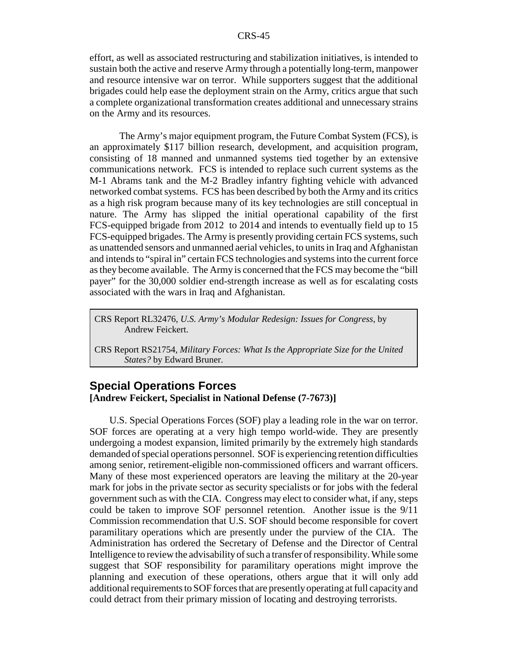effort, as well as associated restructuring and stabilization initiatives, is intended to sustain both the active and reserve Army through a potentially long-term, manpower and resource intensive war on terror. While supporters suggest that the additional brigades could help ease the deployment strain on the Army, critics argue that such a complete organizational transformation creates additional and unnecessary strains on the Army and its resources.

The Army's major equipment program, the Future Combat System (FCS), is an approximately \$117 billion research, development, and acquisition program, consisting of 18 manned and unmanned systems tied together by an extensive communications network. FCS is intended to replace such current systems as the M-1 Abrams tank and the M-2 Bradley infantry fighting vehicle with advanced networked combat systems. FCS has been described by both the Army and its critics as a high risk program because many of its key technologies are still conceptual in nature. The Army has slipped the initial operational capability of the first FCS-equipped brigade from 2012 to 2014 and intends to eventually field up to 15 FCS-equipped brigades. The Army is presently providing certain FCS systems, such as unattended sensors and unmanned aerial vehicles, to units in Iraq and Afghanistan and intends to "spiral in" certain FCS technologies and systems into the current force as they become available. The Army is concerned that the FCS may become the "bill payer" for the 30,000 soldier end-strength increase as well as for escalating costs associated with the wars in Iraq and Afghanistan.

CRS Report RL32476, *U.S. Army's Modular Redesign: Issues for Congress*, by Andrew Feickert.

CRS Report RS21754, *Military Forces: What Is the Appropriate Size for the United States?* by Edward Bruner.

### **Special Operations Forces [Andrew Feickert, Specialist in National Defense (7-7673)]**

U.S. Special Operations Forces (SOF) play a leading role in the war on terror. SOF forces are operating at a very high tempo world-wide. They are presently undergoing a modest expansion, limited primarily by the extremely high standards demanded of special operations personnel. SOF is experiencing retention difficulties among senior, retirement-eligible non-commissioned officers and warrant officers. Many of these most experienced operators are leaving the military at the 20-year mark for jobs in the private sector as security specialists or for jobs with the federal government such as with the CIA. Congress may elect to consider what, if any, steps could be taken to improve SOF personnel retention. Another issue is the 9/11 Commission recommendation that U.S. SOF should become responsible for covert paramilitary operations which are presently under the purview of the CIA. The Administration has ordered the Secretary of Defense and the Director of Central Intelligence to review the advisability of such a transfer of responsibility. While some suggest that SOF responsibility for paramilitary operations might improve the planning and execution of these operations, others argue that it will only add additional requirements to SOF forces that are presently operating at full capacity and could detract from their primary mission of locating and destroying terrorists.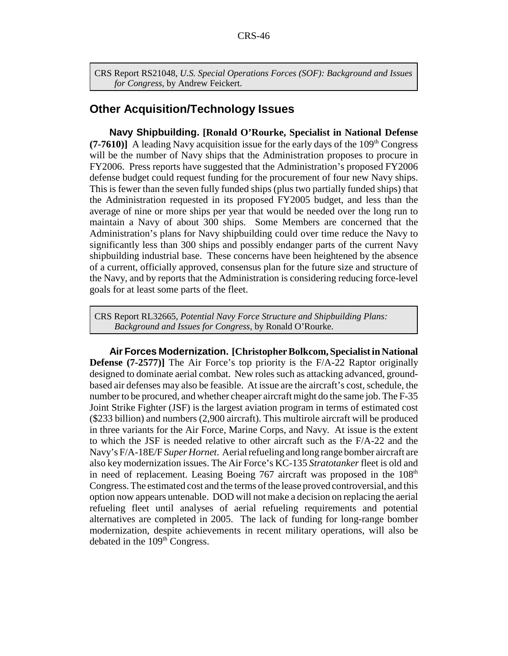CRS Report RS21048, *U.S. Special Operations Forces (SOF): Background and Issues for Congress*, by Andrew Feickert.

### **Other Acquisition/Technology Issues**

**Navy Shipbuilding. [Ronald O'Rourke, Specialist in National Defense (7-7610)]** A leading Navy acquisition issue for the early days of the  $109<sup>th</sup>$  Congress will be the number of Navy ships that the Administration proposes to procure in FY2006. Press reports have suggested that the Administration's proposed FY2006 defense budget could request funding for the procurement of four new Navy ships. This is fewer than the seven fully funded ships (plus two partially funded ships) that the Administration requested in its proposed FY2005 budget, and less than the average of nine or more ships per year that would be needed over the long run to maintain a Navy of about 300 ships. Some Members are concerned that the Administration's plans for Navy shipbuilding could over time reduce the Navy to significantly less than 300 ships and possibly endanger parts of the current Navy shipbuilding industrial base. These concerns have been heightened by the absence of a current, officially approved, consensus plan for the future size and structure of the Navy, and by reports that the Administration is considering reducing force-level goals for at least some parts of the fleet.

CRS Report RL32665, *Potential Navy Force Structure and Shipbuilding Plans: Background and Issues for Congress*, by Ronald O'Rourke.

**Air Forces Modernization. [Christopher Bolkcom, Specialist in National Defense (7-2577)]** The Air Force's top priority is the F/A-22 Raptor originally designed to dominate aerial combat. New roles such as attacking advanced, groundbased air defenses may also be feasible. At issue are the aircraft's cost, schedule, the number to be procured, and whether cheaper aircraft might do the same job. The F-35 Joint Strike Fighter (JSF) is the largest aviation program in terms of estimated cost (\$233 billion) and numbers (2,900 aircraft). This multirole aircraft will be produced in three variants for the Air Force, Marine Corps, and Navy. At issue is the extent to which the JSF is needed relative to other aircraft such as the F/A-22 and the Navy's F/A-18E/F *Super Hornet*. Aerial refueling and long range bomber aircraft are also key modernization issues. The Air Force's KC-135 *Stratotanker* fleet is old and in need of replacement. Leasing Boeing  $767$  aircraft was proposed in the  $108<sup>th</sup>$ Congress. The estimated cost and the terms of the lease proved controversial, and this option now appears untenable. DOD will not make a decision on replacing the aerial refueling fleet until analyses of aerial refueling requirements and potential alternatives are completed in 2005. The lack of funding for long-range bomber modernization, despite achievements in recent military operations, will also be debated in the 109<sup>th</sup> Congress.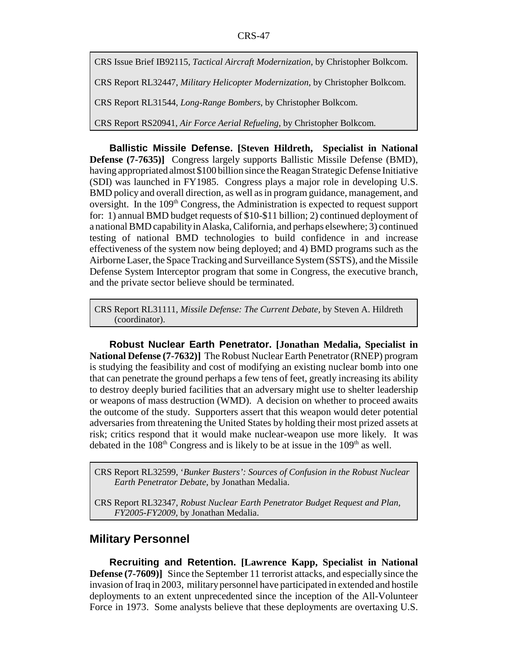CRS Issue Brief IB92115, *Tactical Aircraft Modernization*, by Christopher Bolkcom.

CRS Report RL32447, *Military Helicopter Modernization*, by Christopher Bolkcom.

CRS Report RL31544, *Long-Range Bombers*, by Christopher Bolkcom.

CRS Report RS20941, *Air Force Aerial Refueling*, by Christopher Bolkcom.

**Ballistic Missile Defense. [Steven Hildreth, Specialist in National Defense (7-7635)]** Congress largely supports Ballistic Missile Defense (BMD), having appropriated almost \$100 billion since the Reagan Strategic Defense Initiative (SDI) was launched in FY1985. Congress plays a major role in developing U.S. BMD policy and overall direction, as well as in program guidance, management, and oversight. In the 109<sup>th</sup> Congress, the Administration is expected to request support for: 1) annual BMD budget requests of \$10-\$11 billion; 2) continued deployment of a national BMD capability in Alaska, California, and perhaps elsewhere; 3) continued testing of national BMD technologies to build confidence in and increase effectiveness of the system now being deployed; and 4) BMD programs such as the Airborne Laser, the Space Tracking and Surveillance System (SSTS), and the Missile Defense System Interceptor program that some in Congress, the executive branch, and the private sector believe should be terminated.

CRS Report RL31111, *Missile Defense: The Current Debate,* by Steven A. Hildreth (coordinator).

**Robust Nuclear Earth Penetrator. [Jonathan Medalia, Specialist in National Defense (7-7632)]** The Robust Nuclear Earth Penetrator (RNEP) program is studying the feasibility and cost of modifying an existing nuclear bomb into one that can penetrate the ground perhaps a few tens of feet, greatly increasing its ability to destroy deeply buried facilities that an adversary might use to shelter leadership or weapons of mass destruction (WMD). A decision on whether to proceed awaits the outcome of the study. Supporters assert that this weapon would deter potential adversaries from threatening the United States by holding their most prized assets at risk; critics respond that it would make nuclear-weapon use more likely. It was debated in the  $108<sup>th</sup>$  Congress and is likely to be at issue in the  $109<sup>th</sup>$  as well.

CRS Report RL32599, '*Bunker Busters': Sources of Confusion in the Robust Nuclear Earth Penetrator Debate*, by Jonathan Medalia.

CRS Report RL32347, *Robust Nuclear Earth Penetrator Budget Request and Plan, FY2005-FY2009,* by Jonathan Medalia.

### **Military Personnel**

**Recruiting and Retention. [Lawrence Kapp, Specialist in National Defense (7-7609)]** Since the September 11 terrorist attacks, and especially since the invasion of Iraq in 2003, military personnel have participated in extended and hostile deployments to an extent unprecedented since the inception of the All-Volunteer Force in 1973. Some analysts believe that these deployments are overtaxing U.S.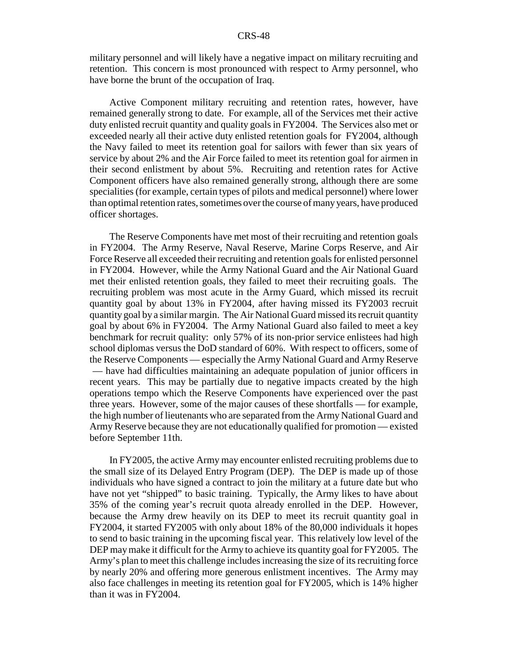military personnel and will likely have a negative impact on military recruiting and retention. This concern is most pronounced with respect to Army personnel, who have borne the brunt of the occupation of Iraq.

Active Component military recruiting and retention rates, however, have remained generally strong to date. For example, all of the Services met their active duty enlisted recruit quantity and quality goals in FY2004. The Services also met or exceeded nearly all their active duty enlisted retention goals for FY2004, although the Navy failed to meet its retention goal for sailors with fewer than six years of service by about 2% and the Air Force failed to meet its retention goal for airmen in their second enlistment by about 5%. Recruiting and retention rates for Active Component officers have also remained generally strong, although there are some specialities (for example, certain types of pilots and medical personnel) where lower than optimal retention rates, sometimes over the course of many years, have produced officer shortages.

The Reserve Components have met most of their recruiting and retention goals in FY2004. The Army Reserve, Naval Reserve, Marine Corps Reserve, and Air Force Reserve all exceeded their recruiting and retention goals for enlisted personnel in FY2004. However, while the Army National Guard and the Air National Guard met their enlisted retention goals, they failed to meet their recruiting goals. The recruiting problem was most acute in the Army Guard, which missed its recruit quantity goal by about 13% in FY2004, after having missed its FY2003 recruit quantity goal by a similar margin. The Air National Guard missed its recruit quantity goal by about 6% in FY2004. The Army National Guard also failed to meet a key benchmark for recruit quality: only 57% of its non-prior service enlistees had high school diplomas versus the DoD standard of 60%. With respect to officers, some of the Reserve Components — especially the Army National Guard and Army Reserve — have had difficulties maintaining an adequate population of junior officers in recent years. This may be partially due to negative impacts created by the high operations tempo which the Reserve Components have experienced over the past three years. However, some of the major causes of these shortfalls — for example, the high number of lieutenants who are separated from the Army National Guard and Army Reserve because they are not educationally qualified for promotion — existed before September 11th.

In FY2005, the active Army may encounter enlisted recruiting problems due to the small size of its Delayed Entry Program (DEP). The DEP is made up of those individuals who have signed a contract to join the military at a future date but who have not yet "shipped" to basic training. Typically, the Army likes to have about 35% of the coming year's recruit quota already enrolled in the DEP. However, because the Army drew heavily on its DEP to meet its recruit quantity goal in FY2004, it started FY2005 with only about 18% of the 80,000 individuals it hopes to send to basic training in the upcoming fiscal year. This relatively low level of the DEP may make it difficult for the Army to achieve its quantity goal for FY2005. The Army's plan to meet this challenge includes increasing the size of its recruiting force by nearly 20% and offering more generous enlistment incentives. The Army may also face challenges in meeting its retention goal for FY2005, which is 14% higher than it was in FY2004.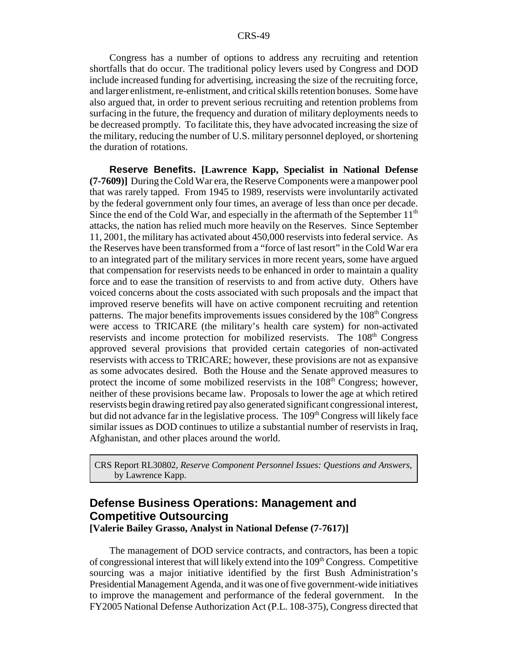Congress has a number of options to address any recruiting and retention shortfalls that do occur. The traditional policy levers used by Congress and DOD include increased funding for advertising, increasing the size of the recruiting force, and larger enlistment, re-enlistment, and critical skills retention bonuses. Some have also argued that, in order to prevent serious recruiting and retention problems from surfacing in the future, the frequency and duration of military deployments needs to be decreased promptly. To facilitate this, they have advocated increasing the size of the military, reducing the number of U.S. military personnel deployed, or shortening the duration of rotations.

**Reserve Benefits. [Lawrence Kapp, Specialist in National Defense (7-7609)]** During the Cold War era, the Reserve Components were a manpower pool that was rarely tapped. From 1945 to 1989, reservists were involuntarily activated by the federal government only four times, an average of less than once per decade. Since the end of the Cold War, and especially in the aftermath of the September  $11<sup>th</sup>$ attacks, the nation has relied much more heavily on the Reserves. Since September 11, 2001, the military has activated about 450,000 reservists into federal service. As the Reserves have been transformed from a "force of last resort" in the Cold War era to an integrated part of the military services in more recent years, some have argued that compensation for reservists needs to be enhanced in order to maintain a quality force and to ease the transition of reservists to and from active duty. Others have voiced concerns about the costs associated with such proposals and the impact that improved reserve benefits will have on active component recruiting and retention patterns. The major benefits improvements issues considered by the 108<sup>th</sup> Congress were access to TRICARE (the military's health care system) for non-activated reservists and income protection for mobilized reservists. The 108<sup>th</sup> Congress approved several provisions that provided certain categories of non-activated reservists with access to TRICARE; however, these provisions are not as expansive as some advocates desired. Both the House and the Senate approved measures to protect the income of some mobilized reservists in the  $108<sup>th</sup>$  Congress; however, neither of these provisions became law. Proposals to lower the age at which retired reservists begin drawing retired pay also generated significant congressional interest, but did not advance far in the legislative process. The  $109<sup>th</sup>$  Congress will likely face similar issues as DOD continues to utilize a substantial number of reservists in Iraq, Afghanistan, and other places around the world.

CRS Report RL30802, *Reserve Component Personnel Issues: Questions and Answers*, by Lawrence Kapp.

### **Defense Business Operations: Management and Competitive Outsourcing**

**[Valerie Bailey Grasso, Analyst in National Defense (7-7617)]**

The management of DOD service contracts, and contractors, has been a topic of congressional interest that will likely extend into the  $109<sup>th</sup> Congress$ . Competitive sourcing was a major initiative identified by the first Bush Administration's Presidential Management Agenda, and it was one of five government-wide initiatives to improve the management and performance of the federal government. In the FY2005 National Defense Authorization Act (P.L. 108-375), Congress directed that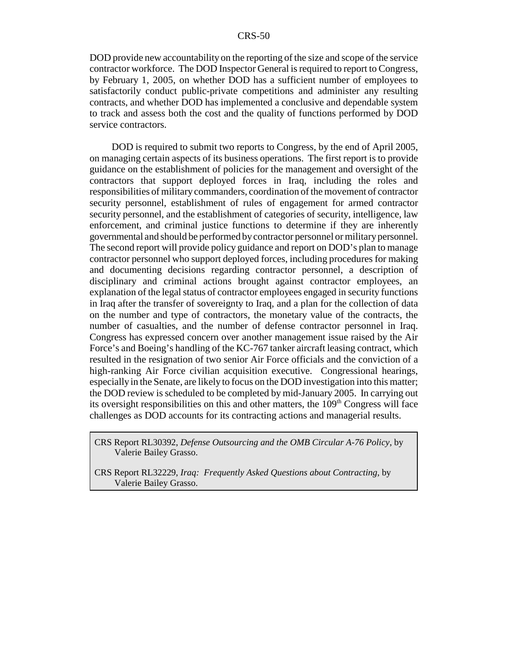DOD provide new accountability on the reporting of the size and scope of the service contractor workforce. The DOD Inspector General is required to report to Congress, by February 1, 2005, on whether DOD has a sufficient number of employees to satisfactorily conduct public-private competitions and administer any resulting contracts, and whether DOD has implemented a conclusive and dependable system to track and assess both the cost and the quality of functions performed by DOD service contractors.

 DOD is required to submit two reports to Congress, by the end of April 2005, on managing certain aspects of its business operations. The first report is to provide guidance on the establishment of policies for the management and oversight of the contractors that support deployed forces in Iraq, including the roles and responsibilities of military commanders, coordination of the movement of contractor security personnel, establishment of rules of engagement for armed contractor security personnel, and the establishment of categories of security, intelligence, law enforcement, and criminal justice functions to determine if they are inherently governmental and should be performed by contractor personnel or military personnel. The second report will provide policy guidance and report on DOD's plan to manage contractor personnel who support deployed forces, including procedures for making and documenting decisions regarding contractor personnel, a description of disciplinary and criminal actions brought against contractor employees, an explanation of the legal status of contractor employees engaged in security functions in Iraq after the transfer of sovereignty to Iraq, and a plan for the collection of data on the number and type of contractors, the monetary value of the contracts, the number of casualties, and the number of defense contractor personnel in Iraq. Congress has expressed concern over another management issue raised by the Air Force's and Boeing's handling of the KC-767 tanker aircraft leasing contract, which resulted in the resignation of two senior Air Force officials and the conviction of a high-ranking Air Force civilian acquisition executive. Congressional hearings, especially in the Senate, are likely to focus on the DOD investigation into this matter; the DOD review is scheduled to be completed by mid-January 2005. In carrying out its oversight responsibilities on this and other matters, the  $109<sup>th</sup>$  Congress will face challenges as DOD accounts for its contracting actions and managerial results.

CRS Report RL30392, *Defense Outsourcing and the OMB Circular A-76 Policy*, by Valerie Bailey Grasso.

CRS Report RL32229, *Iraq: Frequently Asked Questions about Contracting*, by Valerie Bailey Grasso.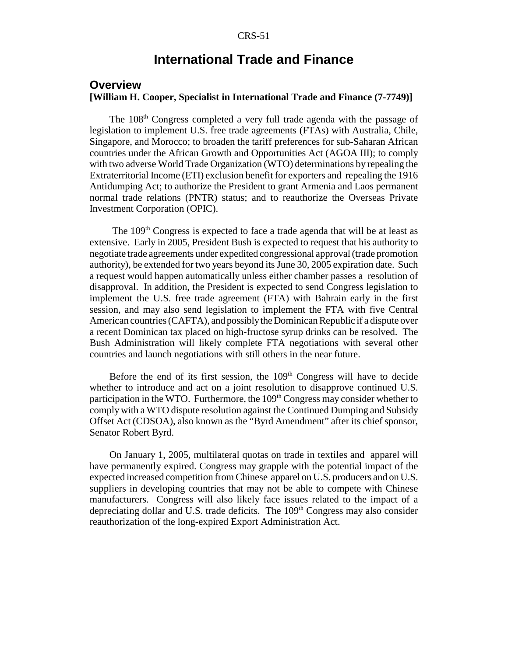### **International Trade and Finance**

### **Overview**

### **[William H. Cooper, Specialist in International Trade and Finance (7-7749)]**

The 108<sup>th</sup> Congress completed a very full trade agenda with the passage of legislation to implement U.S. free trade agreements (FTAs) with Australia, Chile, Singapore, and Morocco; to broaden the tariff preferences for sub-Saharan African countries under the African Growth and Opportunities Act (AGOA III); to comply with two adverse World Trade Organization (WTO) determinations by repealing the Extraterritorial Income (ETI) exclusion benefit for exporters and repealing the 1916 Antidumping Act; to authorize the President to grant Armenia and Laos permanent normal trade relations (PNTR) status; and to reauthorize the Overseas Private Investment Corporation (OPIC).

The 109<sup>th</sup> Congress is expected to face a trade agenda that will be at least as extensive. Early in 2005, President Bush is expected to request that his authority to negotiate trade agreements under expedited congressional approval (trade promotion authority), be extended for two years beyond its June 30, 2005 expiration date. Such a request would happen automatically unless either chamber passes a resolution of disapproval. In addition, the President is expected to send Congress legislation to implement the U.S. free trade agreement (FTA) with Bahrain early in the first session, and may also send legislation to implement the FTA with five Central American countries (CAFTA), and possibly the Dominican Republic if a dispute over a recent Dominican tax placed on high-fructose syrup drinks can be resolved. The Bush Administration will likely complete FTA negotiations with several other countries and launch negotiations with still others in the near future.

Before the end of its first session, the  $109<sup>th</sup>$  Congress will have to decide whether to introduce and act on a joint resolution to disapprove continued U.S. participation in the WTO. Furthermore, the  $109<sup>th</sup>$  Congress may consider whether to comply with a WTO dispute resolution against the Continued Dumping and Subsidy Offset Act (CDSOA), also known as the "Byrd Amendment" after its chief sponsor, Senator Robert Byrd.

On January 1, 2005, multilateral quotas on trade in textiles and apparel will have permanently expired. Congress may grapple with the potential impact of the expected increased competition from Chinese apparel on U.S. producers and on U.S. suppliers in developing countries that may not be able to compete with Chinese manufacturers. Congress will also likely face issues related to the impact of a depreciating dollar and U.S. trade deficits. The  $109<sup>th</sup>$  Congress may also consider reauthorization of the long-expired Export Administration Act.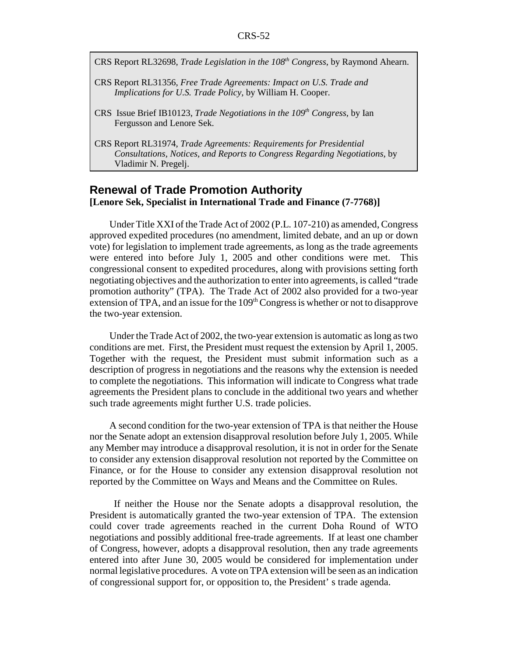- CRS Report RL32698, *Trade Legislation in the 108th Congress*, by Raymond Ahearn.
- CRS Report RL31356, *Free Trade Agreements: Impact on U.S. Trade and Implications for U.S. Trade Policy,* by William H. Cooper.
- CRS Issue Brief IB10123, *Trade Negotiations in the 109<sup>th</sup> Congress*, by Ian Fergusson and Lenore Sek.
- CRS Report RL31974, *Trade Agreements: Requirements for Presidential Consultations, Notices, and Reports to Congress Regarding Negotiations,* by Vladimir N. Pregelj.

### **Renewal of Trade Promotion Authority [Lenore Sek, Specialist in International Trade and Finance (7-7768)]**

Under Title XXI of the Trade Act of 2002 (P.L. 107-210) as amended, Congress approved expedited procedures (no amendment, limited debate, and an up or down vote) for legislation to implement trade agreements, as long as the trade agreements were entered into before July 1, 2005 and other conditions were met. This congressional consent to expedited procedures, along with provisions setting forth negotiating objectives and the authorization to enter into agreements, is called "trade promotion authority" (TPA). The Trade Act of 2002 also provided for a two-year extension of TPA, and an issue for the 109<sup>th</sup> Congress is whether or not to disapprove the two-year extension.

Under the Trade Act of 2002, the two-year extension is automatic as long as two conditions are met. First, the President must request the extension by April 1, 2005. Together with the request, the President must submit information such as a description of progress in negotiations and the reasons why the extension is needed to complete the negotiations. This information will indicate to Congress what trade agreements the President plans to conclude in the additional two years and whether such trade agreements might further U.S. trade policies.

A second condition for the two-year extension of TPA is that neither the House nor the Senate adopt an extension disapproval resolution before July 1, 2005. While any Member may introduce a disapproval resolution, it is not in order for the Senate to consider any extension disapproval resolution not reported by the Committee on Finance, or for the House to consider any extension disapproval resolution not reported by the Committee on Ways and Means and the Committee on Rules.

 If neither the House nor the Senate adopts a disapproval resolution, the President is automatically granted the two-year extension of TPA. The extension could cover trade agreements reached in the current Doha Round of WTO negotiations and possibly additional free-trade agreements. If at least one chamber of Congress, however, adopts a disapproval resolution, then any trade agreements entered into after June 30, 2005 would be considered for implementation under normal legislative procedures. A vote on TPA extension will be seen as an indication of congressional support for, or opposition to, the President' s trade agenda.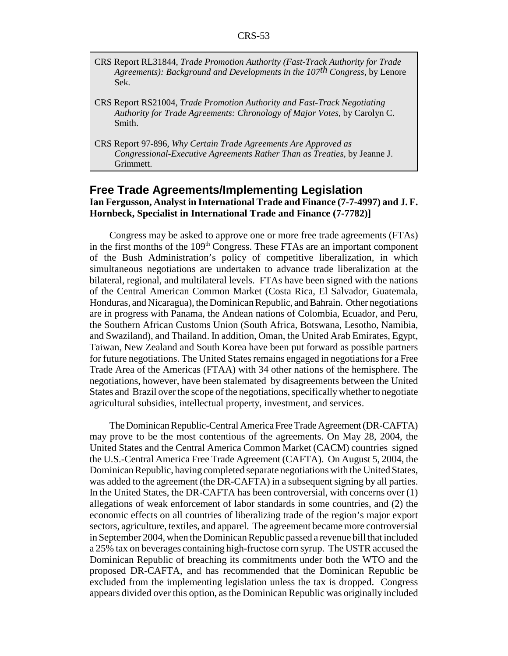- CRS Report RL31844, *Trade Promotion Authority (Fast-Track Authority for Trade Agreements): Background and Developments in the 107th Congress*, by Lenore Sek.
- CRS Report RS21004, *Trade Promotion Authority and Fast-Track Negotiating Authority for Trade Agreements: Chronology of Major Votes,* by Carolyn C. Smith.
- CRS Report 97-896, *Why Certain Trade Agreements Are Approved as Congressional-Executive Agreements Rather Than as Treaties,* by Jeanne J. Grimmett.

### **Free Trade Agreements/Implementing Legislation Ian Fergusson, Analyst in International Trade and Finance (7-7-4997) and J. F. Hornbeck, Specialist in International Trade and Finance (7-7782)]**

Congress may be asked to approve one or more free trade agreements (FTAs) in the first months of the  $109<sup>th</sup>$  Congress. These FTAs are an important component of the Bush Administration's policy of competitive liberalization, in which simultaneous negotiations are undertaken to advance trade liberalization at the bilateral, regional, and multilateral levels. FTAs have been signed with the nations of the Central American Common Market (Costa Rica, El Salvador, Guatemala, Honduras, and Nicaragua), the Dominican Republic, and Bahrain. Other negotiations are in progress with Panama, the Andean nations of Colombia, Ecuador, and Peru, the Southern African Customs Union (South Africa, Botswana, Lesotho, Namibia, and Swaziland), and Thailand. In addition, Oman, the United Arab Emirates, Egypt, Taiwan, New Zealand and South Korea have been put forward as possible partners for future negotiations. The United States remains engaged in negotiations for a Free Trade Area of the Americas (FTAA) with 34 other nations of the hemisphere. The negotiations, however, have been stalemated by disagreements between the United States and Brazil over the scope of the negotiations, specifically whether to negotiate agricultural subsidies, intellectual property, investment, and services.

The Dominican Republic-Central America Free Trade Agreement (DR-CAFTA) may prove to be the most contentious of the agreements. On May 28, 2004, the United States and the Central America Common Market (CACM) countries signed the U.S.-Central America Free Trade Agreement (CAFTA). On August 5, 2004, the Dominican Republic, having completed separate negotiations with the United States, was added to the agreement (the DR-CAFTA) in a subsequent signing by all parties. In the United States, the DR-CAFTA has been controversial, with concerns over (1) allegations of weak enforcement of labor standards in some countries, and (2) the economic effects on all countries of liberalizing trade of the region's major export sectors, agriculture, textiles, and apparel. The agreement became more controversial in September 2004, when the Dominican Republic passed a revenue bill that included a 25% tax on beverages containing high-fructose corn syrup. The USTR accused the Dominican Republic of breaching its commitments under both the WTO and the proposed DR-CAFTA, and has recommended that the Dominican Republic be excluded from the implementing legislation unless the tax is dropped. Congress appears divided over this option, as the Dominican Republic was originally included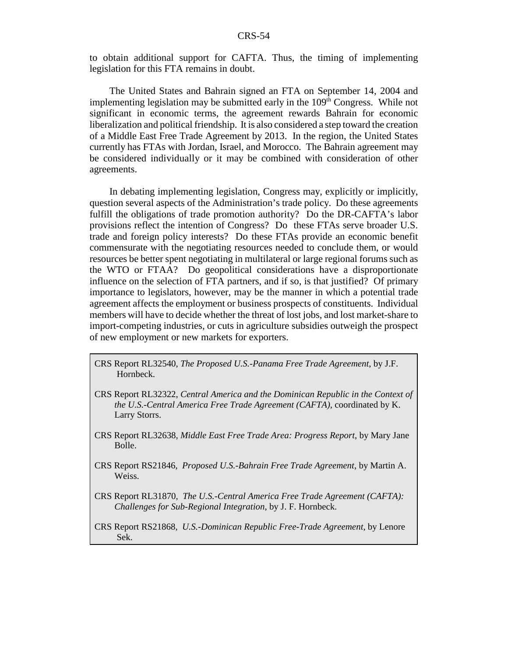to obtain additional support for CAFTA. Thus, the timing of implementing legislation for this FTA remains in doubt.

The United States and Bahrain signed an FTA on September 14, 2004 and implementing legislation may be submitted early in the 109<sup>th</sup> Congress. While not significant in economic terms, the agreement rewards Bahrain for economic liberalization and political friendship. It is also considered a step toward the creation of a Middle East Free Trade Agreement by 2013. In the region, the United States currently has FTAs with Jordan, Israel, and Morocco. The Bahrain agreement may be considered individually or it may be combined with consideration of other agreements.

In debating implementing legislation, Congress may, explicitly or implicitly, question several aspects of the Administration's trade policy. Do these agreements fulfill the obligations of trade promotion authority? Do the DR-CAFTA's labor provisions reflect the intention of Congress? Do these FTAs serve broader U.S. trade and foreign policy interests? Do these FTAs provide an economic benefit commensurate with the negotiating resources needed to conclude them, or would resources be better spent negotiating in multilateral or large regional forums such as the WTO or FTAA? Do geopolitical considerations have a disproportionate influence on the selection of FTA partners, and if so, is that justified? Of primary importance to legislators, however, may be the manner in which a potential trade agreement affects the employment or business prospects of constituents. Individual members will have to decide whether the threat of lost jobs, and lost market-share to import-competing industries, or cuts in agriculture subsidies outweigh the prospect of new employment or new markets for exporters.

- CRS Report RL32540, *The Proposed U.S.-Panama Free Trade Agreement*, by J.F. Hornbeck.
- CRS Report RL32322, *Central America and the Dominican Republic in the Context of the U.S.-Central America Free Trade Agreement (CAFTA)*, coordinated by K. Larry Storrs.
- CRS Report RL32638, *Middle East Free Trade Area: Progress Report*, by Mary Jane Bolle.
- CRS Report RS21846, *Proposed U.S.-Bahrain Free Trade Agreement*, by Martin A. Weiss.
- CRS Report RL31870, *The U.S.-Central America Free Trade Agreement (CAFTA): Challenges for Sub-Regional Integration*, by J. F. Hornbeck.

CRS Report RS21868, *U.S.-Dominican Republic Free-Trade Agreement,* by Lenore Sek.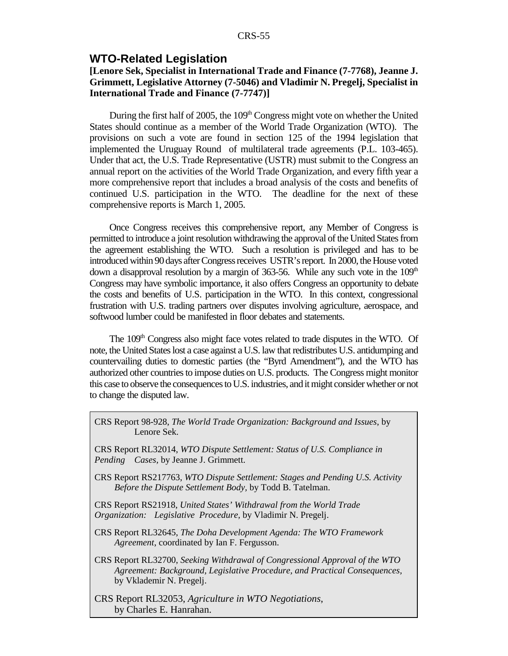### **WTO-Related Legislation**

### **[Lenore Sek, Specialist in International Trade and Finance (7-7768), Jeanne J. Grimmett, Legislative Attorney (7-5046) and Vladimir N. Pregelj, Specialist in International Trade and Finance (7-7747)]**

During the first half of 2005, the  $109<sup>th</sup>$  Congress might vote on whether the United States should continue as a member of the World Trade Organization (WTO). The provisions on such a vote are found in section 125 of the 1994 legislation that implemented the Uruguay Round of multilateral trade agreements (P.L. 103-465). Under that act, the U.S. Trade Representative (USTR) must submit to the Congress an annual report on the activities of the World Trade Organization, and every fifth year a more comprehensive report that includes a broad analysis of the costs and benefits of continued U.S. participation in the WTO. The deadline for the next of these comprehensive reports is March 1, 2005.

Once Congress receives this comprehensive report, any Member of Congress is permitted to introduce a joint resolution withdrawing the approval of the United States from the agreement establishing the WTO. Such a resolution is privileged and has to be introduced within 90 days after Congress receives USTR's report. In 2000, the House voted down a disapproval resolution by a margin of  $363-56$ . While any such vote in the  $109<sup>th</sup>$ Congress may have symbolic importance, it also offers Congress an opportunity to debate the costs and benefits of U.S. participation in the WTO. In this context, congressional frustration with U.S. trading partners over disputes involving agriculture, aerospace, and softwood lumber could be manifested in floor debates and statements.

The 109<sup>th</sup> Congress also might face votes related to trade disputes in the WTO. Of note, the United States lost a case against a U.S. law that redistributes U.S. antidumping and countervailing duties to domestic parties (the "Byrd Amendment"), and the WTO has authorized other countries to impose duties on U.S. products. The Congress might monitor this case to observe the consequences to U.S. industries, and it might consider whether or not to change the disputed law.

CRS Report 98-928, *The World Trade Organization: Background and Issues*, by Lenore Sek.

CRS Report RL32014, *WTO Dispute Settlement: Status of U.S. Compliance in Pending Cases,* by Jeanne J. Grimmett.

CRS Report RS217763, *WTO Dispute Settlement: Stages and Pending U.S. Activity Before the Dispute Settlement Body,* by Todd B. Tatelman.

CRS Report RS21918, *United States' Withdrawal from the World Trade Organization: Legislative Procedure,* by Vladimir N. Pregelj.

CRS Report RL32645, *The Doha Development Agenda: The WTO Framework Agreement*, coordinated by Ian F. Fergusson.

CRS Report RL32700, *Seeking Withdrawal of Congressional Approval of the WTO Agreement: Background, Legislative Procedure, and Practical Consequences,* by Vklademir N. Pregelj.

CRS Report RL32053, *Agriculture in WTO Negotiations*, by Charles E. Hanrahan.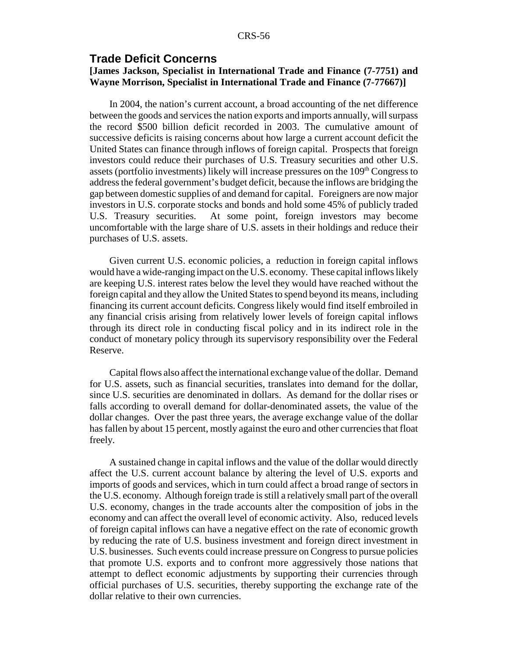### **Trade Deficit Concerns**

### **[James Jackson, Specialist in International Trade and Finance (7-7751) and Wayne Morrison, Specialist in International Trade and Finance (7-77667)]**

In 2004, the nation's current account, a broad accounting of the net difference between the goods and services the nation exports and imports annually, will surpass the record \$500 billion deficit recorded in 2003. The cumulative amount of successive deficits is raising concerns about how large a current account deficit the United States can finance through inflows of foreign capital. Prospects that foreign investors could reduce their purchases of U.S. Treasury securities and other U.S. assets (portfolio investments) likely will increase pressures on the  $109<sup>th</sup>$  Congress to address the federal government's budget deficit, because the inflows are bridging the gap between domestic supplies of and demand for capital. Foreigners are now major investors in U.S. corporate stocks and bonds and hold some 45% of publicly traded U.S. Treasury securities. At some point, foreign investors may become uncomfortable with the large share of U.S. assets in their holdings and reduce their purchases of U.S. assets.

Given current U.S. economic policies, a reduction in foreign capital inflows would have a wide-ranging impact on the U.S. economy. These capital inflows likely are keeping U.S. interest rates below the level they would have reached without the foreign capital and they allow the United States to spend beyond its means, including financing its current account deficits. Congress likely would find itself embroiled in any financial crisis arising from relatively lower levels of foreign capital inflows through its direct role in conducting fiscal policy and in its indirect role in the conduct of monetary policy through its supervisory responsibility over the Federal Reserve.

Capital flows also affect the international exchange value of the dollar. Demand for U.S. assets, such as financial securities, translates into demand for the dollar, since U.S. securities are denominated in dollars. As demand for the dollar rises or falls according to overall demand for dollar-denominated assets, the value of the dollar changes. Over the past three years, the average exchange value of the dollar has fallen by about 15 percent, mostly against the euro and other currencies that float freely.

A sustained change in capital inflows and the value of the dollar would directly affect the U.S. current account balance by altering the level of U.S. exports and imports of goods and services, which in turn could affect a broad range of sectors in the U.S. economy. Although foreign trade is still a relatively small part of the overall U.S. economy, changes in the trade accounts alter the composition of jobs in the economy and can affect the overall level of economic activity. Also, reduced levels of foreign capital inflows can have a negative effect on the rate of economic growth by reducing the rate of U.S. business investment and foreign direct investment in U.S. businesses. Such events could increase pressure on Congress to pursue policies that promote U.S. exports and to confront more aggressively those nations that attempt to deflect economic adjustments by supporting their currencies through official purchases of U.S. securities, thereby supporting the exchange rate of the dollar relative to their own currencies.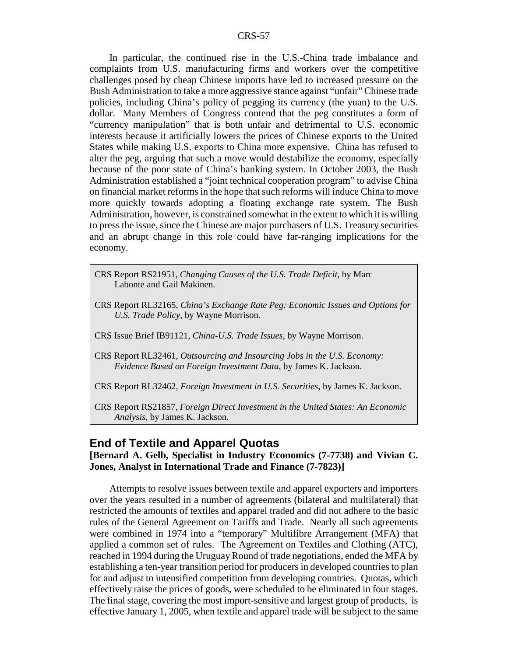In particular, the continued rise in the U.S.-China trade imbalance and complaints from U.S. manufacturing firms and workers over the competitive challenges posed by cheap Chinese imports have led to increased pressure on the Bush Administration to take a more aggressive stance against "unfair" Chinese trade policies, including China's policy of pegging its currency (the yuan) to the U.S. dollar. Many Members of Congress contend that the peg constitutes a form of "currency manipulation" that is both unfair and detrimental to U.S. economic interests because it artificially lowers the prices of Chinese exports to the United States while making U.S. exports to China more expensive. China has refused to alter the peg, arguing that such a move would destabilize the economy, especially because of the poor state of China's banking system. In October 2003, the Bush Administration established a "joint technical cooperation program" to advise China on financial market reforms in the hope that such reforms will induce China to move more quickly towards adopting a floating exchange rate system. The Bush Administration, however, is constrained somewhat in the extent to which it is willing to press the issue, since the Chinese are major purchasers of U.S. Treasury securities and an abrupt change in this role could have far-ranging implications for the economy.

- CRS Report RS21951, *Changing Causes of the U.S. Trade Deficit,* by Marc Labonte and Gail Makinen.
- CRS Report RL32165, *China's Exchange Rate Peg: Economic Issues and Options for U.S. Trade Policy*, by Wayne Morrison.
- CRS Issue Brief IB91121, *China-U.S. Trade Issues*, by Wayne Morrison.
- CRS Report RL32461, *Outsourcing and Insourcing Jobs in the U.S. Economy: Evidence Based on Foreign Investment Data*, by James K. Jackson.

CRS Report RL32462, *Foreign Investment in U.S. Securities*, by James K. Jackson.

CRS Report RS21857, *Foreign Direct Investment in the United States: An Economic Analysis*, by James K. Jackson.

### **End of Textile and Apparel Quotas**

**[Bernard A. Gelb, Specialist in Industry Economics (7-7738) and Vivian C. Jones, Analyst in International Trade and Finance (7-7823)]**

Attempts to resolve issues between textile and apparel exporters and importers over the years resulted in a number of agreements (bilateral and multilateral) that restricted the amounts of textiles and apparel traded and did not adhere to the basic rules of the General Agreement on Tariffs and Trade. Nearly all such agreements were combined in 1974 into a "temporary" Multifibre Arrangement (MFA) that applied a common set of rules. The Agreement on Textiles and Clothing (ATC), reached in 1994 during the Uruguay Round of trade negotiations, ended the MFA by establishing a ten-year transition period for producers in developed countries to plan for and adjust to intensified competition from developing countries. Quotas, which effectively raise the prices of goods, were scheduled to be eliminated in four stages. The final stage, covering the most import-sensitive and largest group of products, is effective January 1, 2005, when textile and apparel trade will be subject to the same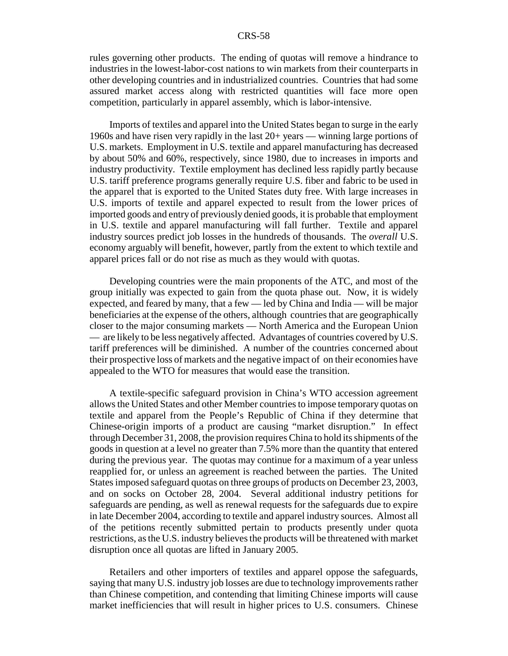rules governing other products. The ending of quotas will remove a hindrance to industries in the lowest-labor-cost nations to win markets from their counterparts in other developing countries and in industrialized countries. Countries that had some assured market access along with restricted quantities will face more open competition, particularly in apparel assembly, which is labor-intensive.

Imports of textiles and apparel into the United States began to surge in the early 1960s and have risen very rapidly in the last 20+ years — winning large portions of U.S. markets. Employment in U.S. textile and apparel manufacturing has decreased by about 50% and 60%, respectively, since 1980, due to increases in imports and industry productivity. Textile employment has declined less rapidly partly because U.S. tariff preference programs generally require U.S. fiber and fabric to be used in the apparel that is exported to the United States duty free. With large increases in U.S. imports of textile and apparel expected to result from the lower prices of imported goods and entry of previously denied goods, it is probable that employment in U.S. textile and apparel manufacturing will fall further. Textile and apparel industry sources predict job losses in the hundreds of thousands. The *overall* U.S. economy arguably will benefit, however, partly from the extent to which textile and apparel prices fall or do not rise as much as they would with quotas.

Developing countries were the main proponents of the ATC, and most of the group initially was expected to gain from the quota phase out. Now, it is widely expected, and feared by many, that a few — led by China and India — will be major beneficiaries at the expense of the others, although countries that are geographically closer to the major consuming markets — North America and the European Union — are likely to be less negatively affected. Advantages of countries covered by U.S. tariff preferences will be diminished. A number of the countries concerned about their prospective loss of markets and the negative impact of on their economies have appealed to the WTO for measures that would ease the transition.

A textile-specific safeguard provision in China's WTO accession agreement allows the United States and other Member countries to impose temporary quotas on textile and apparel from the People's Republic of China if they determine that Chinese-origin imports of a product are causing "market disruption." In effect through December 31, 2008, the provision requires China to hold its shipments of the goods in question at a level no greater than 7.5% more than the quantity that entered during the previous year. The quotas may continue for a maximum of a year unless reapplied for, or unless an agreement is reached between the parties. The United States imposed safeguard quotas on three groups of products on December 23, 2003, and on socks on October 28, 2004. Several additional industry petitions for safeguards are pending, as well as renewal requests for the safeguards due to expire in late December 2004, according to textile and apparel industry sources. Almost all of the petitions recently submitted pertain to products presently under quota restrictions, as the U.S. industry believes the products will be threatened with market disruption once all quotas are lifted in January 2005.

Retailers and other importers of textiles and apparel oppose the safeguards, saying that many U.S. industry job losses are due to technology improvements rather than Chinese competition, and contending that limiting Chinese imports will cause market inefficiencies that will result in higher prices to U.S. consumers. Chinese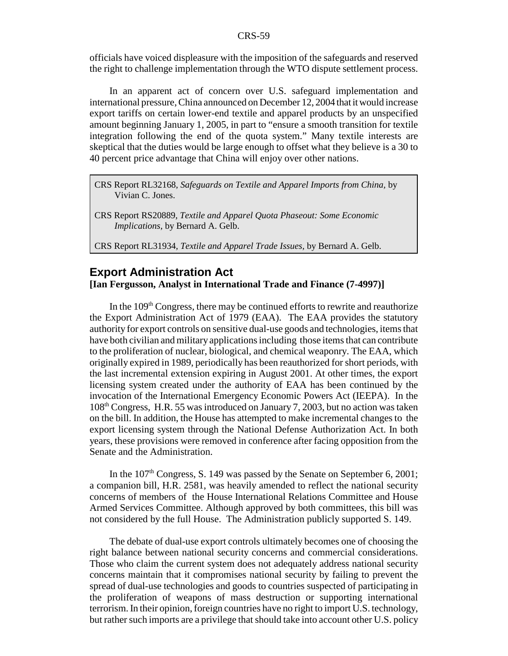officials have voiced displeasure with the imposition of the safeguards and reserved the right to challenge implementation through the WTO dispute settlement process.

In an apparent act of concern over U.S. safeguard implementation and international pressure, China announced on December 12, 2004 that it would increase export tariffs on certain lower-end textile and apparel products by an unspecified amount beginning January 1, 2005, in part to "ensure a smooth transition for textile integration following the end of the quota system." Many textile interests are skeptical that the duties would be large enough to offset what they believe is a 30 to 40 percent price advantage that China will enjoy over other nations.

CRS Report RL32168, *Safeguards on Textile and Apparel Imports from China,* by Vivian C. Jones.

CRS Report RS20889, *Textile and Apparel Quota Phaseout: Some Economic Implications,* by Bernard A. Gelb.

CRS Report RL31934, *Textile and Apparel Trade Issues,* by Bernard A. Gelb.

### **Export Administration Act**

### **[Ian Fergusson, Analyst in International Trade and Finance (7-4997)]**

In the  $109<sup>th</sup>$  Congress, there may be continued efforts to rewrite and reauthorize the Export Administration Act of 1979 (EAA). The EAA provides the statutory authority for export controls on sensitive dual-use goods and technologies, items that have both civilian and military applications including those items that can contribute to the proliferation of nuclear, biological, and chemical weaponry. The EAA, which originally expired in 1989, periodically has been reauthorized for short periods, with the last incremental extension expiring in August 2001. At other times, the export licensing system created under the authority of EAA has been continued by the invocation of the International Emergency Economic Powers Act (IEEPA). In the 108th Congress, H.R. 55 was introduced on January 7, 2003, but no action was taken on the bill. In addition, the House has attempted to make incremental changes to the export licensing system through the National Defense Authorization Act. In both years, these provisions were removed in conference after facing opposition from the Senate and the Administration.

In the  $107<sup>th</sup>$  Congress, S. 149 was passed by the Senate on September 6, 2001; a companion bill, H.R. 2581, was heavily amended to reflect the national security concerns of members of the House International Relations Committee and House Armed Services Committee. Although approved by both committees, this bill was not considered by the full House. The Administration publicly supported S. 149.

The debate of dual-use export controls ultimately becomes one of choosing the right balance between national security concerns and commercial considerations. Those who claim the current system does not adequately address national security concerns maintain that it compromises national security by failing to prevent the spread of dual-use technologies and goods to countries suspected of participating in the proliferation of weapons of mass destruction or supporting international terrorism. In their opinion, foreign countries have no right to import U.S. technology, but rather such imports are a privilege that should take into account other U.S. policy